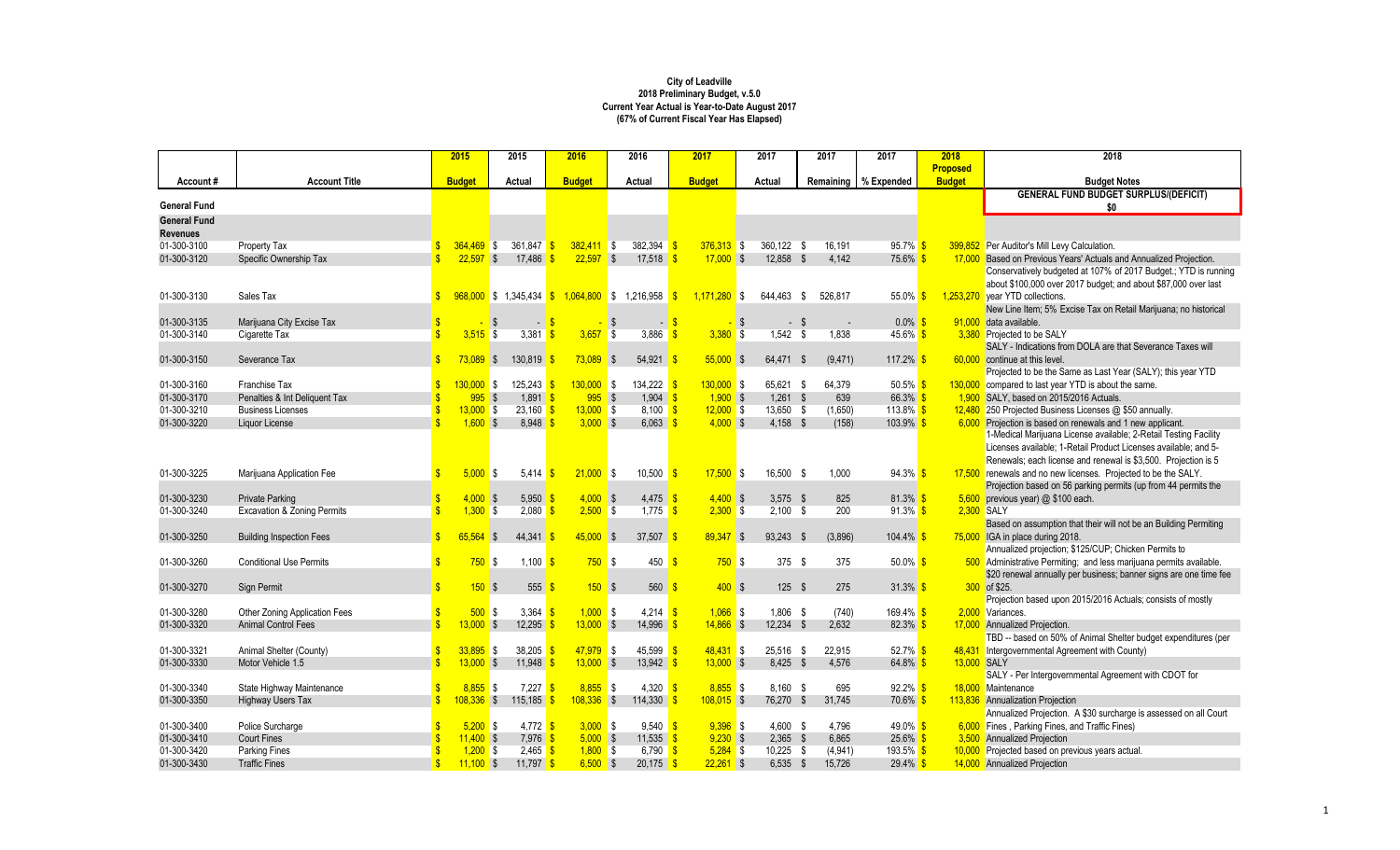| <b>Proposed</b><br>Remaining % Expended<br><b>Budget</b><br><b>Account Title</b><br><b>Budget</b><br>Actual<br><b>Budget</b><br>Actual<br><b>Budget</b><br>Actual<br><b>Budget Notes</b><br>Account#<br><b>GENERAL FUND BUDGET SURPLUS/(DEFICIT)</b><br><b>General Fund</b><br>\$0<br><b>General Fund</b><br><b>Revenues</b><br>01-300-3100<br>Property Tax<br>361,847 \$<br>382,394<br>360,122 \$<br>$95.7\%$ \$<br>399,852 Per Auditor's Mill Levy Calculation.<br>$364,469$ \$<br>$382,411$ \$<br>$376,313$ \$<br>16,191<br>01-300-3120<br>Specific Ownership Tax<br>$22.597$ \$<br>17.486<br>$22.597$ \$<br>$17.518$ $\frac{\text{S}}{\text{S}}$<br>$17.000$ \$<br>12.858 \$<br>4.142<br>75.6% \$<br>17,000 Based on Previous Years' Actuals and Annualized Projection.<br>Conservatively budgeted at 107% of 2017 Budget.; YTD is running<br>about \$100,000 over 2017 budget; and about \$87,000 over last<br>968,000 \$ 1,345,434 \$ 1,064,800 \$ 1,216,958<br>01-300-3130<br>$1.171.280$ \$<br>644.463<br>526.817<br>$55.0\%$ \$<br>1,253,270 year YTD collections.<br>Sales Tax<br>$\mathbf{s}$<br>- \$<br>New Line Item; 5% Excise Tax on Retail Marijuana; no historical<br>01-300-3135<br>Marijuana City Excise Tax<br>$0.0\%$<br>91,000 data available.<br>-\$<br><b>S</b><br>- \$<br>-\$<br>\$<br>- \$<br>$\blacksquare$<br>01-300-3140<br>Cigarette Tax<br>$3.515$ \$<br>$3,381$ \$<br>3,657<br>l \$<br>3,886<br>$3,380$ \$<br>$1,542$ \$<br>1,838<br>$45.6\%$ \$<br>3,380 Projected to be SALY<br>SALY - Indications from DOLA are that Severance Taxes will<br>01-300-3150<br>$73.089$ \$<br>130.819<br>$73.089$ \$<br>$54.921$ \$<br>$55.000$ \$<br>117.2%<br>Severance Tax<br>64.471 \$<br>(9,471)<br>60.000 continue at this level.<br>Projected to be the Same as Last Year (SALY); this year YTD<br>01-300-3160<br>Franchise Tax<br>$130.000$ \$<br>125.243<br>$130.000$ \$<br>134,222<br>$130,000$ \$<br>65,621<br>64.379<br>$50.5\%$ \$<br>130,000 compared to last year YTD is about the same.<br>- \$<br>01-300-3170<br>$\hat{\mathbf{r}}$<br>995S<br>$1,891$ \$<br>995S<br>1,904<br>$1.900$ \$<br>$1.261$ \$<br>639<br>66.3% \$<br>Penalties & Int Deliquent Tax<br>1,900 SALY, based on 2015/2016 Actuals.<br>01-300-3210<br>$13,000$ \$<br>$23.160$ \$<br>13,000S<br>8.100<br>$12,000$ \$<br>13,650 \$<br>$113.8\%$ \$<br>12,480 250 Projected Business Licenses @ \$50 annually.<br><b>Business Licenses</b><br>(1,650)<br>01-300-3220<br>$\mathbf{c}$<br>$1,600$ \$<br>8.948<br>3,000S<br>$4,000$ \$<br>Liquor License<br>$6,063$ $\sqrt{\frac{5}{}}$<br>$4,158$ \$<br>(158)<br>$103.9\%$ \$<br>6,000 Projection is based on renewals and 1 new applicant.<br>1-Medical Marijuana License available; 2-Retail Testing Facility<br>Licenses available; 1-Retail Product Licenses available; and 5-<br>Renewals; each license and renewal is \$3,500. Projection is 5<br>5.000S<br>10,500<br>94.3%<br>17,500 renewals and no new licenses. Projected to be the SALY.<br>01-300-3225<br>Marijuana Application Fee<br>5.414<br>21.000 S<br>$17.500$ \$<br>16.500 \$<br>1.000<br><b>S</b><br>$\mathbf{s}$<br><b>S</b><br>Projection based on 56 parking permits (up from 44 permits the<br>$5,950$ \$<br>$4,400$ \$<br>81.3%<br>$5,600$ previous year) @ \$100 each.<br>01-300-3230<br><b>Private Parking</b><br>$4,000$ \$<br>$4,000$ \$<br>$4,475$ \$<br>$3,575$ \$<br>825<br><b>S</b><br>01-300-3240<br>2,080<br>$2,500$ \$<br>$2,300$ \$<br>$91.3\%$ \$<br>2,300 SALY<br><b>Excavation &amp; Zoning Permits</b><br>$1,300$ \$<br>$\sqrt{3}$<br>1.775<br>$2,100$ \$<br>200<br>-\$<br>Based on assumption that their will not be an Building Permiting<br>65.564<br>$45,000$ \$<br>01-300-3250<br>$44,341$ \$<br>$37,507$ \$<br>89,347 \$<br>93,243 \$<br>(3,896)<br>$104.4\%$ \$<br>75,000 IGA in place during 2018.<br><b>Building Inspection Fees</b><br>-\$<br>Annualized projection; \$125/CUP; Chicken Permits to<br>750S<br>$50.0\%$ \$<br>01-300-3260<br><b>Conditional Use Permits</b><br>1.100<br>750S<br>450<br>750S<br>375S<br>375<br>500 Administrative Permiting; and less marijuana permits available.<br>-S<br>-S<br>\$20 renewal annually per business; banner signs are one time fee<br>150S<br>150S<br>400S<br>$31.3\%$ \$<br>300 of \$25.<br>01-300-3270<br>Sign Permit<br>555<br>560S<br>125S<br>275<br>-\$<br>Projection based upon 2015/2016 Actuals; consists of mostly<br>01-300-3280<br>500S<br>$1,066$ \$<br>$1.806$ \$<br>Other Zoning Application Fees<br>$3,364$ \$<br>$1,000$ \$<br>4,214<br>(740)<br>169.4% \$<br>2.000 Variances.<br>01-300-3320<br>$12,295$ \$<br>12,234 \$<br><b>Animal Control Fees</b><br>$13,000$ \$<br>$13,000$ \$<br>14,996<br>$14,866$ \$<br>2.632<br>$82.3\%$ \$<br>17,000 Annualized Projection.<br>TBD -- based on 50% of Animal Shelter budget expenditures (per<br>38,205<br>45,599<br>52.7% \$<br>01-300-3321<br>$\mathbf{s}$<br>33,895<br>$47,979$ \$<br>$48,431$ \$<br>25,516 \$<br>22,915<br>Intergovernmental Agreement with County)<br>Animal Shelter (County)<br>\$<br>48,431<br>01-300-3330<br>Motor Vehicle 1.5<br>¢<br>11,948<br>$13,000$ \$<br>13,942<br>$13,000$ \$<br>$8,425$ \$<br>4,576<br>64.8%<br>13,000 SALY<br>$13,000$ \$<br>-9<br>SALY - Per Intergovernmental Agreement with CDOT for<br>$8.855$ \$<br>4.320<br>01-300-3340<br>8.855<br>7.227<br>$8.855$ \$<br>$8.160$ \$<br>695<br>$92.2\%$ \$<br>18.000 Maintenance<br>State Highway Maintenance<br>\$<br>01-300-3350<br>¢<br>$108.336$ \$<br>115,185<br>$108,336$ \$<br>114,330<br>$108,015$ \$<br>76,270 \$<br>31.745<br>70.6%<br><b>Highway Users Tax</b><br>113,836 Annualization Projection<br>Annualized Projection. A \$30 surcharge is assessed on all Court<br>$9,396$ \$<br>6,000 Fines, Parking Fines, and Traffic Fines)<br>01-300-3400<br>Police Surcharge<br>$5,200$ \$<br>$4,772$ \$<br>$3,000$ \$<br>$9.540$ $\sqrt{\frac{5}{5}}$<br>$4.600$ \$<br>4.796<br>49.0% $\frac{\text{}}{\text{}}$<br>$7,976$ \$<br>6,865<br>3,500 Annualized Projection<br>01-300-3410<br><b>Court Fines</b><br>$11.400$ \$<br>$5,000$ \$<br>11,535<br>$9,230$ \$<br>$2,365$ \$<br>$25.6\%$ \$<br>01-300-3420<br>$2,465$ \$<br><b>Parking Fines</b><br>$1,200$ \$<br>$1,800$ \$<br>6,790<br>$5,284$ \$<br>$10,225$ \$<br>(4,941)<br>193.5% \$<br>10,000 Projected based on previous years actual<br>01-300-3430<br>$\mathbf{\hat{s}}$<br>$11,100$ \$<br>$11,797$ \$<br>$6,500$ \$<br>$20,175$ \$<br>$22,261$ \$<br>$6,535$ \$<br>15,726<br>$29.4\%$ \$<br>14,000 Annualized Projection<br><b>Traffic Fines</b> |  | 2015 | 2015 | 2016 | 2016 | 2017 | 2017 | 2017 | 2017 | 2018 | 2018 |
|----------------------------------------------------------------------------------------------------------------------------------------------------------------------------------------------------------------------------------------------------------------------------------------------------------------------------------------------------------------------------------------------------------------------------------------------------------------------------------------------------------------------------------------------------------------------------------------------------------------------------------------------------------------------------------------------------------------------------------------------------------------------------------------------------------------------------------------------------------------------------------------------------------------------------------------------------------------------------------------------------------------------------------------------------------------------------------------------------------------------------------------------------------------------------------------------------------------------------------------------------------------------------------------------------------------------------------------------------------------------------------------------------------------------------------------------------------------------------------------------------------------------------------------------------------------------------------------------------------------------------------------------------------------------------------------------------------------------------------------------------------------------------------------------------------------------------------------------------------------------------------------------------------------------------------------------------------------------------------------------------------------------------------------------------------------------------------------------------------------------------------------------------------------------------------------------------------------------------------------------------------------------------------------------------------------------------------------------------------------------------------------------------------------------------------------------------------------------------------------------------------------------------------------------------------------------------------------------------------------------------------------------------------------------------------------------------------------------------------------------------------------------------------------------------------------------------------------------------------------------------------------------------------------------------------------------------------------------------------------------------------------------------------------------------------------------------------------------------------------------------------------------------------------------------------------------------------------------------------------------------------------------------------------------------------------------------------------------------------------------------------------------------------------------------------------------------------------------------------------------------------------------------------------------------------------------------------------------------------------------------------------------------------------------------------------------------------------------------------------------------------------------------------------------------------------------------------------------------------------------------------------------------------------------------------------------------------------------------------------------------------------------------------------------------------------------------------------------------------------------------------------------------------------------------------------------------------------------------------------------------------------------------------------------------------------------------------------------------------------------------------------------------------------------------------------------------------------------------------------------------------------------------------------------------------------------------------------------------------------------------------------------------------------------------------------------------------------------------------------------------------------------------------------------------------------------------------------------------------------------------------------------------------------------------------------------------------------------------------------------------------------------------------------------------------------------------------------------------------------------------------------------------------------------------------------------------------------------------------------------------------------------------------------------------------------------------------------------------------------------------------------------------------------------------------------------------------------------------------------------------------------------------------------------------------------------------------------------------------------------------------------------------------------------------------------------------------------------------------------------------------------------------------------------------------------------------------------------------------------------------------------------------------------------------------------------------------------------------------------------------------------------------------------------------------------------------------------------------------------------------------------------------------------------------------------------------------------------------------------------------------------------------------------------------------------------------------------------------------------------------------------------------------------------------------------------------------------------------------------------------------------------------------------------------------------------------|--|------|------|------|------|------|------|------|------|------|------|
|                                                                                                                                                                                                                                                                                                                                                                                                                                                                                                                                                                                                                                                                                                                                                                                                                                                                                                                                                                                                                                                                                                                                                                                                                                                                                                                                                                                                                                                                                                                                                                                                                                                                                                                                                                                                                                                                                                                                                                                                                                                                                                                                                                                                                                                                                                                                                                                                                                                                                                                                                                                                                                                                                                                                                                                                                                                                                                                                                                                                                                                                                                                                                                                                                                                                                                                                                                                                                                                                                                                                                                                                                                                                                                                                                                                                                                                                                                                                                                                                                                                                                                                                                                                                                                                                                                                                                                                                                                                                                                                                                                                                                                                                                                                                                                                                                                                                                                                                                                                                                                                                                                                                                                                                                                                                                                                                                                                                                                                                                                                                                                                                                                                                                                                                                                                                                                                                                                                                                                                                                                                                                                                                                                                                                                                                                                                                                                                                                                                                                                                                                                            |  |      |      |      |      |      |      |      |      |      |      |
|                                                                                                                                                                                                                                                                                                                                                                                                                                                                                                                                                                                                                                                                                                                                                                                                                                                                                                                                                                                                                                                                                                                                                                                                                                                                                                                                                                                                                                                                                                                                                                                                                                                                                                                                                                                                                                                                                                                                                                                                                                                                                                                                                                                                                                                                                                                                                                                                                                                                                                                                                                                                                                                                                                                                                                                                                                                                                                                                                                                                                                                                                                                                                                                                                                                                                                                                                                                                                                                                                                                                                                                                                                                                                                                                                                                                                                                                                                                                                                                                                                                                                                                                                                                                                                                                                                                                                                                                                                                                                                                                                                                                                                                                                                                                                                                                                                                                                                                                                                                                                                                                                                                                                                                                                                                                                                                                                                                                                                                                                                                                                                                                                                                                                                                                                                                                                                                                                                                                                                                                                                                                                                                                                                                                                                                                                                                                                                                                                                                                                                                                                                            |  |      |      |      |      |      |      |      |      |      |      |
|                                                                                                                                                                                                                                                                                                                                                                                                                                                                                                                                                                                                                                                                                                                                                                                                                                                                                                                                                                                                                                                                                                                                                                                                                                                                                                                                                                                                                                                                                                                                                                                                                                                                                                                                                                                                                                                                                                                                                                                                                                                                                                                                                                                                                                                                                                                                                                                                                                                                                                                                                                                                                                                                                                                                                                                                                                                                                                                                                                                                                                                                                                                                                                                                                                                                                                                                                                                                                                                                                                                                                                                                                                                                                                                                                                                                                                                                                                                                                                                                                                                                                                                                                                                                                                                                                                                                                                                                                                                                                                                                                                                                                                                                                                                                                                                                                                                                                                                                                                                                                                                                                                                                                                                                                                                                                                                                                                                                                                                                                                                                                                                                                                                                                                                                                                                                                                                                                                                                                                                                                                                                                                                                                                                                                                                                                                                                                                                                                                                                                                                                                                            |  |      |      |      |      |      |      |      |      |      |      |
|                                                                                                                                                                                                                                                                                                                                                                                                                                                                                                                                                                                                                                                                                                                                                                                                                                                                                                                                                                                                                                                                                                                                                                                                                                                                                                                                                                                                                                                                                                                                                                                                                                                                                                                                                                                                                                                                                                                                                                                                                                                                                                                                                                                                                                                                                                                                                                                                                                                                                                                                                                                                                                                                                                                                                                                                                                                                                                                                                                                                                                                                                                                                                                                                                                                                                                                                                                                                                                                                                                                                                                                                                                                                                                                                                                                                                                                                                                                                                                                                                                                                                                                                                                                                                                                                                                                                                                                                                                                                                                                                                                                                                                                                                                                                                                                                                                                                                                                                                                                                                                                                                                                                                                                                                                                                                                                                                                                                                                                                                                                                                                                                                                                                                                                                                                                                                                                                                                                                                                                                                                                                                                                                                                                                                                                                                                                                                                                                                                                                                                                                                                            |  |      |      |      |      |      |      |      |      |      |      |
|                                                                                                                                                                                                                                                                                                                                                                                                                                                                                                                                                                                                                                                                                                                                                                                                                                                                                                                                                                                                                                                                                                                                                                                                                                                                                                                                                                                                                                                                                                                                                                                                                                                                                                                                                                                                                                                                                                                                                                                                                                                                                                                                                                                                                                                                                                                                                                                                                                                                                                                                                                                                                                                                                                                                                                                                                                                                                                                                                                                                                                                                                                                                                                                                                                                                                                                                                                                                                                                                                                                                                                                                                                                                                                                                                                                                                                                                                                                                                                                                                                                                                                                                                                                                                                                                                                                                                                                                                                                                                                                                                                                                                                                                                                                                                                                                                                                                                                                                                                                                                                                                                                                                                                                                                                                                                                                                                                                                                                                                                                                                                                                                                                                                                                                                                                                                                                                                                                                                                                                                                                                                                                                                                                                                                                                                                                                                                                                                                                                                                                                                                                            |  |      |      |      |      |      |      |      |      |      |      |
|                                                                                                                                                                                                                                                                                                                                                                                                                                                                                                                                                                                                                                                                                                                                                                                                                                                                                                                                                                                                                                                                                                                                                                                                                                                                                                                                                                                                                                                                                                                                                                                                                                                                                                                                                                                                                                                                                                                                                                                                                                                                                                                                                                                                                                                                                                                                                                                                                                                                                                                                                                                                                                                                                                                                                                                                                                                                                                                                                                                                                                                                                                                                                                                                                                                                                                                                                                                                                                                                                                                                                                                                                                                                                                                                                                                                                                                                                                                                                                                                                                                                                                                                                                                                                                                                                                                                                                                                                                                                                                                                                                                                                                                                                                                                                                                                                                                                                                                                                                                                                                                                                                                                                                                                                                                                                                                                                                                                                                                                                                                                                                                                                                                                                                                                                                                                                                                                                                                                                                                                                                                                                                                                                                                                                                                                                                                                                                                                                                                                                                                                                                            |  |      |      |      |      |      |      |      |      |      |      |
|                                                                                                                                                                                                                                                                                                                                                                                                                                                                                                                                                                                                                                                                                                                                                                                                                                                                                                                                                                                                                                                                                                                                                                                                                                                                                                                                                                                                                                                                                                                                                                                                                                                                                                                                                                                                                                                                                                                                                                                                                                                                                                                                                                                                                                                                                                                                                                                                                                                                                                                                                                                                                                                                                                                                                                                                                                                                                                                                                                                                                                                                                                                                                                                                                                                                                                                                                                                                                                                                                                                                                                                                                                                                                                                                                                                                                                                                                                                                                                                                                                                                                                                                                                                                                                                                                                                                                                                                                                                                                                                                                                                                                                                                                                                                                                                                                                                                                                                                                                                                                                                                                                                                                                                                                                                                                                                                                                                                                                                                                                                                                                                                                                                                                                                                                                                                                                                                                                                                                                                                                                                                                                                                                                                                                                                                                                                                                                                                                                                                                                                                                                            |  |      |      |      |      |      |      |      |      |      |      |
|                                                                                                                                                                                                                                                                                                                                                                                                                                                                                                                                                                                                                                                                                                                                                                                                                                                                                                                                                                                                                                                                                                                                                                                                                                                                                                                                                                                                                                                                                                                                                                                                                                                                                                                                                                                                                                                                                                                                                                                                                                                                                                                                                                                                                                                                                                                                                                                                                                                                                                                                                                                                                                                                                                                                                                                                                                                                                                                                                                                                                                                                                                                                                                                                                                                                                                                                                                                                                                                                                                                                                                                                                                                                                                                                                                                                                                                                                                                                                                                                                                                                                                                                                                                                                                                                                                                                                                                                                                                                                                                                                                                                                                                                                                                                                                                                                                                                                                                                                                                                                                                                                                                                                                                                                                                                                                                                                                                                                                                                                                                                                                                                                                                                                                                                                                                                                                                                                                                                                                                                                                                                                                                                                                                                                                                                                                                                                                                                                                                                                                                                                                            |  |      |      |      |      |      |      |      |      |      |      |
|                                                                                                                                                                                                                                                                                                                                                                                                                                                                                                                                                                                                                                                                                                                                                                                                                                                                                                                                                                                                                                                                                                                                                                                                                                                                                                                                                                                                                                                                                                                                                                                                                                                                                                                                                                                                                                                                                                                                                                                                                                                                                                                                                                                                                                                                                                                                                                                                                                                                                                                                                                                                                                                                                                                                                                                                                                                                                                                                                                                                                                                                                                                                                                                                                                                                                                                                                                                                                                                                                                                                                                                                                                                                                                                                                                                                                                                                                                                                                                                                                                                                                                                                                                                                                                                                                                                                                                                                                                                                                                                                                                                                                                                                                                                                                                                                                                                                                                                                                                                                                                                                                                                                                                                                                                                                                                                                                                                                                                                                                                                                                                                                                                                                                                                                                                                                                                                                                                                                                                                                                                                                                                                                                                                                                                                                                                                                                                                                                                                                                                                                                                            |  |      |      |      |      |      |      |      |      |      |      |
|                                                                                                                                                                                                                                                                                                                                                                                                                                                                                                                                                                                                                                                                                                                                                                                                                                                                                                                                                                                                                                                                                                                                                                                                                                                                                                                                                                                                                                                                                                                                                                                                                                                                                                                                                                                                                                                                                                                                                                                                                                                                                                                                                                                                                                                                                                                                                                                                                                                                                                                                                                                                                                                                                                                                                                                                                                                                                                                                                                                                                                                                                                                                                                                                                                                                                                                                                                                                                                                                                                                                                                                                                                                                                                                                                                                                                                                                                                                                                                                                                                                                                                                                                                                                                                                                                                                                                                                                                                                                                                                                                                                                                                                                                                                                                                                                                                                                                                                                                                                                                                                                                                                                                                                                                                                                                                                                                                                                                                                                                                                                                                                                                                                                                                                                                                                                                                                                                                                                                                                                                                                                                                                                                                                                                                                                                                                                                                                                                                                                                                                                                                            |  |      |      |      |      |      |      |      |      |      |      |
|                                                                                                                                                                                                                                                                                                                                                                                                                                                                                                                                                                                                                                                                                                                                                                                                                                                                                                                                                                                                                                                                                                                                                                                                                                                                                                                                                                                                                                                                                                                                                                                                                                                                                                                                                                                                                                                                                                                                                                                                                                                                                                                                                                                                                                                                                                                                                                                                                                                                                                                                                                                                                                                                                                                                                                                                                                                                                                                                                                                                                                                                                                                                                                                                                                                                                                                                                                                                                                                                                                                                                                                                                                                                                                                                                                                                                                                                                                                                                                                                                                                                                                                                                                                                                                                                                                                                                                                                                                                                                                                                                                                                                                                                                                                                                                                                                                                                                                                                                                                                                                                                                                                                                                                                                                                                                                                                                                                                                                                                                                                                                                                                                                                                                                                                                                                                                                                                                                                                                                                                                                                                                                                                                                                                                                                                                                                                                                                                                                                                                                                                                                            |  |      |      |      |      |      |      |      |      |      |      |
|                                                                                                                                                                                                                                                                                                                                                                                                                                                                                                                                                                                                                                                                                                                                                                                                                                                                                                                                                                                                                                                                                                                                                                                                                                                                                                                                                                                                                                                                                                                                                                                                                                                                                                                                                                                                                                                                                                                                                                                                                                                                                                                                                                                                                                                                                                                                                                                                                                                                                                                                                                                                                                                                                                                                                                                                                                                                                                                                                                                                                                                                                                                                                                                                                                                                                                                                                                                                                                                                                                                                                                                                                                                                                                                                                                                                                                                                                                                                                                                                                                                                                                                                                                                                                                                                                                                                                                                                                                                                                                                                                                                                                                                                                                                                                                                                                                                                                                                                                                                                                                                                                                                                                                                                                                                                                                                                                                                                                                                                                                                                                                                                                                                                                                                                                                                                                                                                                                                                                                                                                                                                                                                                                                                                                                                                                                                                                                                                                                                                                                                                                                            |  |      |      |      |      |      |      |      |      |      |      |
|                                                                                                                                                                                                                                                                                                                                                                                                                                                                                                                                                                                                                                                                                                                                                                                                                                                                                                                                                                                                                                                                                                                                                                                                                                                                                                                                                                                                                                                                                                                                                                                                                                                                                                                                                                                                                                                                                                                                                                                                                                                                                                                                                                                                                                                                                                                                                                                                                                                                                                                                                                                                                                                                                                                                                                                                                                                                                                                                                                                                                                                                                                                                                                                                                                                                                                                                                                                                                                                                                                                                                                                                                                                                                                                                                                                                                                                                                                                                                                                                                                                                                                                                                                                                                                                                                                                                                                                                                                                                                                                                                                                                                                                                                                                                                                                                                                                                                                                                                                                                                                                                                                                                                                                                                                                                                                                                                                                                                                                                                                                                                                                                                                                                                                                                                                                                                                                                                                                                                                                                                                                                                                                                                                                                                                                                                                                                                                                                                                                                                                                                                                            |  |      |      |      |      |      |      |      |      |      |      |
|                                                                                                                                                                                                                                                                                                                                                                                                                                                                                                                                                                                                                                                                                                                                                                                                                                                                                                                                                                                                                                                                                                                                                                                                                                                                                                                                                                                                                                                                                                                                                                                                                                                                                                                                                                                                                                                                                                                                                                                                                                                                                                                                                                                                                                                                                                                                                                                                                                                                                                                                                                                                                                                                                                                                                                                                                                                                                                                                                                                                                                                                                                                                                                                                                                                                                                                                                                                                                                                                                                                                                                                                                                                                                                                                                                                                                                                                                                                                                                                                                                                                                                                                                                                                                                                                                                                                                                                                                                                                                                                                                                                                                                                                                                                                                                                                                                                                                                                                                                                                                                                                                                                                                                                                                                                                                                                                                                                                                                                                                                                                                                                                                                                                                                                                                                                                                                                                                                                                                                                                                                                                                                                                                                                                                                                                                                                                                                                                                                                                                                                                                                            |  |      |      |      |      |      |      |      |      |      |      |
|                                                                                                                                                                                                                                                                                                                                                                                                                                                                                                                                                                                                                                                                                                                                                                                                                                                                                                                                                                                                                                                                                                                                                                                                                                                                                                                                                                                                                                                                                                                                                                                                                                                                                                                                                                                                                                                                                                                                                                                                                                                                                                                                                                                                                                                                                                                                                                                                                                                                                                                                                                                                                                                                                                                                                                                                                                                                                                                                                                                                                                                                                                                                                                                                                                                                                                                                                                                                                                                                                                                                                                                                                                                                                                                                                                                                                                                                                                                                                                                                                                                                                                                                                                                                                                                                                                                                                                                                                                                                                                                                                                                                                                                                                                                                                                                                                                                                                                                                                                                                                                                                                                                                                                                                                                                                                                                                                                                                                                                                                                                                                                                                                                                                                                                                                                                                                                                                                                                                                                                                                                                                                                                                                                                                                                                                                                                                                                                                                                                                                                                                                                            |  |      |      |      |      |      |      |      |      |      |      |
|                                                                                                                                                                                                                                                                                                                                                                                                                                                                                                                                                                                                                                                                                                                                                                                                                                                                                                                                                                                                                                                                                                                                                                                                                                                                                                                                                                                                                                                                                                                                                                                                                                                                                                                                                                                                                                                                                                                                                                                                                                                                                                                                                                                                                                                                                                                                                                                                                                                                                                                                                                                                                                                                                                                                                                                                                                                                                                                                                                                                                                                                                                                                                                                                                                                                                                                                                                                                                                                                                                                                                                                                                                                                                                                                                                                                                                                                                                                                                                                                                                                                                                                                                                                                                                                                                                                                                                                                                                                                                                                                                                                                                                                                                                                                                                                                                                                                                                                                                                                                                                                                                                                                                                                                                                                                                                                                                                                                                                                                                                                                                                                                                                                                                                                                                                                                                                                                                                                                                                                                                                                                                                                                                                                                                                                                                                                                                                                                                                                                                                                                                                            |  |      |      |      |      |      |      |      |      |      |      |
|                                                                                                                                                                                                                                                                                                                                                                                                                                                                                                                                                                                                                                                                                                                                                                                                                                                                                                                                                                                                                                                                                                                                                                                                                                                                                                                                                                                                                                                                                                                                                                                                                                                                                                                                                                                                                                                                                                                                                                                                                                                                                                                                                                                                                                                                                                                                                                                                                                                                                                                                                                                                                                                                                                                                                                                                                                                                                                                                                                                                                                                                                                                                                                                                                                                                                                                                                                                                                                                                                                                                                                                                                                                                                                                                                                                                                                                                                                                                                                                                                                                                                                                                                                                                                                                                                                                                                                                                                                                                                                                                                                                                                                                                                                                                                                                                                                                                                                                                                                                                                                                                                                                                                                                                                                                                                                                                                                                                                                                                                                                                                                                                                                                                                                                                                                                                                                                                                                                                                                                                                                                                                                                                                                                                                                                                                                                                                                                                                                                                                                                                                                            |  |      |      |      |      |      |      |      |      |      |      |
|                                                                                                                                                                                                                                                                                                                                                                                                                                                                                                                                                                                                                                                                                                                                                                                                                                                                                                                                                                                                                                                                                                                                                                                                                                                                                                                                                                                                                                                                                                                                                                                                                                                                                                                                                                                                                                                                                                                                                                                                                                                                                                                                                                                                                                                                                                                                                                                                                                                                                                                                                                                                                                                                                                                                                                                                                                                                                                                                                                                                                                                                                                                                                                                                                                                                                                                                                                                                                                                                                                                                                                                                                                                                                                                                                                                                                                                                                                                                                                                                                                                                                                                                                                                                                                                                                                                                                                                                                                                                                                                                                                                                                                                                                                                                                                                                                                                                                                                                                                                                                                                                                                                                                                                                                                                                                                                                                                                                                                                                                                                                                                                                                                                                                                                                                                                                                                                                                                                                                                                                                                                                                                                                                                                                                                                                                                                                                                                                                                                                                                                                                                            |  |      |      |      |      |      |      |      |      |      |      |
|                                                                                                                                                                                                                                                                                                                                                                                                                                                                                                                                                                                                                                                                                                                                                                                                                                                                                                                                                                                                                                                                                                                                                                                                                                                                                                                                                                                                                                                                                                                                                                                                                                                                                                                                                                                                                                                                                                                                                                                                                                                                                                                                                                                                                                                                                                                                                                                                                                                                                                                                                                                                                                                                                                                                                                                                                                                                                                                                                                                                                                                                                                                                                                                                                                                                                                                                                                                                                                                                                                                                                                                                                                                                                                                                                                                                                                                                                                                                                                                                                                                                                                                                                                                                                                                                                                                                                                                                                                                                                                                                                                                                                                                                                                                                                                                                                                                                                                                                                                                                                                                                                                                                                                                                                                                                                                                                                                                                                                                                                                                                                                                                                                                                                                                                                                                                                                                                                                                                                                                                                                                                                                                                                                                                                                                                                                                                                                                                                                                                                                                                                                            |  |      |      |      |      |      |      |      |      |      |      |
|                                                                                                                                                                                                                                                                                                                                                                                                                                                                                                                                                                                                                                                                                                                                                                                                                                                                                                                                                                                                                                                                                                                                                                                                                                                                                                                                                                                                                                                                                                                                                                                                                                                                                                                                                                                                                                                                                                                                                                                                                                                                                                                                                                                                                                                                                                                                                                                                                                                                                                                                                                                                                                                                                                                                                                                                                                                                                                                                                                                                                                                                                                                                                                                                                                                                                                                                                                                                                                                                                                                                                                                                                                                                                                                                                                                                                                                                                                                                                                                                                                                                                                                                                                                                                                                                                                                                                                                                                                                                                                                                                                                                                                                                                                                                                                                                                                                                                                                                                                                                                                                                                                                                                                                                                                                                                                                                                                                                                                                                                                                                                                                                                                                                                                                                                                                                                                                                                                                                                                                                                                                                                                                                                                                                                                                                                                                                                                                                                                                                                                                                                                            |  |      |      |      |      |      |      |      |      |      |      |
|                                                                                                                                                                                                                                                                                                                                                                                                                                                                                                                                                                                                                                                                                                                                                                                                                                                                                                                                                                                                                                                                                                                                                                                                                                                                                                                                                                                                                                                                                                                                                                                                                                                                                                                                                                                                                                                                                                                                                                                                                                                                                                                                                                                                                                                                                                                                                                                                                                                                                                                                                                                                                                                                                                                                                                                                                                                                                                                                                                                                                                                                                                                                                                                                                                                                                                                                                                                                                                                                                                                                                                                                                                                                                                                                                                                                                                                                                                                                                                                                                                                                                                                                                                                                                                                                                                                                                                                                                                                                                                                                                                                                                                                                                                                                                                                                                                                                                                                                                                                                                                                                                                                                                                                                                                                                                                                                                                                                                                                                                                                                                                                                                                                                                                                                                                                                                                                                                                                                                                                                                                                                                                                                                                                                                                                                                                                                                                                                                                                                                                                                                                            |  |      |      |      |      |      |      |      |      |      |      |
|                                                                                                                                                                                                                                                                                                                                                                                                                                                                                                                                                                                                                                                                                                                                                                                                                                                                                                                                                                                                                                                                                                                                                                                                                                                                                                                                                                                                                                                                                                                                                                                                                                                                                                                                                                                                                                                                                                                                                                                                                                                                                                                                                                                                                                                                                                                                                                                                                                                                                                                                                                                                                                                                                                                                                                                                                                                                                                                                                                                                                                                                                                                                                                                                                                                                                                                                                                                                                                                                                                                                                                                                                                                                                                                                                                                                                                                                                                                                                                                                                                                                                                                                                                                                                                                                                                                                                                                                                                                                                                                                                                                                                                                                                                                                                                                                                                                                                                                                                                                                                                                                                                                                                                                                                                                                                                                                                                                                                                                                                                                                                                                                                                                                                                                                                                                                                                                                                                                                                                                                                                                                                                                                                                                                                                                                                                                                                                                                                                                                                                                                                                            |  |      |      |      |      |      |      |      |      |      |      |
|                                                                                                                                                                                                                                                                                                                                                                                                                                                                                                                                                                                                                                                                                                                                                                                                                                                                                                                                                                                                                                                                                                                                                                                                                                                                                                                                                                                                                                                                                                                                                                                                                                                                                                                                                                                                                                                                                                                                                                                                                                                                                                                                                                                                                                                                                                                                                                                                                                                                                                                                                                                                                                                                                                                                                                                                                                                                                                                                                                                                                                                                                                                                                                                                                                                                                                                                                                                                                                                                                                                                                                                                                                                                                                                                                                                                                                                                                                                                                                                                                                                                                                                                                                                                                                                                                                                                                                                                                                                                                                                                                                                                                                                                                                                                                                                                                                                                                                                                                                                                                                                                                                                                                                                                                                                                                                                                                                                                                                                                                                                                                                                                                                                                                                                                                                                                                                                                                                                                                                                                                                                                                                                                                                                                                                                                                                                                                                                                                                                                                                                                                                            |  |      |      |      |      |      |      |      |      |      |      |
|                                                                                                                                                                                                                                                                                                                                                                                                                                                                                                                                                                                                                                                                                                                                                                                                                                                                                                                                                                                                                                                                                                                                                                                                                                                                                                                                                                                                                                                                                                                                                                                                                                                                                                                                                                                                                                                                                                                                                                                                                                                                                                                                                                                                                                                                                                                                                                                                                                                                                                                                                                                                                                                                                                                                                                                                                                                                                                                                                                                                                                                                                                                                                                                                                                                                                                                                                                                                                                                                                                                                                                                                                                                                                                                                                                                                                                                                                                                                                                                                                                                                                                                                                                                                                                                                                                                                                                                                                                                                                                                                                                                                                                                                                                                                                                                                                                                                                                                                                                                                                                                                                                                                                                                                                                                                                                                                                                                                                                                                                                                                                                                                                                                                                                                                                                                                                                                                                                                                                                                                                                                                                                                                                                                                                                                                                                                                                                                                                                                                                                                                                                            |  |      |      |      |      |      |      |      |      |      |      |
|                                                                                                                                                                                                                                                                                                                                                                                                                                                                                                                                                                                                                                                                                                                                                                                                                                                                                                                                                                                                                                                                                                                                                                                                                                                                                                                                                                                                                                                                                                                                                                                                                                                                                                                                                                                                                                                                                                                                                                                                                                                                                                                                                                                                                                                                                                                                                                                                                                                                                                                                                                                                                                                                                                                                                                                                                                                                                                                                                                                                                                                                                                                                                                                                                                                                                                                                                                                                                                                                                                                                                                                                                                                                                                                                                                                                                                                                                                                                                                                                                                                                                                                                                                                                                                                                                                                                                                                                                                                                                                                                                                                                                                                                                                                                                                                                                                                                                                                                                                                                                                                                                                                                                                                                                                                                                                                                                                                                                                                                                                                                                                                                                                                                                                                                                                                                                                                                                                                                                                                                                                                                                                                                                                                                                                                                                                                                                                                                                                                                                                                                                                            |  |      |      |      |      |      |      |      |      |      |      |
|                                                                                                                                                                                                                                                                                                                                                                                                                                                                                                                                                                                                                                                                                                                                                                                                                                                                                                                                                                                                                                                                                                                                                                                                                                                                                                                                                                                                                                                                                                                                                                                                                                                                                                                                                                                                                                                                                                                                                                                                                                                                                                                                                                                                                                                                                                                                                                                                                                                                                                                                                                                                                                                                                                                                                                                                                                                                                                                                                                                                                                                                                                                                                                                                                                                                                                                                                                                                                                                                                                                                                                                                                                                                                                                                                                                                                                                                                                                                                                                                                                                                                                                                                                                                                                                                                                                                                                                                                                                                                                                                                                                                                                                                                                                                                                                                                                                                                                                                                                                                                                                                                                                                                                                                                                                                                                                                                                                                                                                                                                                                                                                                                                                                                                                                                                                                                                                                                                                                                                                                                                                                                                                                                                                                                                                                                                                                                                                                                                                                                                                                                                            |  |      |      |      |      |      |      |      |      |      |      |
|                                                                                                                                                                                                                                                                                                                                                                                                                                                                                                                                                                                                                                                                                                                                                                                                                                                                                                                                                                                                                                                                                                                                                                                                                                                                                                                                                                                                                                                                                                                                                                                                                                                                                                                                                                                                                                                                                                                                                                                                                                                                                                                                                                                                                                                                                                                                                                                                                                                                                                                                                                                                                                                                                                                                                                                                                                                                                                                                                                                                                                                                                                                                                                                                                                                                                                                                                                                                                                                                                                                                                                                                                                                                                                                                                                                                                                                                                                                                                                                                                                                                                                                                                                                                                                                                                                                                                                                                                                                                                                                                                                                                                                                                                                                                                                                                                                                                                                                                                                                                                                                                                                                                                                                                                                                                                                                                                                                                                                                                                                                                                                                                                                                                                                                                                                                                                                                                                                                                                                                                                                                                                                                                                                                                                                                                                                                                                                                                                                                                                                                                                                            |  |      |      |      |      |      |      |      |      |      |      |
|                                                                                                                                                                                                                                                                                                                                                                                                                                                                                                                                                                                                                                                                                                                                                                                                                                                                                                                                                                                                                                                                                                                                                                                                                                                                                                                                                                                                                                                                                                                                                                                                                                                                                                                                                                                                                                                                                                                                                                                                                                                                                                                                                                                                                                                                                                                                                                                                                                                                                                                                                                                                                                                                                                                                                                                                                                                                                                                                                                                                                                                                                                                                                                                                                                                                                                                                                                                                                                                                                                                                                                                                                                                                                                                                                                                                                                                                                                                                                                                                                                                                                                                                                                                                                                                                                                                                                                                                                                                                                                                                                                                                                                                                                                                                                                                                                                                                                                                                                                                                                                                                                                                                                                                                                                                                                                                                                                                                                                                                                                                                                                                                                                                                                                                                                                                                                                                                                                                                                                                                                                                                                                                                                                                                                                                                                                                                                                                                                                                                                                                                                                            |  |      |      |      |      |      |      |      |      |      |      |
|                                                                                                                                                                                                                                                                                                                                                                                                                                                                                                                                                                                                                                                                                                                                                                                                                                                                                                                                                                                                                                                                                                                                                                                                                                                                                                                                                                                                                                                                                                                                                                                                                                                                                                                                                                                                                                                                                                                                                                                                                                                                                                                                                                                                                                                                                                                                                                                                                                                                                                                                                                                                                                                                                                                                                                                                                                                                                                                                                                                                                                                                                                                                                                                                                                                                                                                                                                                                                                                                                                                                                                                                                                                                                                                                                                                                                                                                                                                                                                                                                                                                                                                                                                                                                                                                                                                                                                                                                                                                                                                                                                                                                                                                                                                                                                                                                                                                                                                                                                                                                                                                                                                                                                                                                                                                                                                                                                                                                                                                                                                                                                                                                                                                                                                                                                                                                                                                                                                                                                                                                                                                                                                                                                                                                                                                                                                                                                                                                                                                                                                                                                            |  |      |      |      |      |      |      |      |      |      |      |
|                                                                                                                                                                                                                                                                                                                                                                                                                                                                                                                                                                                                                                                                                                                                                                                                                                                                                                                                                                                                                                                                                                                                                                                                                                                                                                                                                                                                                                                                                                                                                                                                                                                                                                                                                                                                                                                                                                                                                                                                                                                                                                                                                                                                                                                                                                                                                                                                                                                                                                                                                                                                                                                                                                                                                                                                                                                                                                                                                                                                                                                                                                                                                                                                                                                                                                                                                                                                                                                                                                                                                                                                                                                                                                                                                                                                                                                                                                                                                                                                                                                                                                                                                                                                                                                                                                                                                                                                                                                                                                                                                                                                                                                                                                                                                                                                                                                                                                                                                                                                                                                                                                                                                                                                                                                                                                                                                                                                                                                                                                                                                                                                                                                                                                                                                                                                                                                                                                                                                                                                                                                                                                                                                                                                                                                                                                                                                                                                                                                                                                                                                                            |  |      |      |      |      |      |      |      |      |      |      |
|                                                                                                                                                                                                                                                                                                                                                                                                                                                                                                                                                                                                                                                                                                                                                                                                                                                                                                                                                                                                                                                                                                                                                                                                                                                                                                                                                                                                                                                                                                                                                                                                                                                                                                                                                                                                                                                                                                                                                                                                                                                                                                                                                                                                                                                                                                                                                                                                                                                                                                                                                                                                                                                                                                                                                                                                                                                                                                                                                                                                                                                                                                                                                                                                                                                                                                                                                                                                                                                                                                                                                                                                                                                                                                                                                                                                                                                                                                                                                                                                                                                                                                                                                                                                                                                                                                                                                                                                                                                                                                                                                                                                                                                                                                                                                                                                                                                                                                                                                                                                                                                                                                                                                                                                                                                                                                                                                                                                                                                                                                                                                                                                                                                                                                                                                                                                                                                                                                                                                                                                                                                                                                                                                                                                                                                                                                                                                                                                                                                                                                                                                                            |  |      |      |      |      |      |      |      |      |      |      |
|                                                                                                                                                                                                                                                                                                                                                                                                                                                                                                                                                                                                                                                                                                                                                                                                                                                                                                                                                                                                                                                                                                                                                                                                                                                                                                                                                                                                                                                                                                                                                                                                                                                                                                                                                                                                                                                                                                                                                                                                                                                                                                                                                                                                                                                                                                                                                                                                                                                                                                                                                                                                                                                                                                                                                                                                                                                                                                                                                                                                                                                                                                                                                                                                                                                                                                                                                                                                                                                                                                                                                                                                                                                                                                                                                                                                                                                                                                                                                                                                                                                                                                                                                                                                                                                                                                                                                                                                                                                                                                                                                                                                                                                                                                                                                                                                                                                                                                                                                                                                                                                                                                                                                                                                                                                                                                                                                                                                                                                                                                                                                                                                                                                                                                                                                                                                                                                                                                                                                                                                                                                                                                                                                                                                                                                                                                                                                                                                                                                                                                                                                                            |  |      |      |      |      |      |      |      |      |      |      |
|                                                                                                                                                                                                                                                                                                                                                                                                                                                                                                                                                                                                                                                                                                                                                                                                                                                                                                                                                                                                                                                                                                                                                                                                                                                                                                                                                                                                                                                                                                                                                                                                                                                                                                                                                                                                                                                                                                                                                                                                                                                                                                                                                                                                                                                                                                                                                                                                                                                                                                                                                                                                                                                                                                                                                                                                                                                                                                                                                                                                                                                                                                                                                                                                                                                                                                                                                                                                                                                                                                                                                                                                                                                                                                                                                                                                                                                                                                                                                                                                                                                                                                                                                                                                                                                                                                                                                                                                                                                                                                                                                                                                                                                                                                                                                                                                                                                                                                                                                                                                                                                                                                                                                                                                                                                                                                                                                                                                                                                                                                                                                                                                                                                                                                                                                                                                                                                                                                                                                                                                                                                                                                                                                                                                                                                                                                                                                                                                                                                                                                                                                                            |  |      |      |      |      |      |      |      |      |      |      |
|                                                                                                                                                                                                                                                                                                                                                                                                                                                                                                                                                                                                                                                                                                                                                                                                                                                                                                                                                                                                                                                                                                                                                                                                                                                                                                                                                                                                                                                                                                                                                                                                                                                                                                                                                                                                                                                                                                                                                                                                                                                                                                                                                                                                                                                                                                                                                                                                                                                                                                                                                                                                                                                                                                                                                                                                                                                                                                                                                                                                                                                                                                                                                                                                                                                                                                                                                                                                                                                                                                                                                                                                                                                                                                                                                                                                                                                                                                                                                                                                                                                                                                                                                                                                                                                                                                                                                                                                                                                                                                                                                                                                                                                                                                                                                                                                                                                                                                                                                                                                                                                                                                                                                                                                                                                                                                                                                                                                                                                                                                                                                                                                                                                                                                                                                                                                                                                                                                                                                                                                                                                                                                                                                                                                                                                                                                                                                                                                                                                                                                                                                                            |  |      |      |      |      |      |      |      |      |      |      |
|                                                                                                                                                                                                                                                                                                                                                                                                                                                                                                                                                                                                                                                                                                                                                                                                                                                                                                                                                                                                                                                                                                                                                                                                                                                                                                                                                                                                                                                                                                                                                                                                                                                                                                                                                                                                                                                                                                                                                                                                                                                                                                                                                                                                                                                                                                                                                                                                                                                                                                                                                                                                                                                                                                                                                                                                                                                                                                                                                                                                                                                                                                                                                                                                                                                                                                                                                                                                                                                                                                                                                                                                                                                                                                                                                                                                                                                                                                                                                                                                                                                                                                                                                                                                                                                                                                                                                                                                                                                                                                                                                                                                                                                                                                                                                                                                                                                                                                                                                                                                                                                                                                                                                                                                                                                                                                                                                                                                                                                                                                                                                                                                                                                                                                                                                                                                                                                                                                                                                                                                                                                                                                                                                                                                                                                                                                                                                                                                                                                                                                                                                                            |  |      |      |      |      |      |      |      |      |      |      |
|                                                                                                                                                                                                                                                                                                                                                                                                                                                                                                                                                                                                                                                                                                                                                                                                                                                                                                                                                                                                                                                                                                                                                                                                                                                                                                                                                                                                                                                                                                                                                                                                                                                                                                                                                                                                                                                                                                                                                                                                                                                                                                                                                                                                                                                                                                                                                                                                                                                                                                                                                                                                                                                                                                                                                                                                                                                                                                                                                                                                                                                                                                                                                                                                                                                                                                                                                                                                                                                                                                                                                                                                                                                                                                                                                                                                                                                                                                                                                                                                                                                                                                                                                                                                                                                                                                                                                                                                                                                                                                                                                                                                                                                                                                                                                                                                                                                                                                                                                                                                                                                                                                                                                                                                                                                                                                                                                                                                                                                                                                                                                                                                                                                                                                                                                                                                                                                                                                                                                                                                                                                                                                                                                                                                                                                                                                                                                                                                                                                                                                                                                                            |  |      |      |      |      |      |      |      |      |      |      |
|                                                                                                                                                                                                                                                                                                                                                                                                                                                                                                                                                                                                                                                                                                                                                                                                                                                                                                                                                                                                                                                                                                                                                                                                                                                                                                                                                                                                                                                                                                                                                                                                                                                                                                                                                                                                                                                                                                                                                                                                                                                                                                                                                                                                                                                                                                                                                                                                                                                                                                                                                                                                                                                                                                                                                                                                                                                                                                                                                                                                                                                                                                                                                                                                                                                                                                                                                                                                                                                                                                                                                                                                                                                                                                                                                                                                                                                                                                                                                                                                                                                                                                                                                                                                                                                                                                                                                                                                                                                                                                                                                                                                                                                                                                                                                                                                                                                                                                                                                                                                                                                                                                                                                                                                                                                                                                                                                                                                                                                                                                                                                                                                                                                                                                                                                                                                                                                                                                                                                                                                                                                                                                                                                                                                                                                                                                                                                                                                                                                                                                                                                                            |  |      |      |      |      |      |      |      |      |      |      |
|                                                                                                                                                                                                                                                                                                                                                                                                                                                                                                                                                                                                                                                                                                                                                                                                                                                                                                                                                                                                                                                                                                                                                                                                                                                                                                                                                                                                                                                                                                                                                                                                                                                                                                                                                                                                                                                                                                                                                                                                                                                                                                                                                                                                                                                                                                                                                                                                                                                                                                                                                                                                                                                                                                                                                                                                                                                                                                                                                                                                                                                                                                                                                                                                                                                                                                                                                                                                                                                                                                                                                                                                                                                                                                                                                                                                                                                                                                                                                                                                                                                                                                                                                                                                                                                                                                                                                                                                                                                                                                                                                                                                                                                                                                                                                                                                                                                                                                                                                                                                                                                                                                                                                                                                                                                                                                                                                                                                                                                                                                                                                                                                                                                                                                                                                                                                                                                                                                                                                                                                                                                                                                                                                                                                                                                                                                                                                                                                                                                                                                                                                                            |  |      |      |      |      |      |      |      |      |      |      |
|                                                                                                                                                                                                                                                                                                                                                                                                                                                                                                                                                                                                                                                                                                                                                                                                                                                                                                                                                                                                                                                                                                                                                                                                                                                                                                                                                                                                                                                                                                                                                                                                                                                                                                                                                                                                                                                                                                                                                                                                                                                                                                                                                                                                                                                                                                                                                                                                                                                                                                                                                                                                                                                                                                                                                                                                                                                                                                                                                                                                                                                                                                                                                                                                                                                                                                                                                                                                                                                                                                                                                                                                                                                                                                                                                                                                                                                                                                                                                                                                                                                                                                                                                                                                                                                                                                                                                                                                                                                                                                                                                                                                                                                                                                                                                                                                                                                                                                                                                                                                                                                                                                                                                                                                                                                                                                                                                                                                                                                                                                                                                                                                                                                                                                                                                                                                                                                                                                                                                                                                                                                                                                                                                                                                                                                                                                                                                                                                                                                                                                                                                                            |  |      |      |      |      |      |      |      |      |      |      |
|                                                                                                                                                                                                                                                                                                                                                                                                                                                                                                                                                                                                                                                                                                                                                                                                                                                                                                                                                                                                                                                                                                                                                                                                                                                                                                                                                                                                                                                                                                                                                                                                                                                                                                                                                                                                                                                                                                                                                                                                                                                                                                                                                                                                                                                                                                                                                                                                                                                                                                                                                                                                                                                                                                                                                                                                                                                                                                                                                                                                                                                                                                                                                                                                                                                                                                                                                                                                                                                                                                                                                                                                                                                                                                                                                                                                                                                                                                                                                                                                                                                                                                                                                                                                                                                                                                                                                                                                                                                                                                                                                                                                                                                                                                                                                                                                                                                                                                                                                                                                                                                                                                                                                                                                                                                                                                                                                                                                                                                                                                                                                                                                                                                                                                                                                                                                                                                                                                                                                                                                                                                                                                                                                                                                                                                                                                                                                                                                                                                                                                                                                                            |  |      |      |      |      |      |      |      |      |      |      |
|                                                                                                                                                                                                                                                                                                                                                                                                                                                                                                                                                                                                                                                                                                                                                                                                                                                                                                                                                                                                                                                                                                                                                                                                                                                                                                                                                                                                                                                                                                                                                                                                                                                                                                                                                                                                                                                                                                                                                                                                                                                                                                                                                                                                                                                                                                                                                                                                                                                                                                                                                                                                                                                                                                                                                                                                                                                                                                                                                                                                                                                                                                                                                                                                                                                                                                                                                                                                                                                                                                                                                                                                                                                                                                                                                                                                                                                                                                                                                                                                                                                                                                                                                                                                                                                                                                                                                                                                                                                                                                                                                                                                                                                                                                                                                                                                                                                                                                                                                                                                                                                                                                                                                                                                                                                                                                                                                                                                                                                                                                                                                                                                                                                                                                                                                                                                                                                                                                                                                                                                                                                                                                                                                                                                                                                                                                                                                                                                                                                                                                                                                                            |  |      |      |      |      |      |      |      |      |      |      |
|                                                                                                                                                                                                                                                                                                                                                                                                                                                                                                                                                                                                                                                                                                                                                                                                                                                                                                                                                                                                                                                                                                                                                                                                                                                                                                                                                                                                                                                                                                                                                                                                                                                                                                                                                                                                                                                                                                                                                                                                                                                                                                                                                                                                                                                                                                                                                                                                                                                                                                                                                                                                                                                                                                                                                                                                                                                                                                                                                                                                                                                                                                                                                                                                                                                                                                                                                                                                                                                                                                                                                                                                                                                                                                                                                                                                                                                                                                                                                                                                                                                                                                                                                                                                                                                                                                                                                                                                                                                                                                                                                                                                                                                                                                                                                                                                                                                                                                                                                                                                                                                                                                                                                                                                                                                                                                                                                                                                                                                                                                                                                                                                                                                                                                                                                                                                                                                                                                                                                                                                                                                                                                                                                                                                                                                                                                                                                                                                                                                                                                                                                                            |  |      |      |      |      |      |      |      |      |      |      |
|                                                                                                                                                                                                                                                                                                                                                                                                                                                                                                                                                                                                                                                                                                                                                                                                                                                                                                                                                                                                                                                                                                                                                                                                                                                                                                                                                                                                                                                                                                                                                                                                                                                                                                                                                                                                                                                                                                                                                                                                                                                                                                                                                                                                                                                                                                                                                                                                                                                                                                                                                                                                                                                                                                                                                                                                                                                                                                                                                                                                                                                                                                                                                                                                                                                                                                                                                                                                                                                                                                                                                                                                                                                                                                                                                                                                                                                                                                                                                                                                                                                                                                                                                                                                                                                                                                                                                                                                                                                                                                                                                                                                                                                                                                                                                                                                                                                                                                                                                                                                                                                                                                                                                                                                                                                                                                                                                                                                                                                                                                                                                                                                                                                                                                                                                                                                                                                                                                                                                                                                                                                                                                                                                                                                                                                                                                                                                                                                                                                                                                                                                                            |  |      |      |      |      |      |      |      |      |      |      |
|                                                                                                                                                                                                                                                                                                                                                                                                                                                                                                                                                                                                                                                                                                                                                                                                                                                                                                                                                                                                                                                                                                                                                                                                                                                                                                                                                                                                                                                                                                                                                                                                                                                                                                                                                                                                                                                                                                                                                                                                                                                                                                                                                                                                                                                                                                                                                                                                                                                                                                                                                                                                                                                                                                                                                                                                                                                                                                                                                                                                                                                                                                                                                                                                                                                                                                                                                                                                                                                                                                                                                                                                                                                                                                                                                                                                                                                                                                                                                                                                                                                                                                                                                                                                                                                                                                                                                                                                                                                                                                                                                                                                                                                                                                                                                                                                                                                                                                                                                                                                                                                                                                                                                                                                                                                                                                                                                                                                                                                                                                                                                                                                                                                                                                                                                                                                                                                                                                                                                                                                                                                                                                                                                                                                                                                                                                                                                                                                                                                                                                                                                                            |  |      |      |      |      |      |      |      |      |      |      |
|                                                                                                                                                                                                                                                                                                                                                                                                                                                                                                                                                                                                                                                                                                                                                                                                                                                                                                                                                                                                                                                                                                                                                                                                                                                                                                                                                                                                                                                                                                                                                                                                                                                                                                                                                                                                                                                                                                                                                                                                                                                                                                                                                                                                                                                                                                                                                                                                                                                                                                                                                                                                                                                                                                                                                                                                                                                                                                                                                                                                                                                                                                                                                                                                                                                                                                                                                                                                                                                                                                                                                                                                                                                                                                                                                                                                                                                                                                                                                                                                                                                                                                                                                                                                                                                                                                                                                                                                                                                                                                                                                                                                                                                                                                                                                                                                                                                                                                                                                                                                                                                                                                                                                                                                                                                                                                                                                                                                                                                                                                                                                                                                                                                                                                                                                                                                                                                                                                                                                                                                                                                                                                                                                                                                                                                                                                                                                                                                                                                                                                                                                                            |  |      |      |      |      |      |      |      |      |      |      |
|                                                                                                                                                                                                                                                                                                                                                                                                                                                                                                                                                                                                                                                                                                                                                                                                                                                                                                                                                                                                                                                                                                                                                                                                                                                                                                                                                                                                                                                                                                                                                                                                                                                                                                                                                                                                                                                                                                                                                                                                                                                                                                                                                                                                                                                                                                                                                                                                                                                                                                                                                                                                                                                                                                                                                                                                                                                                                                                                                                                                                                                                                                                                                                                                                                                                                                                                                                                                                                                                                                                                                                                                                                                                                                                                                                                                                                                                                                                                                                                                                                                                                                                                                                                                                                                                                                                                                                                                                                                                                                                                                                                                                                                                                                                                                                                                                                                                                                                                                                                                                                                                                                                                                                                                                                                                                                                                                                                                                                                                                                                                                                                                                                                                                                                                                                                                                                                                                                                                                                                                                                                                                                                                                                                                                                                                                                                                                                                                                                                                                                                                                                            |  |      |      |      |      |      |      |      |      |      |      |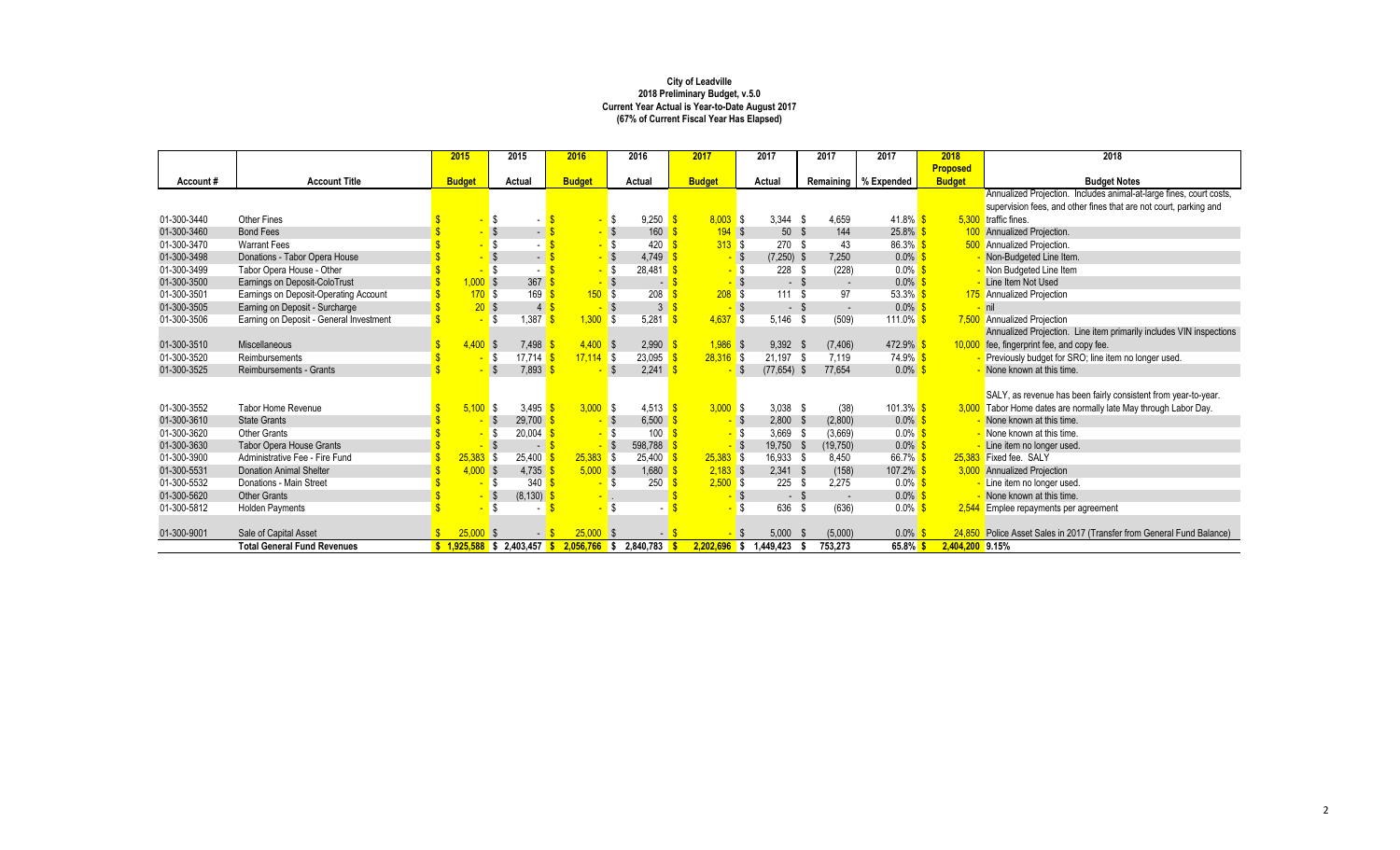|             |                                         | 2015          |             | 2015                        | 2016             |            | 2016                         | 2017           |            | 2017            |        | 2017                     | 2017                   | 2018            | 2018                                                                   |
|-------------|-----------------------------------------|---------------|-------------|-----------------------------|------------------|------------|------------------------------|----------------|------------|-----------------|--------|--------------------------|------------------------|-----------------|------------------------------------------------------------------------|
|             |                                         |               |             |                             |                  |            |                              |                |            |                 |        |                          |                        | <b>Proposed</b> |                                                                        |
| Account#    | <b>Account Title</b>                    | <b>Budget</b> |             | Actual                      | <b>Budget</b>    |            | Actual                       | <b>Budget</b>  |            | Actual          |        |                          | Remaining   % Expended | <b>Budget</b>   | <b>Budget Notes</b>                                                    |
|             |                                         |               |             |                             |                  |            |                              |                |            |                 |        |                          |                        |                 | Annualized Projection. Includes animal-at-large fines, court costs,    |
|             |                                         |               |             |                             |                  |            |                              |                |            |                 |        |                          |                        |                 | supervision fees, and other fines that are not court, parking and      |
| 01-300-3440 | Other Fines                             |               |             |                             |                  | -S         | 9,250                        |                | $8.003$ \$ | $3.344$ \$      |        | 4,659                    | $41.8\%$ \$            |                 | 5.300 traffic fines.                                                   |
| 01-300-3460 | <b>Bond Fees</b>                        |               |             | $\blacksquare$              |                  |            | 160                          |                | 194S       | 50 <sup>°</sup> | -\$    | 144                      | $25.8\%$ \$            |                 | 100 Annualized Projection.                                             |
| 01-300-3470 | <b>Warrant Fees</b>                     |               |             |                             |                  |            | 420                          |                | 313S       | 270             | - \$   | 43                       | $86.3%$ \$             |                 | <b>500</b> Annualized Projection.                                      |
| 01-300-3498 | Donations - Tabor Opera House           |               |             | $\blacksquare$              |                  |            | 4,749                        |                | $-$ \$     | $(7,250)$ \$    |        | 7,250                    | $0.0\%$ \$             |                 | Non-Budgeted Line Item.                                                |
| 01-300-3499 | Tabor Opera House - Other               |               |             |                             |                  |            | 28.481                       |                |            | 228 \$          |        | (228)                    | $0.0\%$ \$             |                 | - Non Budgeted Line Item                                               |
| 01-300-3500 | Earnings on Deposit-ColoTrust           |               | $1,000$ \$  | 367                         |                  | <b>S</b>   | - 1                          |                |            |                 | $-$ \$ | $\sim$                   | $0.0\%$ \$             |                 | - Line Item Not Used                                                   |
| 01-300-3501 | Earnings on Deposit-Operating Account   |               | 170S        | 169                         | 150 <sub>2</sub> | l S        | 208                          |                | 208S       | 111S            |        | 97                       | $53.3\%$ \$            |                 | 175 Annualized Projection                                              |
| 01-300-3505 | Earning on Deposit - Surcharge          |               | 20S         | 4 <sup>1</sup>              |                  | - \$       | $\mathbf{3}$                 |                |            |                 | $-5$   | $\overline{\phantom{a}}$ | $0.0\%$ \$             |                 | $-$ nil                                                                |
| 01-300-3506 | Earning on Deposit - General Investment |               |             | 1.387<br>l \$               | 1.300            | l \$       | 5.281                        | 4.637          | l \$       | $5.146$ \$      |        | (509)                    | 111.0% \$              |                 | 7,500 Annualized Projection                                            |
|             |                                         |               |             |                             |                  |            |                              |                |            |                 |        |                          |                        |                 | Annualized Projection. Line item primarily includes VIN inspections    |
| 01-300-3510 | Miscellaneous                           |               | 4.400S      | 7,498                       |                  | $4,400$ \$ | 2,990                        | $1,986$ \$     |            | $9,392$ \$      |        | (7, 406)                 | $472.9\%$ \$           |                 | 10,000 fee, fingerprint fee, and copy fee.                             |
| 01-300-3520 | Reimbursements                          |               | - \$        | 17.714                      | $17,114$ \$      |            | 23,095                       | $28,316$ \$    |            | 21,197 \$       |        | 7,119                    | $74.9\%$ \$            |                 | - Previously budget for SRO; line item no longer used.                 |
| 01-300-3525 | Reimbursements - Grants                 |               |             | 7,893                       |                  | -S         | 2,241                        |                |            | $(77, 654)$ \$  |        | 77,654                   | $0.0\%$ \$             |                 | - None known at this time.                                             |
|             |                                         |               |             |                             |                  |            |                              |                |            |                 |        |                          |                        |                 |                                                                        |
|             |                                         |               |             |                             |                  |            |                              |                |            |                 |        |                          |                        |                 | SALY, as revenue has been fairly consistent from year-to-year.         |
| 01-300-3552 | Tabor Home Revenue                      |               | 5.100S      | 3.495                       | 3.000 S          |            | $4.513$ $\sqrt{\frac{9}{5}}$ | 3.000 S        |            | $3,038$ \$      |        | (38)                     | $101.3\%$ \$           |                 | 3,000 Tabor Home dates are normally late May through Labor Day.        |
| 01-300-3610 | <b>State Grants</b>                     |               |             | 29,700<br>- 5               |                  | -\$        | 6,500                        |                |            | $2,800$ \$      |        | (2,800)                  | $0.0\%$ \$             |                 | - None known at this time.                                             |
| 01-300-3620 | Other Grants                            |               |             | 20,004                      |                  | l \$       | 100                          |                |            | $3,669$ \$      |        | (3,669)                  | $0.0\%$ \$             |                 | - None known at this time.                                             |
| 01-300-3630 | <b>Tabor Opera House Grants</b>         |               |             | $\sim$                      |                  | <b>S</b>   | 598,788                      |                |            | 19,750 \$       |        | (19,750)                 | $0.0\%$                |                 | - Line item no longer used.                                            |
| 01-300-3900 | Administrative Fee - Fire Fund          |               | $25,383$ \$ | 25,400                      | $25,383$ \$      |            | $25,400$ $\sqrt{3}$          | $25,383$ \$    |            | 16,933 \$       |        | 8.450                    | 66.7% S                |                 | 25.383 Fixed fee. SALY                                                 |
| 01-300-5531 | <b>Donation Animal Shelter</b>          |               | $4,000$ \$  | 4,735                       | $5,000$ \$       |            | 1,680                        | $2,183$ \$     |            | $2,341$ \$      |        | (158)                    | 107.2% \$              |                 | 3,000 Annualized Projection                                            |
| 01-300-5532 | Donations - Main Street                 |               |             | 340<br>ß.                   |                  | -S         | 250                          |                | $2,500$ \$ | 225S            |        | 2.275                    | $0.0\%$ \$             |                 | - Line item no longer used.                                            |
| 01-300-5620 | <b>Other Grants</b>                     |               |             | (8, 130)<br>  \$            |                  |            |                              |                |            |                 | - \$   | $\sim$                   | $0.0\%$ \$             |                 | - None known at this time.                                             |
| 01-300-5812 | <b>Holden Payments</b>                  |               |             |                             |                  | S.         |                              |                |            | 636 \$          |        | (636)                    | $0.0\%$ \$             |                 | 2,544 Emplee repayments per agreement                                  |
|             |                                         |               |             |                             |                  |            |                              |                |            |                 |        |                          |                        |                 |                                                                        |
| 01-300-9001 | Sale of Capital Asset                   | 25,000        |             | $\overline{\phantom{a}}$    | 25,000           |            |                              |                |            | 5,000           | - \$   | (5,000)                  | 0.0%                   |                 | 24,850 Police Asset Sales in 2017 (Transfer from General Fund Balance) |
|             | <b>Total General Fund Revenues</b>      |               |             | $1.925.588$ \$ 2.403.457 \$ | 2.056.766        | s          | 2.840.783                    | $2.202.696$ \$ |            | .449.423        |        | 753.273                  | $65.8\%$               | 2.404.200 9.15% |                                                                        |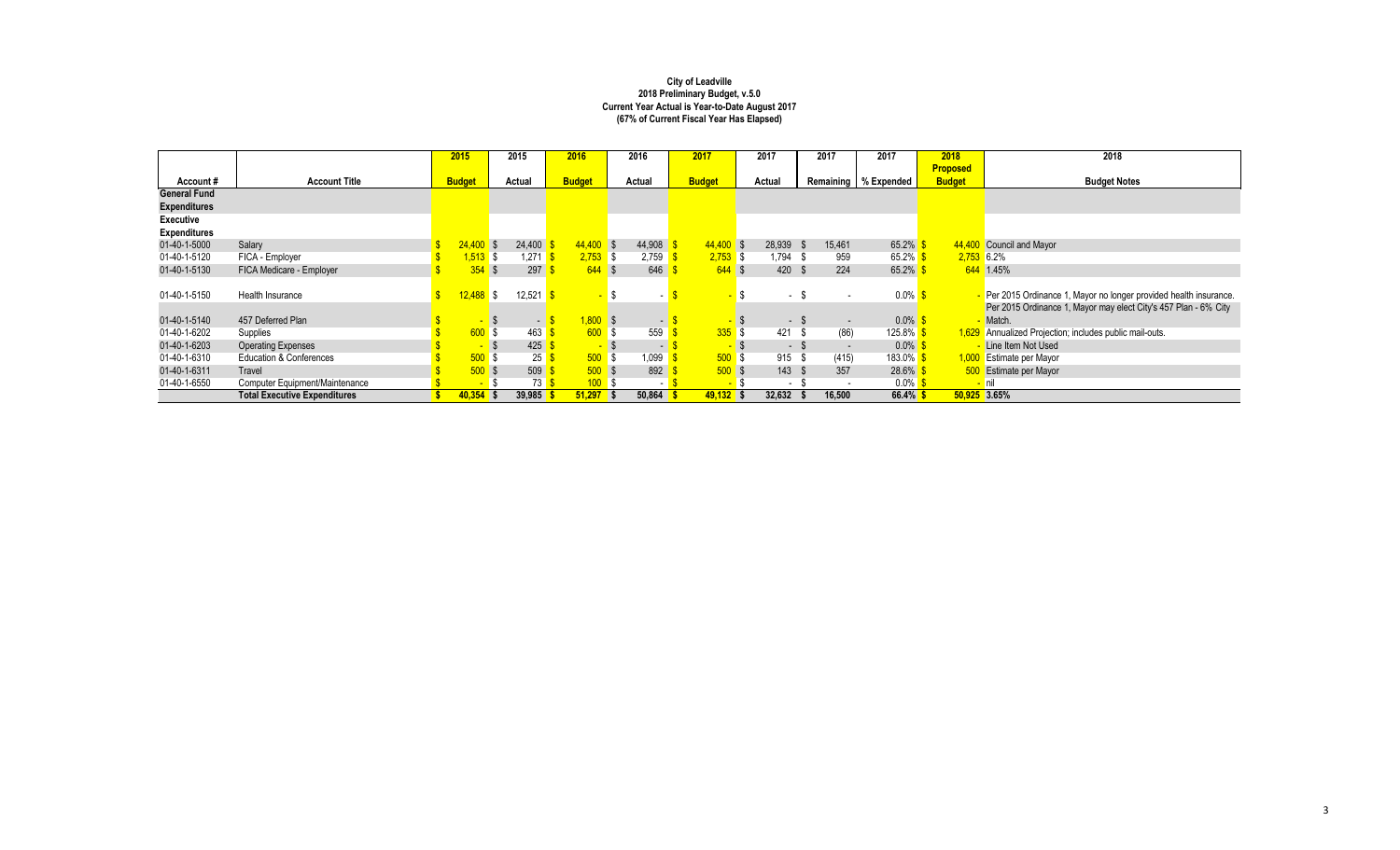|                     |                                     | 2015                     | 2015        | 2016 |               | 2016       |     | 2017           |   | 2017          |    | 2017                     | 2017                   | 2018            | 2018                                                               |
|---------------------|-------------------------------------|--------------------------|-------------|------|---------------|------------|-----|----------------|---|---------------|----|--------------------------|------------------------|-----------------|--------------------------------------------------------------------|
|                     |                                     |                          |             |      |               |            |     |                |   |               |    |                          |                        | <b>Proposed</b> |                                                                    |
| Account#            | <b>Account Title</b>                | <b>Budget</b>            | Actual      |      | <b>Budget</b> | Actual     |     | <b>Budget</b>  |   | Actual        |    |                          | Remaining   % Expended | <b>Budget</b>   | <b>Budget Notes</b>                                                |
| <b>General Fund</b> |                                     |                          |             |      |               |            |     |                |   |               |    |                          |                        |                 |                                                                    |
| <b>Expenditures</b> |                                     |                          |             |      |               |            |     |                |   |               |    |                          |                        |                 |                                                                    |
| Executive           |                                     |                          |             |      |               |            |     |                |   |               |    |                          |                        |                 |                                                                    |
| <b>Expenditures</b> |                                     |                          |             |      |               |            |     |                |   |               |    |                          |                        |                 |                                                                    |
| 01-40-1-5000        | Salary                              | $24.400$ \$              | 24,400      |      | $44,400$ \$   | 44,908     |     | $44.400$ \$    |   | 28,939 \$     |    | 15,461                   | 65.2%                  |                 | 44,400 Council and Mayor                                           |
| 01-40-1-5120        | FICA - Employer                     | 1,513 \$                 | 1.271       |      | $2,753$ \$    | $2,759$ \$ |     | $2,753$ \$     |   | 1,794 \$      |    | 959                      | 65.2% \$               |                 | $2,753$ 6.2%                                                       |
| 01-40-1-5130        | FICA Medicare - Employer            | 354                      | 297         |      | $644$ \$      | 646        |     | $644$ \$       |   | 420 \$        |    | 224                      | $65.2\%$               |                 | 644 1.45%                                                          |
|                     |                                     |                          |             |      |               |            |     |                |   |               |    |                          |                        |                 |                                                                    |
| 01-40-1-5150        | Health Insurance                    | $12,488$ \$              | 12,521      |      |               |            |     |                | S | - \$          |    |                          | $0.0\%$ \$             |                 | - Per 2015 Ordinance 1, Mayor no longer provided health insurance. |
|                     |                                     |                          |             |      |               |            |     |                |   |               |    |                          |                        |                 | Per 2015 Ordinance 1, Mayor may elect City's 457 Plan - 6% City    |
| 01-40-1-5140        | 457 Deferred Plan                   | <b>Contract</b>          | $\sim$      |      | $1,800$ \$    |            | - 1 | <b>COLLEGE</b> |   | $-$ \$        |    | $\overline{\phantom{a}}$ | $0.0\%$ \$             |                 | Match.                                                             |
| 01-40-1-6202        | Supplies                            | 600S                     | 463         |      | 600S          | 559        |     | $335$ \$       |   | 421           | -S | (86)                     | 125.8% <mark>\$</mark> |                 | 1,629 Annualized Projection; includes public mail-outs.            |
| 01-40-1-6203        | <b>Operating Expenses</b>           | $\overline{\phantom{a}}$ | 425         |      | <b>FREE</b>   |            | . . | $\sim$         |   | $-$ \$        |    |                          | $0.0\%$                |                 | Line Item Not Used                                                 |
| 01-40-1-6310        | Education & Conferences             | $500$ \$                 | 25          |      | 500S          | .099       |     | 500S           |   | 915 \$        |    | (415)                    | 183.0% <mark>\$</mark> |                 | 1,000 Estimate per Mayor                                           |
| 01-40-1-6311        | <b>Travel</b>                       | 500S                     | 509         |      | 500S          | 892        |     | 500S           |   | $143 \quad $$ |    | 357                      | $28.6\%$               |                 | 500 Estimate per Mayor                                             |
| 01-40-1-6550        | Computer Equipment/Maintenance      | <b>F</b>                 | 73          |      | 100S          |            | - 1 | <b>F</b>       |   | $\sim$        |    | $\overline{\phantom{a}}$ | $0.0\%$                |                 | <mark>- nil</mark>                                                 |
|                     | <b>Total Executive Expenditures</b> | $40.354$ \$              | $39.985$ \$ |      | $51,297$ \$   | 50.864     |     | $49.132$ \$    |   | 32,632        |    | 16,500                   | $66.4\%$ \$            |                 | 50.925 3.65%                                                       |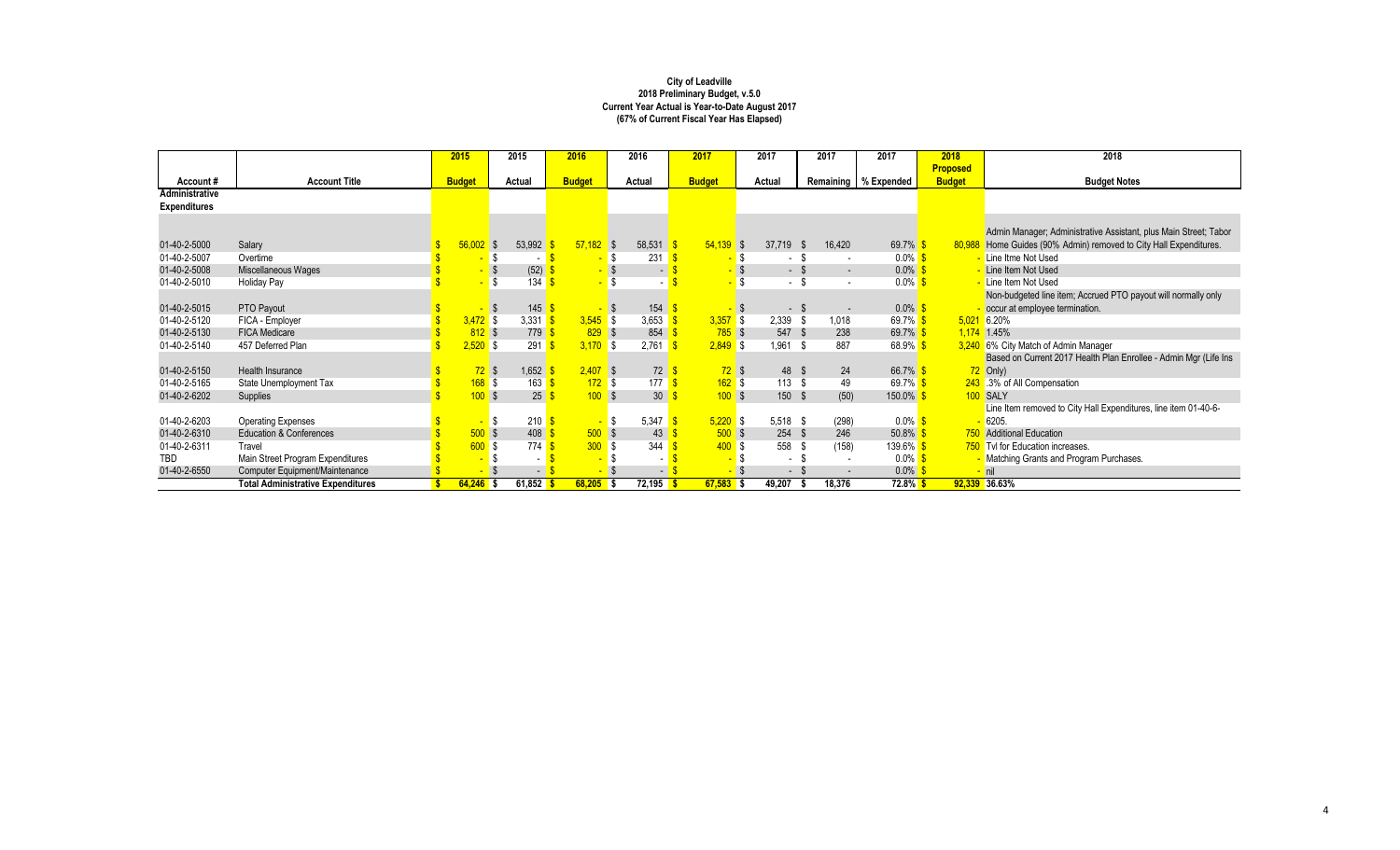|                     |                                          | 2015          | 2015                 | 2016          |             | 2016                                 | 2017          |      | 2017       | 2017                     | 2017                   | 2018            | 2018                                                              |
|---------------------|------------------------------------------|---------------|----------------------|---------------|-------------|--------------------------------------|---------------|------|------------|--------------------------|------------------------|-----------------|-------------------------------------------------------------------|
|                     |                                          |               |                      |               |             |                                      |               |      |            |                          |                        | <b>Proposed</b> |                                                                   |
| Account#            | <b>Account Title</b>                     | <b>Budget</b> | Actual               | <b>Budget</b> |             | Actual                               | <b>Budget</b> |      | Actual     |                          | Remaining   % Expended | <b>Budget</b>   | <b>Budget Notes</b>                                               |
| Administrative      |                                          |               |                      |               |             |                                      |               |      |            |                          |                        |                 |                                                                   |
| <b>Expenditures</b> |                                          |               |                      |               |             |                                      |               |      |            |                          |                        |                 |                                                                   |
|                     |                                          |               |                      |               |             |                                      |               |      |            |                          |                        |                 |                                                                   |
|                     |                                          |               |                      |               |             |                                      |               |      |            |                          |                        |                 | Admin Manager; Administrative Assistant, plus Main Street; Tabor  |
| 01-40-2-5000        | Salary                                   | 56,002        | 53,992<br>$\sqrt{s}$ |               | $57,182$ \$ | $58,531$ $\frac{\text{S}}{\text{S}}$ | $54,139$ \$   |      | 37,719 \$  | 16,420                   | 69.7% \$               |                 | 80,988 Home Guides (90% Admin) removed to City Hall Expenditures. |
| 01-40-2-5007        | Overtime                                 |               |                      |               | - \$        | 231                                  |               | - \$ | $\sim$     | - \$                     | $0.0\%$ \$             |                 | Line Itme Not Used                                                |
| 01-40-2-5008        | Miscellaneous Wages                      |               | (52)                 |               |             | ۰.                                   |               |      | - \$       | $\sim$                   | $0.0\%$                |                 | Line Item Not Used                                                |
| 01-40-2-5010        | Holiday Pay                              |               | 134                  |               |             |                                      |               | \$   | $-$ \$     |                          | $0.0\%$                |                 | Line Item Not Used                                                |
|                     |                                          |               |                      |               |             |                                      |               |      |            |                          |                        |                 | Non-budgeted line item; Accrued PTO payout will normally only     |
| 01-40-2-5015        | PTO Payout                               |               | 145<br>- \$          |               | <b>S</b>    | 154                                  |               |      | $-$ \$     | $\overline{\phantom{a}}$ | $0.0\%$ \$             |                 | occur at employee termination.                                    |
| 01-40-2-5120        | FICA - Employer                          | $3,472$ \$    | 3.331                |               | $3,545$ \$  | 3,653 \$                             | $3,357$ \$    |      | $2,339$ \$ | 1,018                    | 69.7% \$               | 5.021           | 6.20%                                                             |
| 01-40-2-5130        | <b>FICA Medicare</b>                     | $812$ \$      | 779                  |               | 829S        | 854                                  | $785$ \$      |      | 547 \$     | 238                      | 69.7% \$               |                 | 1,174 1.45%                                                       |
| 01-40-2-5140        | 457 Deferred Plan                        | $2,520$ \$    | 291                  |               | $3,170$ \$  | 2,761                                | $2.849$ \$    |      | 1,961 \$   | 887                      | $68.9\%$               |                 | 3,240 6% City Match of Admin Manager                              |
|                     |                                          |               |                      |               |             |                                      |               |      |            |                          |                        |                 | Based on Current 2017 Health Plan Enrollee - Admin Mgr (Life Ins  |
| 01-40-2-5150        | Health Insurance                         | $72$ \$       | 1,652                |               | $2,407$ \$  | 72 <sup>8</sup>                      | $72$ \$       |      | 48 \$      | 24                       | 66.7% \$               |                 | $72$ Only)                                                        |
| 01-40-2-5165        | State Unemployment Tax                   | $168$ \$      | 163                  |               | 172S        | 177 $\sqrt$                          | 162S          |      | 113S       | 49                       | 69.7% <mark>\$</mark>  |                 | 243 .3% of All Compensation                                       |
| 01-40-2-6202        | Supplies                                 | 100S          | 25                   |               | 100S        | 30 <sup>°</sup>                      | 100S          |      | 150 \$     | (50)                     | 150.0% <sup>S</sup>    |                 | 100 SALY                                                          |
|                     |                                          |               |                      |               |             |                                      |               |      |            |                          |                        |                 | Line Item removed to City Hall Expenditures, line item 01-40-6-   |
| 01-40-2-6203        | <b>Operating Expenses</b>                |               | 210                  |               | - \$        | 5,347                                | $5.220$ \$    |      | $5,518$ \$ | (298)                    | $0.0\%$ \$             |                 | 6205                                                              |
| 01-40-2-6310        | <b>Education &amp; Conferences</b>       | $500$ \$      | 408                  |               | 500S        | 43                                   | 500S          |      | $254$ \$   | 246                      | $50.8\%$               |                 | 750 Additional Education                                          |
| 01-40-2-6311        | Travel                                   | 600           | 774<br>l \$          |               | 300 S       | 344                                  | 400S          |      | 558        | (158)<br>.ኤ              | 139.6% S               |                 | 750 Tvl for Education increases.                                  |
| <b>TBD</b>          | Main Street Program Expenditures         |               | $\sim$               |               |             | ٠                                    |               |      | $\sim$     |                          | $0.0\%$ \$             |                 | Matching Grants and Program Purchases.                            |
| 01-40-2-6550        | Computer Equipment/Maintenance           |               | $\sim$               |               |             | $-1$                                 |               |      | - \$       |                          | $0.0\%$                |                 | nil                                                               |
|                     | <b>Total Administrative Expenditures</b> | $64,246$ \$   | 61,852               |               | $68,205$ \$ | $72,195$ \$                          | $67,583$ \$   |      | 49,207     | 18,376                   | 72.8% S                |                 | 92,339 36.63%                                                     |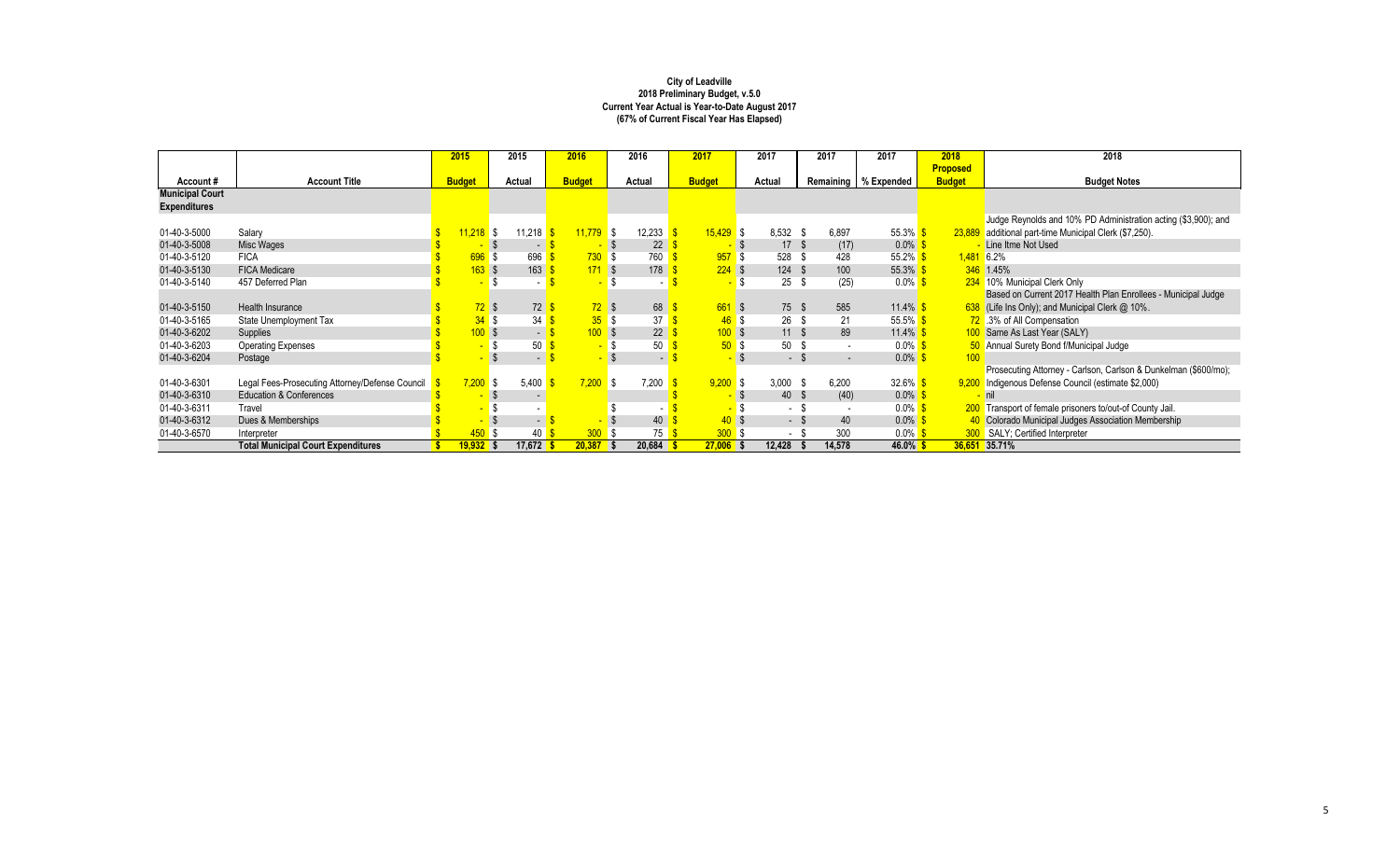|                        |                                                 | 2015                   | 2015     |        | 2016          | 2016            | 2017          |          | 2017       | 2017                     | 2017                              | 2018            | 2018                                                            |
|------------------------|-------------------------------------------------|------------------------|----------|--------|---------------|-----------------|---------------|----------|------------|--------------------------|-----------------------------------|-----------------|-----------------------------------------------------------------|
|                        |                                                 |                        |          |        |               |                 |               |          |            |                          |                                   | <b>Proposed</b> |                                                                 |
| Account#               | <b>Account Title</b>                            | <b>Budget</b>          | Actual   |        | <b>Budget</b> | Actual          | <b>Budget</b> |          | Actual     |                          | Remaining   % Expended            | <b>Budget</b>   | <b>Budget Notes</b>                                             |
| <b>Municipal Court</b> |                                                 |                        |          |        |               |                 |               |          |            |                          |                                   |                 |                                                                 |
| <b>Expenditures</b>    |                                                 |                        |          |        |               |                 |               |          |            |                          |                                   |                 |                                                                 |
|                        |                                                 |                        |          |        |               |                 |               |          |            |                          |                                   |                 | Judge Reynolds and 10% PD Administration acting (\$3,900); and  |
| 01-40-3-5000           | Salary                                          | $11,218$ \$            |          | 11,218 | 11.779        | 12,233<br>l \$  | $15.429$ \$   |          | $8,532$ \$ | 6.897                    | $55.3\%$                          |                 | 23,889 additional part-time Municipal Clerk (\$7,250).          |
| 01-40-3-5008           | Misc Wages                                      |                        |          | $\sim$ |               | 22              |               |          | 17         | (17)<br>- \$             | $0.0\%$                           |                 | Line Itme Not Used                                              |
| 01-40-3-5120           | <b>FICA</b>                                     |                        | 696S     | 696    | 730S          | 760             |               | 957S     | 528        | 428                      | $55.2\%$                          |                 | $1,481$ 6.2%                                                    |
| 01-40-3-5130           | <b>FICA Medicare</b>                            |                        | $163$ \$ | 163    | 171S          | 178             |               | $224$ \$ | 124        | 100<br>-\$               | $55.3\%$                          |                 | 346 1.45%                                                       |
| 01-40-3-5140           | 457 Deferred Plan                               |                        |          |        |               |                 |               | \$.      | 25         | (25)<br>- \$             | $0.0\%$                           |                 | 234 10% Municipal Clerk Only                                    |
|                        |                                                 |                        |          |        |               |                 |               |          |            |                          |                                   |                 | Based on Current 2017 Health Plan Enrollees - Municipal Judge   |
| 01-40-3-5150           | Health Insurance                                |                        | $72$ \$  | 72     | 72S           | 68              |               | 661S     | 75 \$      | 585                      | $11.4\%$ \$                       |                 | $638$ (Life Ins Only); and Municipal Clerk $@$ 10%.             |
| 01-40-3-5165           | State Unemployment Tax                          |                        | 34S      | 34     | 35S           | 37              |               | 46S      | 26         | 21<br>- \$               | 55.5% $\frac{\text{S}}{\text{S}}$ |                 | 72 .3% of All Compensation                                      |
| 01-40-3-6202           | Supplies                                        |                        | 100S     | $-1$   | 100S          | 22 <sub>1</sub> |               | 100S     | 11         | 89<br>- S                | 11.4% $\frac{\text{S}}{\text{S}}$ |                 | 100 Same As Last Year (SALY)                                    |
| 01-40-3-6203           | <b>Operating Expenses</b>                       |                        |          | 50     |               | 50              |               | 50S      | 50         | - \$                     | $0.0\%$ \$                        |                 | 50 Annual Surety Bond f/Municipal Judge                         |
| 01-40-3-6204           | Postage                                         |                        |          | $\sim$ |               | - 1             |               |          |            | - \$                     | $0.0\%$                           |                 |                                                                 |
|                        |                                                 |                        |          |        |               |                 |               |          |            |                          |                                   |                 | Prosecuting Attorney - Carlson, Carlson & Dunkelman (\$600/mo); |
| 01-40-3-6301           | Legal Fees-Prosecuting Attorney/Defense Council | $7,200$ \$             |          | 5,400  | 7,200         | 7,200<br>l \$   | $9,200$ \$    |          | $3,000$ \$ | 6,200                    | $32.6\%$                          |                 | 9,200 Indigenous Defense Council (estimate \$2,000)             |
| 01-40-3-6310           | <b>Education &amp; Conferences</b>              |                        |          |        |               |                 |               |          | 40         | (40)<br>-S               | $0.0\%$                           |                 |                                                                 |
| 01-40-3-6311           | Travel                                          |                        |          |        |               |                 |               |          | - \$       | $\overline{\phantom{a}}$ | $0.0\%$                           |                 | 200 Transport of female prisoners to/out-of County Jail.        |
| 01-40-3-6312           | Dues & Memberships                              |                        |          | $\sim$ |               | 40              |               | 40S      |            | $-$ \$<br>40             | $0.0\%$                           |                 | 40 Colorado Municipal Judges Association Membership             |
| 01-40-3-6570           | Interpreter                                     |                        | 450S     | 40     | 300S          | 75              |               | 300S     | ۰.         | 300<br>- \$              | $0.0\%$                           |                 | <b>300</b> SALY; Certified Interpreter                          |
|                        | <b>Total Municipal Court Expenditures</b>       | <mark>19,932</mark> \$ |          | 17,672 | $20,387$ \$   | 20,684          | $27,006$ \$   |          | 12,428     | 14,578                   | $46.0\%$                          |                 | 36,651 35.71%                                                   |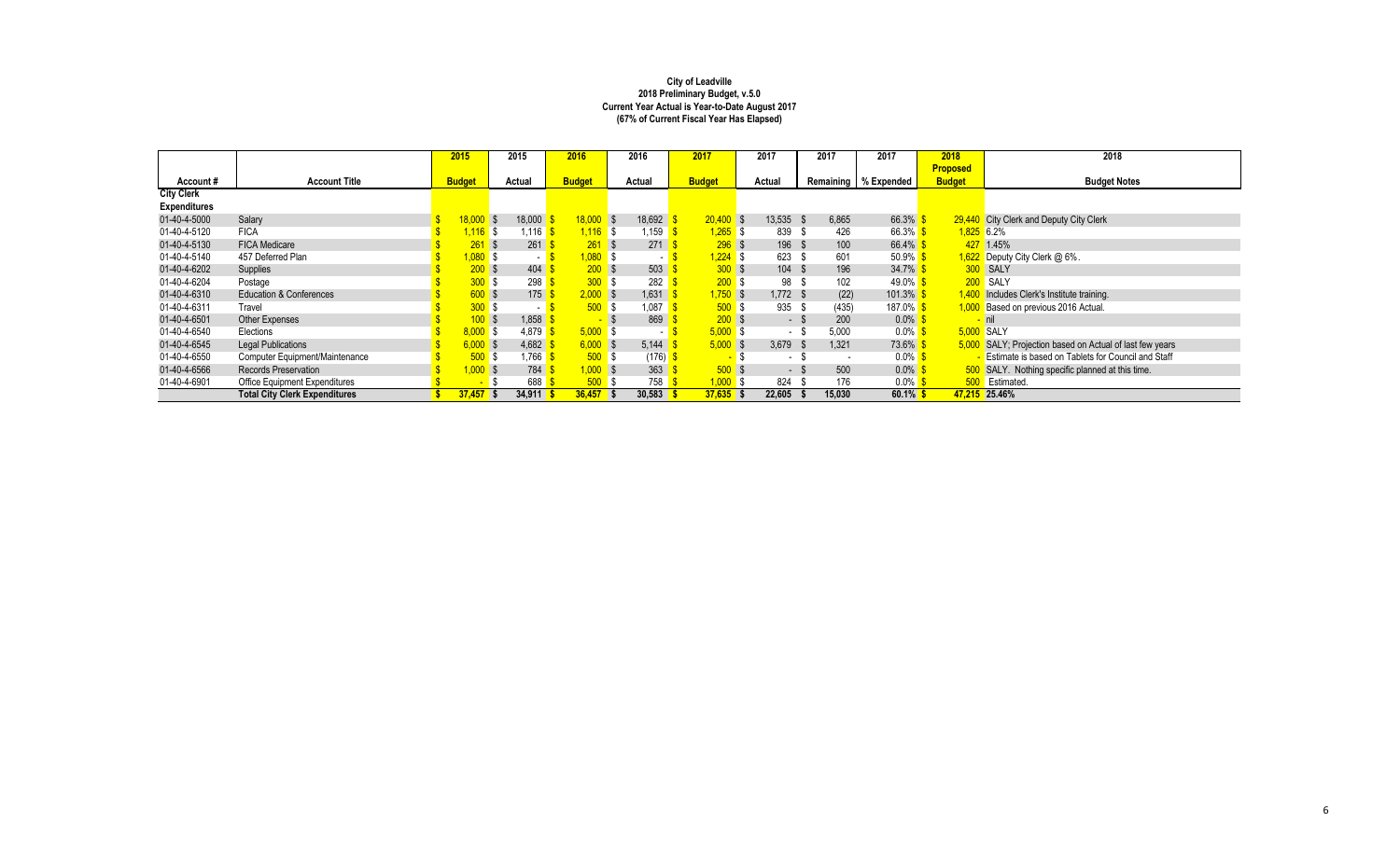|                     |                                      | 2015          | 2015                 | 2016          | 2016          | 2017          | 2017             | 2017                             | 2017                  | 2018            | 2018                                                     |
|---------------------|--------------------------------------|---------------|----------------------|---------------|---------------|---------------|------------------|----------------------------------|-----------------------|-----------------|----------------------------------------------------------|
|                     |                                      |               |                      |               |               |               |                  |                                  |                       | <b>Proposed</b> |                                                          |
| Account#            | <b>Account Title</b>                 | <b>Budget</b> | Actual               | <b>Budget</b> | Actual        | <b>Budget</b> | Actual           | Remaining                        | % Expended            | <b>Budget</b>   | <b>Budget Notes</b>                                      |
| <b>City Clerk</b>   |                                      |               |                      |               |               |               |                  |                                  |                       |                 |                                                          |
| <b>Expenditures</b> |                                      |               |                      |               |               |               |                  |                                  |                       |                 |                                                          |
| 01-40-4-5000        | Salary                               | 18.000        | 18,000               | $18,000$ \$   | 18,692        | $20.400$ \$   | $13,535$ \$      | 6.865                            | 66.3% \$              |                 | 29,440 City Clerk and Deputy City Clerk                  |
| 01-40-4-5120        | <b>FICA</b>                          | $1.116$ \$    | 1.116 <mark>S</mark> | $1,116$ \$    | .159          | .265S         | 839 \$           | 426                              | 66.3% \$              | $1.825$ 6.2%    |                                                          |
| 01-40-4-5130        | <b>FICA Medicare</b>                 | $261$ \$      | 261                  | 261S          | 271           | 296S          | 196 \$           | 100                              | 66.4% \$              |                 | 427 1.45%                                                |
| 01-40-4-5140        | 457 Deferred Plan                    | $1,080$ \$    | $-1$ S               | 1.080 S       |               | $1.224$ \$    | 623 \$           | 601                              | 50.9% $$$             |                 | $1,622$ Deputy City Clerk @ 6%.                          |
| 01-40-4-6202        | Supplies                             | 200S          | 404                  | 200S          | 503           | 300S          | $104 \text{ } $$ | 196                              | $34.7\%$ \$           |                 | 300 SALY                                                 |
| 01-40-4-6204        | Postage                              | 300S          | 298                  | 300 S         | 282           | 200S          | 98 \$            | 102                              | 49.0% <mark>\$</mark> |                 | 200 SALY                                                 |
| 01-40-4-6310        | <b>Education &amp; Conferences</b>   | 600S          | 175                  | 2.000 S       | 1,631         | $1,750$ \$    | $1.772$ \$       | (22)                             | $101.3\%$ \$          |                 | 1,400 Includes Clerk's Institute training.               |
| 01-40-4-6311        | Travel                               | 300S          |                      | 500S          | ,087          | 500S          | 935 \$           | (435)                            | 187.0% \$             |                 | 1,000 Based on previous 2016 Actual.                     |
| 01-40-4-6501        | Other Expenses                       | 100S          | 1,858                |               | 869           | 200S          | $-$ \$           | 200                              | $0.0\%$ \$            |                 | <u>-</u> nil                                             |
| 01-40-4-6540        | Elections                            | 8.000S        | 4.879                | 5.000 S       |               | 5.000 S       | - \$             | 5.000                            | $0.0\%$ \$            |                 | 5.000 SALY                                               |
| 01-40-4-6545        | <b>Legal Publications</b>            | 6.000S        | 4,682                | 6.000 S       | 5,144         | $5,000$ \$    | $3.679$ \$       | 1,321                            | 73.6% \$              |                 | 5,000 SALY; Projection based on Actual of last few years |
| 01-40-4-6550        | Computer Equipment/Maintenance       | 500S          | .766                 | 500S          |               | $(176)$ \$    | $-$ \$<br>$\sim$ | - \$<br>$\overline{\phantom{a}}$ | $0.0\%$ \$            |                 | - Estimate is based on Tablets for Council and Staff     |
| 01-40-4-6566        | <b>Records Preservation</b>          | $,000$ \$     | 784                  | $1,000$ \$    | 363           | 500S          | - \$             | 500                              | $0.0\%$ \$            |                 | 500 SALY. Nothing specific planned at this time.         |
| 01-40-4-6901        | Office Equipment Expenditures        |               | 688                  | 500S          | 758           | $1,000$ \$    | 824              | 176<br>- \$                      | $0.0\%$ \$            |                 | 500 Estimated.                                           |
|                     | <b>Total City Clerk Expenditures</b> | $37,457$ \$   | $34,911$ \$          | 36.457        | 30,583<br>l S | 37,635        | 22,605           | 15,030                           | $60.1\%$ \$           |                 | 47,215 25.46%                                            |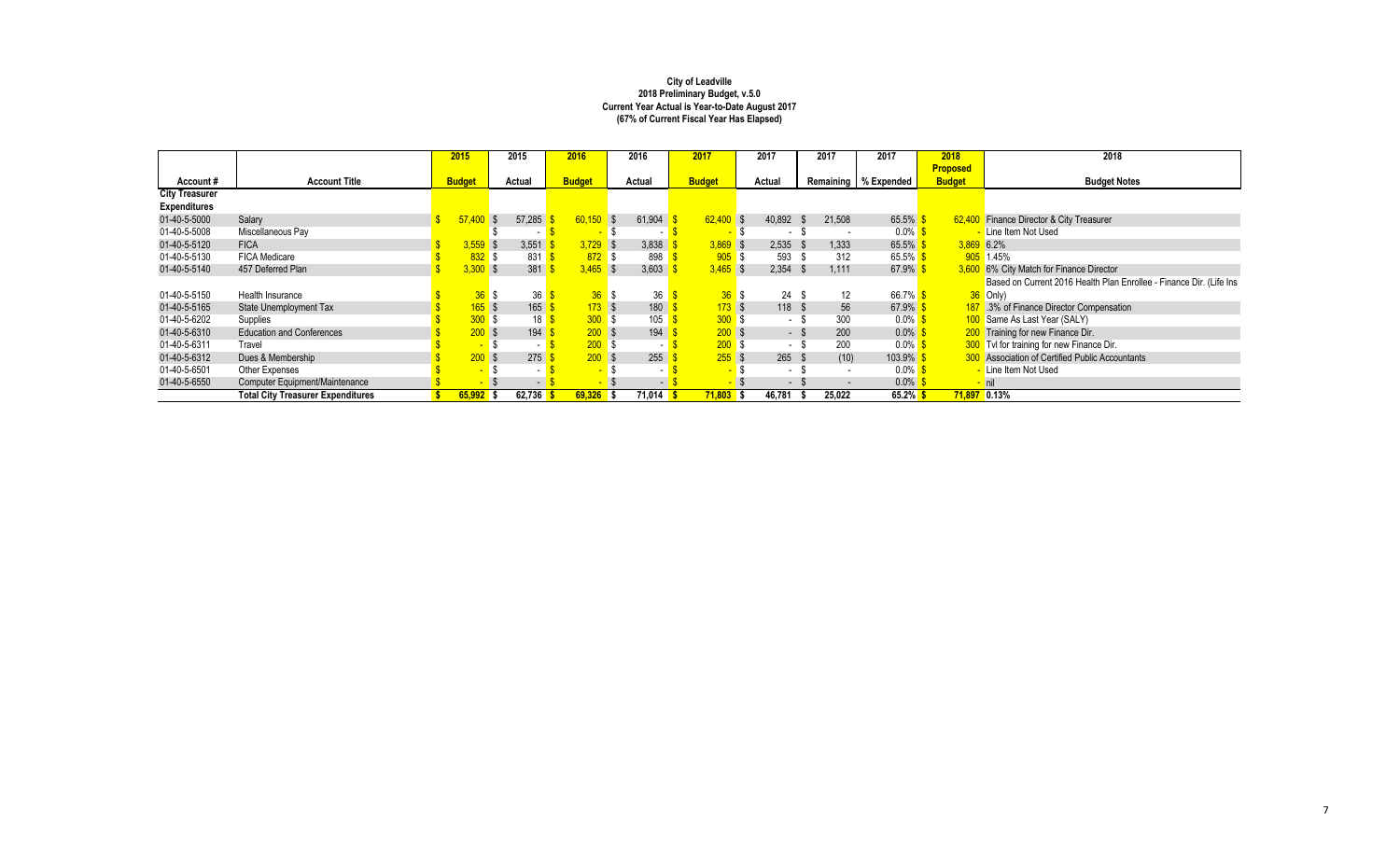|                       |                                          | 2015            | 2015      | 2016          |            | 2016   | 2017          | 2017       | 2017                     | 2017                   | 2018            | 2018                                                                |
|-----------------------|------------------------------------------|-----------------|-----------|---------------|------------|--------|---------------|------------|--------------------------|------------------------|-----------------|---------------------------------------------------------------------|
|                       |                                          |                 |           |               |            |        |               |            |                          |                        | <b>Proposed</b> |                                                                     |
| Account#              | <b>Account Title</b>                     | <b>Budget</b>   | Actual    | <b>Budget</b> |            | Actual | <b>Budget</b> | Actual     |                          | Remaining   % Expended | <b>Budget</b>   | <b>Budget Notes</b>                                                 |
| <b>City Treasurer</b> |                                          |                 |           |               |            |        |               |            |                          |                        |                 |                                                                     |
| <b>Expenditures</b>   |                                          |                 |           |               |            |        |               |            |                          |                        |                 |                                                                     |
| 01-40-5-5000          | Salary                                   | 57.40           | 57,285    | 60.150        | <b>S</b>   | 61,904 | $62,400$ \$   | 40,892     | 21,508<br>- \$           | $65.5\%$ \$            |                 | 62,400 Finance Director & City Treasurer                            |
| 01-40-5-5008          | Miscellaneous Pay                        |                 |           |               | . .        |        | $\sim$        | - \$       | . .                      | $0.0\%$ \$             |                 | - Line Item Not Used                                                |
| 01-40-5-5120          | <b>FICA</b>                              | $3.559$ \$      | 3,551     |               | $3.729$ \$ | 3,838  | $3.869$ \$    | $2,535$ \$ | 1.333                    | 65.5% \$               | $3,869$ 6.2%    |                                                                     |
| 01-40-5-5130          | <b>FICA Medicare</b>                     | $832$ \$        | 831       |               | 872S       | 898    | $905$ \$      | 593        | 312<br>- \$              | 65.5% $$$              |                 | 905 1.45%                                                           |
| 01-40-5-5140          | 457 Deferred Plan                        | 3.300           | 381       |               | $3.465$ \$ | 3,603  | $3.465$ \$    | $2,354$ \$ | 1.111                    | 67.9% \$               |                 | 3,600 6% City Match for Finance Director                            |
|                       |                                          |                 |           |               |            |        |               |            |                          |                        |                 | Based on Current 2016 Health Plan Enrollee - Finance Dir. (Life Ins |
| 01-40-5-5150          | Health Insurance                         | 36S             | 36        |               | 36S        | 36     | 36S           | 24S        | $12 \overline{ }$        | 66.7% \$               |                 | $36$ Only)                                                          |
| 01-40-5-5165          | State Unemployment Tax                   | $165$ \$        | 165       |               | 173S       | 180    | 173S          | 118S       | 56                       | $67.9\%$ \$            |                 | 187 .3% of Finance Director Compensation                            |
| 01-40-5-6202          | Supplies                                 | 300S            | 18        |               | 300S       | 105    | 300S          | - \$       | 300                      | $0.0\%$ \$             |                 | 100 Same As Last Year (SALY)                                        |
| 01-40-5-6310          | <b>Education and Conferences</b>         | 200S            | 194       |               | 200S       | 194    | 200S          | - \$       | 200                      | $0.0\%$ \$             |                 | 200 Training for new Finance Dir.                                   |
| 01-40-5-6311          | Travel                                   | $-5$            | $\sim$    |               | 200S       |        | 200S          | - \$       | 200                      | $0.0\%$ \$             |                 | 300 Tvl for training for new Finance Dir.                           |
| 01-40-5-6312          | Dues & Membership                        | 200S            | 275       |               | 200S       | 255    | $255$ \$      | $265$ \$   | (10)                     | $103.9\%$ \$           |                 | <b>300</b> Association of Certified Public Accountants              |
| 01-40-5-6501          | Other Expenses                           | $\sim$          | - 1       |               |            |        | $\sim$        | - \$       | $\overline{\phantom{a}}$ | $0.0\%$ \$             |                 | - Line Item Not Used                                                |
| 01-40-5-6550          | Computer Equipment/Maintenance           | <b>START OF</b> | $-1$      |               |            |        |               | - \$       | $\overline{\phantom{a}}$ | $0.0\%$ \$             |                 | $-$ nil                                                             |
|                       | <b>Total City Treasurer Expenditures</b> | $65,992$ \$     | 62,736 \$ | $69,326$ \$   |            | 71,014 | $71,803$ \$   | 46,781     | 25,022                   | 65.2% \$               | $71,897$ 0.13%  |                                                                     |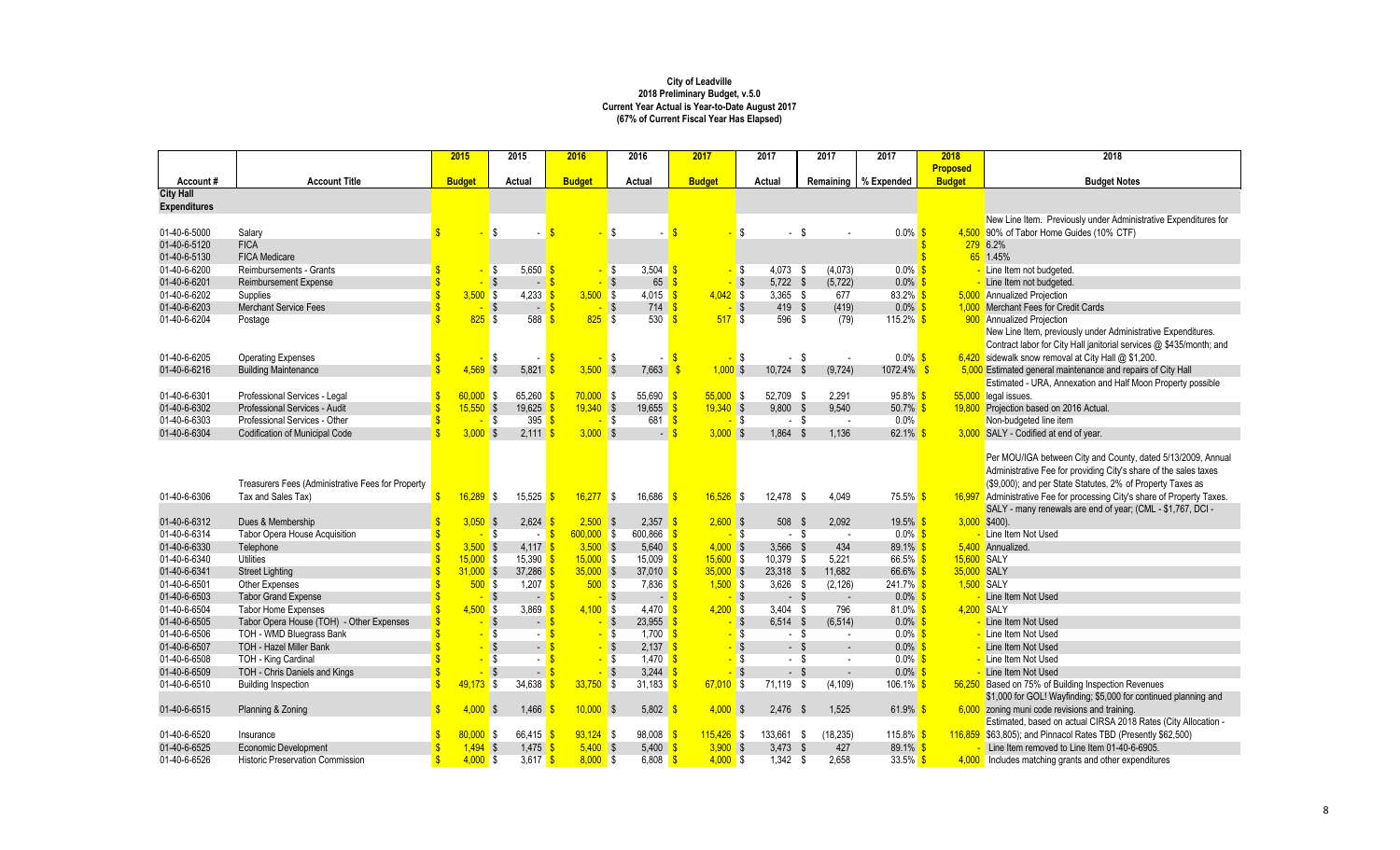|                                         |                                                   | 2015               |               | 2015                                 | 2016          |              | 2016                                     | 2017                     |                   | 2017       | 2017                | 2017                   | 2018            | 2018                                                                     |
|-----------------------------------------|---------------------------------------------------|--------------------|---------------|--------------------------------------|---------------|--------------|------------------------------------------|--------------------------|-------------------|------------|---------------------|------------------------|-----------------|--------------------------------------------------------------------------|
|                                         |                                                   |                    |               |                                      |               |              |                                          |                          |                   |            |                     |                        | <b>Proposed</b> |                                                                          |
| Account#                                | <b>Account Title</b>                              |                    | <b>Budget</b> | Actual                               | <b>Budget</b> |              | Actual                                   | <b>Budget</b>            |                   | Actual     | Remaining           | % Expended             | <b>Budget</b>   | <b>Budget Notes</b>                                                      |
| <b>City Hall</b><br><b>Expenditures</b> |                                                   |                    |               |                                      |               |              |                                          |                          |                   |            |                     |                        |                 |                                                                          |
|                                         |                                                   |                    |               |                                      |               |              |                                          |                          |                   |            |                     |                        |                 | New Line Item. Previously under Administrative Expenditures for          |
| 01-40-6-5000                            | Salarv                                            |                    |               | \$                                   |               |              | \$                                       | $\sqrt{s}$               | \$                | $-$ \$     |                     | $0.0\%$ \$             |                 | 4,500 90% of Tabor Home Guides (10% CTF)                                 |
| 01-40-6-5120                            | <b>FICA</b>                                       |                    |               |                                      |               |              |                                          |                          |                   |            |                     |                        |                 | 279 6.2%                                                                 |
| 01-40-6-5130                            | <b>FICA Medicare</b>                              |                    |               |                                      |               |              |                                          |                          |                   |            |                     |                        |                 | 65 1.45%                                                                 |
| 01-40-6-6200                            | Reimbursements - Grants                           |                    |               | \$<br>$5.650$ \$                     |               |              | 3.504 $\sqrt{s}$<br>\$                   |                          | - \$              | $4,073$ \$ | (4,073)             | $0.0\%$ \$             |                 | - Line Item not budgeted.                                                |
| 01-40-6-6201                            | <b>Reimbursement Expense</b>                      | \$                 |               | S,<br>$\sim$                         |               |              | 65<br>-\$                                | <sup>\$</sup>            | - \$              | $5,722$ \$ | (5, 722)            | 0.0%                   |                 | - Line Item not budgeted.                                                |
| 01-40-6-6202                            | Supplies                                          | \$                 | $3,500$ \$    | 4,233                                |               | $3,500$ \$   | $4,015$ \$                               | $4,042$ \$               |                   | $3,365$ \$ | 677                 | $83.2\%$ \$            |                 | 5,000 Annualized Projection                                              |
| 01-40-6-6203                            | <b>Merchant Service Fees</b>                      |                    |               | <b>S</b><br>$\overline{a}$           |               |              | $\sqrt{3}$<br>714                        | 9                        | $-$ \$            | 419 \$     | (419)               | $0.0\%$ \$             |                 | 1,000 Merchant Fees for Credit Cards                                     |
| 01-40-6-6204                            | Postage                                           |                    | 825S          | 588                                  |               | $825$ \$     | 530                                      | $\sqrt{s}$<br>517S       |                   | 596 \$     | (79)                | 115.2% $$$             |                 | 900 Annualized Projection                                                |
|                                         |                                                   |                    |               |                                      |               |              |                                          |                          |                   |            |                     |                        |                 | New Line Item, previously under Administrative Expenditures.             |
|                                         |                                                   |                    |               |                                      |               |              |                                          |                          |                   |            |                     |                        |                 | Contract labor for City Hall janitorial services @ \$435/month; and      |
| 01-40-6-6205                            | <b>Operating Expenses</b>                         |                    |               | -\$<br>$\sim$                        |               |              | \$                                       | -S                       | l \$              | $-$ \$     |                     | $0.0\%$ \$             |                 | 6,420 sidewalk snow removal at City Hall $@$ \$1,200.                    |
| 01-40-6-6216                            | <b>Building Maintenance</b>                       | $\mathbf{\hat{s}}$ | $4,569$ \$    | 5,821                                |               | $3,500$ \$   | 7,663                                    | $1,000$ \$<br>-\$        |                   | 10,724     | (9, 724)<br>- \$    | $1072.4\%$ \$          |                 | 5,000 Estimated general maintenance and repairs of City Hall             |
|                                         |                                                   |                    |               |                                      |               |              |                                          |                          |                   |            |                     |                        |                 | Estimated - URA, Annexation and Half Moon Property possible              |
| 01-40-6-6301                            | Professional Services - Legal                     | $\mathbf{s}$       | $60,000$ \$   | 65,260                               |               | $70,000$ \$  | $55,690$ \$                              | $55,000$ \$              |                   | 52,709 \$  | 2,291               | 95.8% S                |                 | 55,000 legal issues.                                                     |
| 01-40-6-6302                            | Professional Services - Audit                     |                    | $15,550$ \$   | 19,625                               |               | $19,340$ \$  | $19,655$ \$                              | $19,340$ \$              |                   | 9.800 S    | 9.540               | 50.7% \$               |                 | 19,800 Projection based on 2016 Actual.                                  |
| 01-40-6-6303                            | Professional Services - Other                     | $\mathbf{\hat{s}}$ |               | 395<br>l \$                          |               |              | IS.<br>681 <b>S</b>                      |                          | <mark>-</mark> \$ | $-$ \$     | $\sim$              | 0.0%                   |                 | Non-budgeted line item                                                   |
| 01-40-6-6304                            | <b>Codification of Municipal Code</b>             | Ś                  | $3,000$ \$    | 2,111                                |               | $3,000$ \$   |                                          | $3,000$ \$               |                   | 1,864 \$   | 1,136               | 62.1%                  |                 | 3,000 SALY - Codified at end of year.                                    |
|                                         |                                                   |                    |               |                                      |               |              |                                          |                          |                   |            |                     |                        |                 |                                                                          |
|                                         |                                                   |                    |               |                                      |               |              |                                          |                          |                   |            |                     |                        |                 | Per MOU/IGA between City and County, dated 5/13/2009, Annual             |
|                                         |                                                   |                    |               |                                      |               |              |                                          |                          |                   |            |                     |                        |                 | Administrative Fee for providing City's share of the sales taxes         |
|                                         | Treasurers Fees (Administrative Fees for Property |                    |               |                                      |               |              |                                          |                          |                   |            |                     |                        |                 | (\$9,000); and per State Statutes, 2% of Property Taxes as               |
| 01-40-6-6306                            | Tax and Sales Tax)                                | $\mathbf{s}$       | $16.289$ \$   | 15,525                               |               | $16,277$ \$  | 16,686                                   | $16,526$ \$<br><b>IS</b> |                   | 12.478 \$  | 4,049               | 75.5% \$               |                 | 16,997 Administrative Fee for processing City's share of Property Taxes. |
|                                         |                                                   |                    |               |                                      |               |              |                                          |                          |                   |            |                     |                        |                 | SALY - many renewals are end of year; (CML - \$1,767, DCI -              |
| 01-40-6-6312                            | Dues & Membership                                 |                    | $3,050$ \$    | 2,624                                |               | $2,500$ \$   | 2,357                                    | $2,600$ \$               |                   | 508        | 2,092<br>- \$       | 19.5% \$               |                 | $3,000$ \$400).                                                          |
| 01-40-6-6314                            | <b>Tabor Opera House Acquisition</b>              | Ŝ                  |               | \$<br>$\sim$                         |               | $600,000$ \$ | 600.866                                  |                          | - \$              | $-$ \$     | $\sim$              | $0.0\%$ \$             |                 | Line Item Not Used                                                       |
| 01-40-6-6330                            | Telephone                                         | Ŝ                  | 3.500S        | 4,117                                |               | $3,500$ \$   | 5,640                                    | $4,000$ \$               |                   | $3,566$ \$ | 434                 | 89.1% \$               |                 | 5.400 Annualized                                                         |
| 01-40-6-6340                            | Utilities                                         | \$                 | $15,000$ \$   | 15,390                               |               | $15,000$ \$  | 15,009                                   | $15,600$ \$              |                   | 10,379 \$  | 5,221               | 66.5% \$               | 15,600 SALY     |                                                                          |
| 01-40-6-6341                            | <b>Street Lighting</b>                            | $\mathbf{\hat{s}}$ | $31.000$ \$   | 37.286                               |               | 35,000S      | 37,010                                   | $35,000$ \$              |                   | 23,318 \$  | 11.682              | 66.6% \$               | 35,000 SALY     |                                                                          |
| 01-40-6-6501                            | Other Expenses                                    | $\mathbf{\hat{s}}$ | 500S          | 1.207                                |               | 500S         | $7.836$ \$                               | $1,500$ \$               |                   | $3.626$ \$ | (2, 126)            | $241.7\%$ \$           | 1.500 SALY      |                                                                          |
| 01-40-6-6503                            | <b>Tabor Grand Expense</b>                        | \$                 |               | -\$<br>$\overline{\phantom{a}}$      |               |              | \$                                       | $-$ \$                   | $-$ \$            | $-$ \$     |                     | $0.0\%$ \$             |                 | Line Item Not Used                                                       |
| 01-40-6-6504                            | <b>Tabor Home Expenses</b>                        | $\hat{\mathbf{s}}$ | 4.500S        | 3.869                                |               | $4.100$ \$   | $4,470$ $\sqrt{\frac{6}{5}}$             | $4.200$ \$               |                   | $3.404$ \$ | 796                 | $81.0\%$ \$            | 4.200 SALY      |                                                                          |
| 01-40-6-6505                            | Tabor Opera House (TOH) - Other Expenses          |                    |               | <b>S</b><br>$\overline{\phantom{a}}$ |               |              | <b>S</b><br>$23,955$ \$                  |                          | - \$              | $6.514$ \$ | (6, 514)            | $0.0\%$ \$             |                 | - Line Item Not Used                                                     |
| 01-40-6-6506                            | TOH - WMD Bluegrass Bank                          |                    |               | l\$<br>$\sim$                        |               |              | IS.<br>1,700 $\frac{\text{S}}{\text{S}}$ |                          | - \$              | $-$ \$     | $\sim$              | $0.0\%$ \$             |                 | - Line Item Not Used                                                     |
| 01-40-6-6507                            | <b>TOH - Hazel Miller Bank</b>                    |                    |               | - \$<br>$\sim$                       |               |              | $\overline{\mathbf{s}}$<br>$2.137$ \$    |                          | - \$              | $-$ \$     | $\sim$              | $0.0\%$ \$             |                 | - Line Item Not Used                                                     |
| 01-40-6-6508                            | TOH - King Cardinal                               |                    |               | \$<br>$\sim$                         |               |              | l \$<br>$1.470$ \$                       |                          | l \$<br>a.        | $-$ \$     | $\sim$              | $0.0\%$ \$             |                 | - Line Item Not Used                                                     |
| 01-40-6-6509                            | TOH - Chris Daniels and Kings                     |                    |               | $\mathsf{\$}$<br>$\sim$              |               |              | $\mathsf{\$}$<br>3,244                   |                          | <b>S</b>          | $-5$       | $\sim$              | $0.0\%$                |                 | - Line Item Not Used                                                     |
| 01-40-6-6510                            | <b>Building Inspection</b>                        | \$                 | $49,173$ \$   | 34,638                               |               | 33,750       | IS.<br>31,183                            | $67,010$ \$<br>-S        |                   | 71.119 \$  | (4, 109)            | 106.1% <mark>\$</mark> |                 | 56,250 Based on 75% of Building Inspection Revenues                      |
|                                         |                                                   |                    |               |                                      |               |              |                                          |                          |                   |            |                     |                        |                 | \$1,000 for GOL! Wayfinding; \$5,000 for continued planning and          |
| 01-40-6-6515                            | Planning & Zoning                                 | $\mathbf{\hat{s}}$ | 4.000         | 1,466<br><b>S</b>                    |               | 10,000       | $\sqrt{3}$<br>5,802                      | $4,000$ \$               |                   | 2,476      | 1,525<br>- \$       | 61.9%                  |                 | 6,000 zoning muni code revisions and training.                           |
|                                         |                                                   |                    |               |                                      |               |              |                                          |                          |                   |            |                     |                        |                 | Estimated, based on actual CIRSA 2018 Rates (City Allocation -           |
| 01-40-6-6520                            | Insurance                                         |                    | $80,000$ \$   | 66,415                               |               | $93,124$ \$  | 98,008                                   | $115,426$ \$             |                   | 133,661 \$ | (18, 235)           | $115.8\%$ \$           |                 | 116,859 \$63,805); and Pinnacol Rates TBD (Presently \$62,500)           |
| 01-40-6-6525                            | <b>Economic Development</b>                       |                    | $1,494$ \$    | 1,475                                |               | $5,400$ \$   | 5,400                                    | $3,900$ \$<br>9.         |                   | 3,473      | $\mathbf{s}$<br>427 | 89.1% \$               |                 | Line Item removed to Line Item 01-40-6-6905.                             |
| 01-40-6-6526                            | <b>Historic Preservation Commission</b>           | $\mathbf{\hat{s}}$ | $4,000$ \$    | $3,617$ \$                           |               | $8,000$ \$   | 6,808                                    | $4,000$ \$<br>-S         |                   | $1,342$ \$ | 2,658               | $33.5\%$ \$            |                 | 4,000 Includes matching grants and other expenditures                    |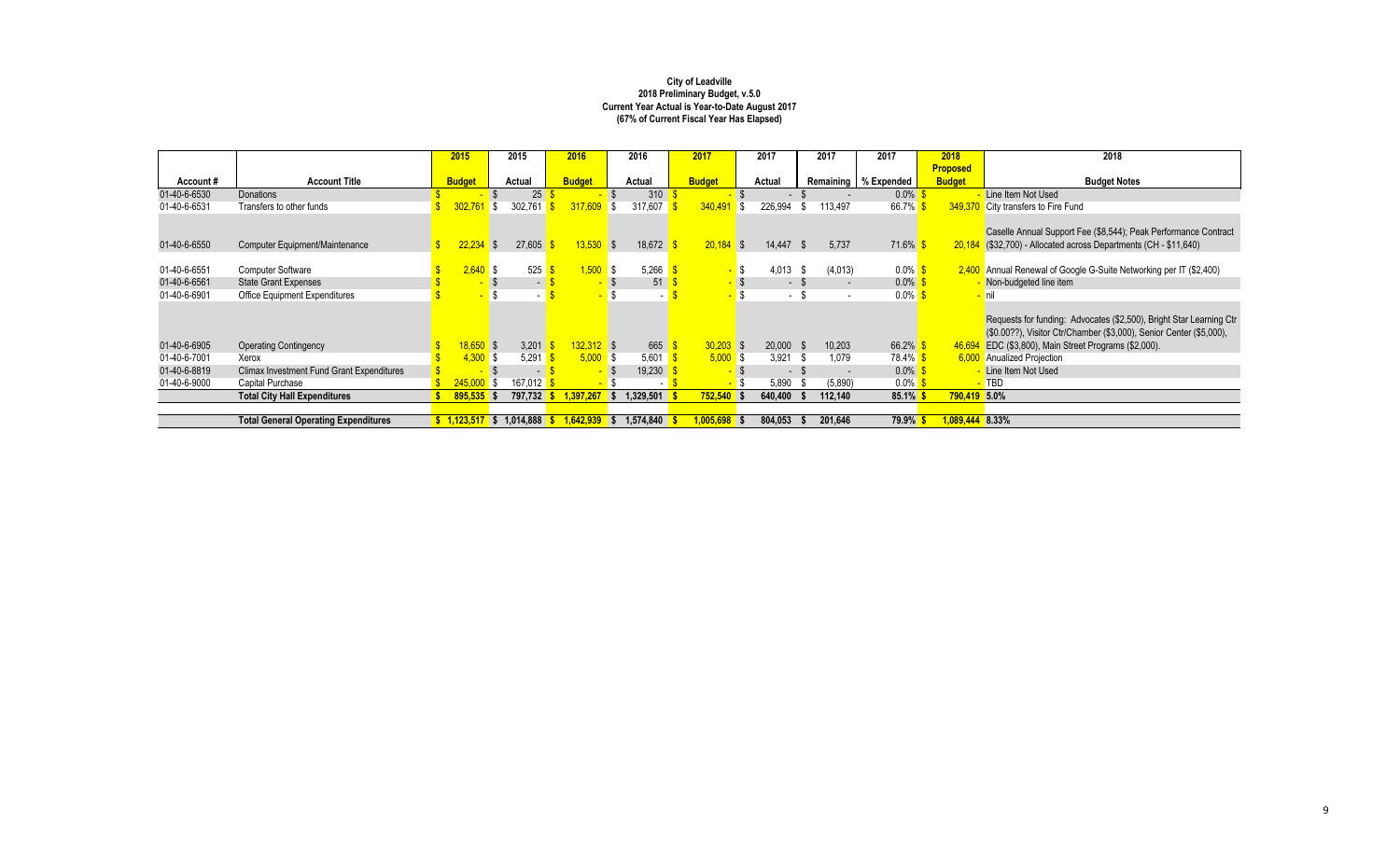|              |                                                  | 2015                                 |                    | 2015    | 2016              |            | 2016            | 2017          |      | 2017        |        | 2017    | 2017                   | 2018                | 2018                                                                                                                                                                                         |
|--------------|--------------------------------------------------|--------------------------------------|--------------------|---------|-------------------|------------|-----------------|---------------|------|-------------|--------|---------|------------------------|---------------------|----------------------------------------------------------------------------------------------------------------------------------------------------------------------------------------------|
|              |                                                  |                                      |                    |         |                   |            |                 |               |      |             |        |         |                        | <b>Proposed</b>     |                                                                                                                                                                                              |
| Account#     | <b>Account Title</b>                             | <b>Budget</b>                        |                    | Actual  | <b>Budget</b>     |            | Actual          | <b>Budget</b> |      | Actual      |        |         | Remaining   % Expended | <b>Budget</b>       | <b>Budget Notes</b>                                                                                                                                                                          |
| 01-40-6-6530 | Donations                                        |                                      |                    | 25      |                   |            | 310             |               |      |             |        |         | $0.0\%$                |                     | Line Item Not Used                                                                                                                                                                           |
| 01-40-6-6531 | Transfers to other funds                         | 302,761                              | -\$                | 302,761 | 317,609           |            | l \$<br>317,607 | 340,491       | l S  | 226,994     | .ზ     | 113,497 | 66.7%                  |                     | 349,370 City transfers to Fire Fund                                                                                                                                                          |
| 01-40-6-6550 | Computer Equipment/Maintenance                   |                                      | <b>S</b>           | 27,605  | $13,530$ \$       |            | 18,672          | $20,184$ \$   |      | $14,447$ \$ |        | 5.737   | $71.6\%$ \$            | 20.184              | Caselle Annual Support Fee (\$8,544); Peak Performance Contract<br>$($ \$32,700) - Allocated across Departments (CH - \$11,640)                                                              |
|              |                                                  |                                      |                    |         |                   |            |                 |               |      |             |        |         |                        |                     |                                                                                                                                                                                              |
| 01-40-6-6551 | <b>Computer Software</b>                         | $2.640$ \$                           |                    | 525     | .500 <sub>1</sub> | l S        | 5,266           |               | S    | 4,013       | - \$   | (4,013) | $0.0\%$                |                     | 2,400 Annual Renewal of Google G-Suite Networking per IT (\$2,400)                                                                                                                           |
| 01-40-6-6561 | <b>State Grant Expenses</b>                      |                                      |                    | $\sim$  |                   |            | 51              |               | - \$ |             | $-$ \$ |         | $0.0\%$ \$             |                     | Non-budgeted line item                                                                                                                                                                       |
| 01-40-6-6901 | <b>Office Equipment Expenditures</b>             |                                      |                    | $\sim$  |                   |            |                 | $\sim$        | l \$ |             | - \$   | $\sim$  | $0.0\%$                |                     | <mark>- nil</mark>                                                                                                                                                                           |
| 01-40-6-6905 | <b>Operating Contingency</b>                     | $18.650$ \$                          |                    | 3,201   | $132.312$ \$      |            | 665             | $30,203$ \$   |      | $20,000$ \$ |        | 10.203  | 66.2%                  | 46.694              | Requests for funding: Advocates (\$2,500), Bright Star Learning Ctr<br>(\$0.00??), Visitor Ctr/Chamber (\$3,000), Senior Center (\$5,000),<br>EDC (\$3,800), Main Street Programs (\$2,000). |
| 01-40-6-7001 | Xerox                                            | 4.300                                | $\mathbf{\hat{s}}$ | 5,291   |                   | $5,000$ \$ | 5,601           | $5,000$ \$    |      | 3.921       | - \$   | 1,079   | 78.4% \$               |                     | 6,000 Anualized Projection                                                                                                                                                                   |
| 01-40-6-8819 | <b>Climax Investment Fund Grant Expenditures</b> |                                      |                    | $\sim$  |                   |            | 19,230          |               |      | - \$        |        |         | $0.0\%$ \$             |                     | Line Item Not Used                                                                                                                                                                           |
| 01-40-6-9000 | Capital Purchase                                 | 245,000                              | l \$               | 167.012 |                   |            | $\sim$          |               | - \$ | 5,890       |        | (5,890) | $0.0\%$ S              |                     | $-$ TBD                                                                                                                                                                                      |
|              | <b>Total City Hall Expenditures</b>              | $895,535$ \$                         |                    | 797,732 | .397.267          |            | 329,501.        | 752,540       |      | 640,400     |        | 112,140 | 85.1%                  | <b>790,419 5.0%</b> |                                                                                                                                                                                              |
|              |                                                  |                                      |                    |         |                   |            |                 |               |      |             |        |         |                        |                     |                                                                                                                                                                                              |
|              | <b>Total General Operating Expenditures</b>      | $\frac{1}{2}$ 1,123,517 \$ 1,014,888 |                    |         | .642.939          |            | 1.574.840       | 1,005,698     |      | 804,053     |        | 201,646 | <b>79.9%</b>           | 089,444 8.33%       |                                                                                                                                                                                              |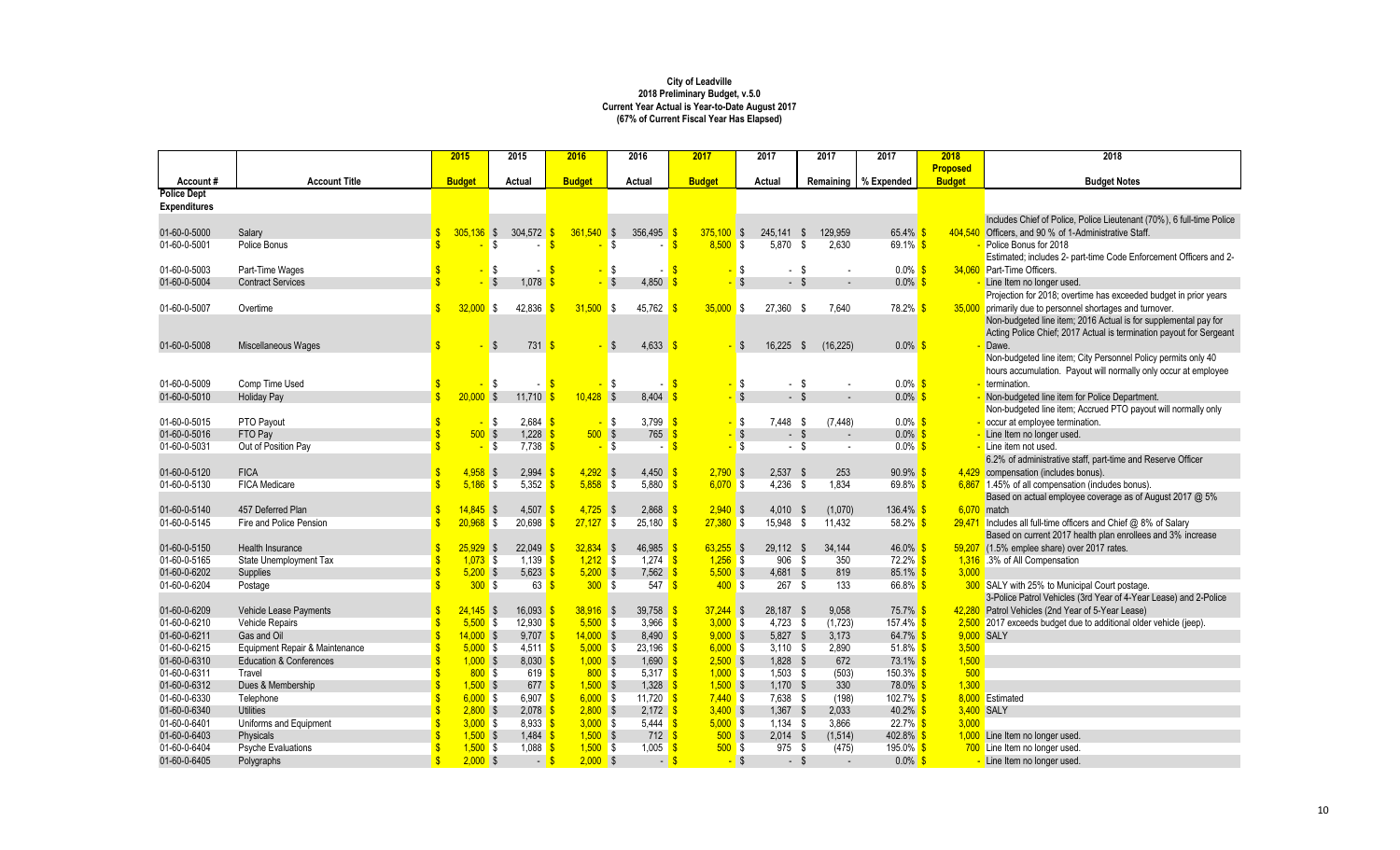|                                |                                            | 2015                              | 2015                                | 2016                    | 2016                         | 2017          |                         | 2017       | 2017                | 2017              | 2018            | 2018                                                                         |
|--------------------------------|--------------------------------------------|-----------------------------------|-------------------------------------|-------------------------|------------------------------|---------------|-------------------------|------------|---------------------|-------------------|-----------------|------------------------------------------------------------------------------|
|                                |                                            |                                   |                                     |                         |                              |               |                         |            |                     |                   | <b>Proposed</b> |                                                                              |
| Account#<br><b>Police Dept</b> | <b>Account Title</b>                       | <b>Budget</b>                     | Actual                              | <b>Budget</b>           | Actual                       | <b>Budget</b> |                         | Actual     | Remaining           | % Expended        | <b>Budget</b>   | <b>Budget Notes</b>                                                          |
| <b>Expenditures</b>            |                                            |                                   |                                     |                         |                              |               |                         |            |                     |                   |                 |                                                                              |
|                                |                                            |                                   |                                     |                         |                              |               |                         |            |                     |                   |                 | Includes Chief of Police, Police Lieutenant (70%), 6 full-time Police        |
| 01-60-0-5000                   | Salary                                     | $305,136$ \$                      | 304,572                             | 361,540                 | \$<br>356,495                | $375,100$ \$  |                         | 245,141 \$ | 129,959             | 65.4%             |                 | 404,540 Officers, and 90 % of 1-Administrative Staff.                        |
| 01-60-0-5001                   | Police Bonus                               |                                   | \$<br>$\sim$                        |                         | <b>S</b>                     | 8.500         | l \$                    | 5,870      | $\sqrt{3}$<br>2,630 | 69.1% \$          |                 | Police Bonus for 2018                                                        |
|                                |                                            |                                   |                                     |                         |                              |               |                         |            |                     |                   |                 | Estimated; includes 2- part-time Code Enforcement Officers and 2-            |
| 01-60-0-5003                   | Part-Time Wages                            |                                   | \$                                  |                         | l\$                          |               | \$                      | - \$       |                     | $0.0\%$           |                 | 34.060 Part-Time Officers.                                                   |
| 01-60-0-5004                   | <b>Contract Services</b>                   |                                   | $\mathbb{S}$<br>1.078               |                         | $\mathbf{s}$<br>4,850        |               | $\mathbf{\hat{s}}$      | $-$ \$     |                     | $0.0\%$           |                 | Line Item no longer used.                                                    |
|                                |                                            |                                   |                                     |                         |                              |               |                         |            |                     |                   |                 | Projection for 2018; overtime has exceeded budget in prior years             |
| 01-60-0-5007                   | Overtime                                   | 32.000 S                          | 42,836                              | $31,500$ \$             | 45,762                       | $35,000$ \$   |                         | 27,360 \$  | 7,640               | 78.2%             |                 | 35,000 primarily due to personnel shortages and turnover.                    |
|                                |                                            |                                   |                                     |                         |                              |               |                         |            |                     |                   |                 | Non-budgeted line item; 2016 Actual is for supplemental pay for              |
|                                |                                            |                                   |                                     |                         |                              |               |                         |            |                     |                   |                 | Acting Police Chief; 2017 Actual is termination payout for Sergeant          |
| 01-60-0-5008                   | Miscellaneous Wages                        |                                   | 731<br>\$                           | £.                      | $4,633$ \$<br>- \$           |               | -\$                     | 16.225     | (16, 225)<br>- \$   | $0.0\%$ \$        |                 | Dawe.                                                                        |
|                                |                                            |                                   |                                     |                         |                              |               |                         |            |                     |                   |                 | Non-budgeted line item; City Personnel Policy permits only 40                |
|                                |                                            |                                   |                                     |                         |                              |               |                         |            |                     |                   |                 | hours accumulation. Payout will normally only occur at employee              |
| 01-60-0-5009                   | Comp Time Used                             |                                   | \$                                  |                         | S,<br>$\sim$                 |               | \$                      | - \$       |                     | $0.0\%$ \$        |                 | termination.                                                                 |
| 01-60-0-5010                   | <b>Holiday Pay</b>                         | $\hat{\mathbf{r}}$<br>$20.000$ \$ | 11,710                              | $10,428$ \$<br><b>S</b> | 8,404                        |               | $\mathbf{\hat{s}}$      | $-$ \$     |                     | $0.0\%$           |                 | Non-budgeted line item for Police Department.                                |
|                                |                                            |                                   |                                     |                         |                              |               |                         |            |                     |                   |                 | Non-budgeted line item; Accrued PTO payout will normally only                |
| 01-60-0-5015                   | PTO Payout                                 |                                   | \$<br>2,684                         |                         | 3,799<br>IS.                 |               | l \$                    | 7,448 \$   | (7, 448)            | $0.0\%$ \$        |                 | - occur at employee termination.                                             |
| 01-60-0-5016                   | FTO Pay                                    | 500S                              | 1,228                               | 500S                    | 765                          |               | $\sqrt[6]{2}$           | $-$ \$     |                     | $0.0\%$           |                 | Line Item no longer used.                                                    |
| 01-60-0-5031                   | Out of Position Pay                        |                                   | $\mathbb{S}$<br>$7,738$ \$          |                         | <b>S</b><br>$\sim$           |               | $\overline{\mathbf{s}}$ | $-$ \$     |                     | $0.0\%$ \$        |                 | - Line item not used.                                                        |
|                                |                                            |                                   |                                     |                         |                              |               |                         |            |                     |                   |                 | 6.2% of administrative staff, part-time and Reserve Officer                  |
| 01-60-0-5120                   | <b>FICA</b>                                | $4,958$ \$                        | 2,994                               | $4,292$ \$              | $4,450$ \$                   | $2,790$ \$    |                         | $2,537$ \$ | 253                 | 90.9%             |                 | 4,429 compensation (includes bonus).                                         |
| 01-60-0-5130                   | <b>FICA Medicare</b>                       | $5.186$ \$                        | $5.352$ \$                          | $5.858$ \$              | $5.880$ $\sqrt{\frac{6}{5}}$ | $6.070$ \$    |                         | $4.236$ \$ | 1.834               | $69.8\%$ \$       |                 | 6,867 1.45% of all compensation (includes bonus).                            |
|                                |                                            |                                   |                                     |                         |                              |               |                         |            |                     |                   |                 | Based on actual employee coverage as of August 2017 @ 5%                     |
| 01-60-0-5140                   | 457 Deferred Plan                          | $14.845$ \$                       | 4,507                               | $4,725$ \$              | 2,868                        | $2.940$ \$    |                         | $4,010$ \$ | (1,070)             | $136.4\%$ \$      |                 | 6.070 match                                                                  |
| 01-60-0-5145                   | Fire and Police Pension                    | $20,968$ \$                       | 20,698                              | $27,127$ \$             | 25,180                       | $27,380$ \$   |                         | 15,948 \$  | 11,432              | 58.2% \$          |                 | 29,471 Includes all full-time officers and Chief @ 8% of Salary              |
|                                |                                            | $25.929$ \$                       |                                     | $32.834$ \$             |                              | $63.255$ \$   |                         | 29.112 \$  | 34.144              |                   |                 | Based on current 2017 health plan enrollees and 3% increase                  |
| 01-60-0-5150<br>01-60-0-5165   | Health Insurance<br>State Unemployment Tax | $1.073$ \$                        | 22,049<br>$1.139$ \$                | $1.212$ \$              | 46,985<br>1.274              | $1.256$ \$    |                         | 906 \$     | 350                 | 46.0%<br>72.2% \$ |                 | 59,207 (1.5% emplee share) over 2017 rates.<br>1,316 .3% of All Compensation |
| 01-60-0-6202                   | Supplies                                   | $5,200$ \$<br>$\mathbf{\hat{s}}$  | $5,623$ \$                          | $5,200$ \$              | 7,562                        | $5,500$ \$    |                         | $4,681$ \$ | 819                 | $85.1\%$ \$       | 3,000           |                                                                              |
| 01-60-0-6204                   | Postage                                    | 300S                              | $63 \,$ $\frac{\text{S}}{\text{S}}$ | 300S                    | 547 <sup>8</sup>             | 400S          |                         | $267$ \$   | 133                 | 66.8% $$$         |                 | 300 SALY with 25% to Municipal Court postage.                                |
|                                |                                            |                                   |                                     |                         |                              |               |                         |            |                     |                   |                 | 3-Police Patrol Vehicles (3rd Year of 4-Year Lease) and 2-Police             |
| 01-60-0-6209                   | Vehicle Lease Payments                     | $24.145$ \$                       | $16.093$ \$                         | $38.916$ \$             | 39.758                       | $37.244$ \$   |                         | 28.187 \$  | 9.058               | $75.7\%$ \$       |                 | 42,280 Patrol Vehicles (2nd Year of 5-Year Lease)                            |
| 01-60-0-6210                   | Vehicle Repairs                            | $5,500$ \$                        | $12,930$ \$                         | $5,500$ \$              | 3,966                        | 3,000S        |                         | $4,723$ \$ | (1,723)             | $157.4\%$ \$      |                 | 2,500 2017 exceeds budget due to additional older vehicle (jeep).            |
| 01-60-0-6211                   | Gas and Oil                                | $\mathbf{R}$<br>14.000 S          | $9.707$ \$                          | $14,000$ \$             | 8.490                        | 9.000S        |                         | $5,827$ \$ | 3,173               | 64.7% \$          |                 | 9,000 SALY                                                                   |
| 01-60-0-6215                   | Equipment Repair & Maintenance             | $5,000$ \$                        | $4,511$ \$                          | $5,000$ \$              | 23,196 <mark>\$</mark>       | $6,000$ \$    |                         | $3,110$ \$ | 2,890               | $51.8\%$ \$       | 3,500           |                                                                              |
| 01-60-0-6310                   | <b>Education &amp; Conferences</b>         | $\ddot{\bm{\zeta}}$<br>$1.000$ \$ | $8.030$ \$                          | $1.000$ \$              | 1.690                        | 2.500S        |                         | $1.828$ \$ | 672                 | $73.1\%$ \$       | 1,500           |                                                                              |
| 01-60-0-6311                   | Travel                                     | 800S                              | $619$ $\sqrt{3}$                    | 800S                    | 5.317 $S$                    | $1,000$ \$    |                         | $1,503$ \$ | (503)               | $150.3\%$ \$      | 500             |                                                                              |
| 01-60-0-6312                   | Dues & Membership                          | $\hat{\mathbf{S}}$<br>$1,500$ \$  | $677$ $\sqrt{\$}$                   | $1,500$ \$              | 1,328                        | $1,500$ \$    |                         | $1,170$ \$ | 330                 | 78.0% \$          | 1,300           |                                                                              |
| 01-60-0-6330                   | Telephone                                  | $6,000$ \$                        | 6,907 $\sqrt{\$}$                   | $6,000$ \$              | 11,720                       | $7,440$ \$    |                         | 7,638 \$   | (198)               | $102.7\%$ \$      |                 | 8.000 Estimated                                                              |
| 01-60-0-6340                   | <b>Utilities</b>                           | 2.800S                            | $2.078$ \$                          | 2.800S                  | $2.172$ \$                   | 3.400S        |                         | $1.367$ \$ | 2.033               | $40.2\%$ \$       |                 | 3.400 SALY                                                                   |
| 01-60-0-6401                   | Uniforms and Equipment                     | $3,000$ \$                        | $8.933$ $\frac{\text{c}}{\text{b}}$ | $3,000$ \$              | 5.444 <b>\$</b>              | $5,000$ \$    |                         | $1.134$ \$ | 3.866               | $22.7\%$ \$       | 3.000           |                                                                              |
| 01-60-0-6403                   | Physicals                                  | $1,500$ \$                        | $1,484$ \$                          | $1,500$ \$              | $712$ $\sqrt{\frac{6}{5}}$   | 500S          |                         | $2,014$ \$ | (1,514)             | 402.8%            |                 | 1,000 Line Item no longer used.                                              |
| 01-60-0-6404                   | <b>Psyche Evaluations</b>                  | $1,500$ \$                        | $1,088$ \$                          | $1,500$ \$              | 1,005                        | 500S          |                         | 975 \$     | (475)               | 195.0% \$         |                 | 700 Line Item no longer used.                                                |
| 01-60-0-6405                   | Polygraphs                                 | $\mathbf{\hat{s}}$<br>$2,000$ \$  | $-$ \$                              | $2,000$ \$              |                              | - S<br>$\sim$ | $\sqrt{s}$              | - \$       |                     | $0.0\%$           |                 | Line Item no longer used.                                                    |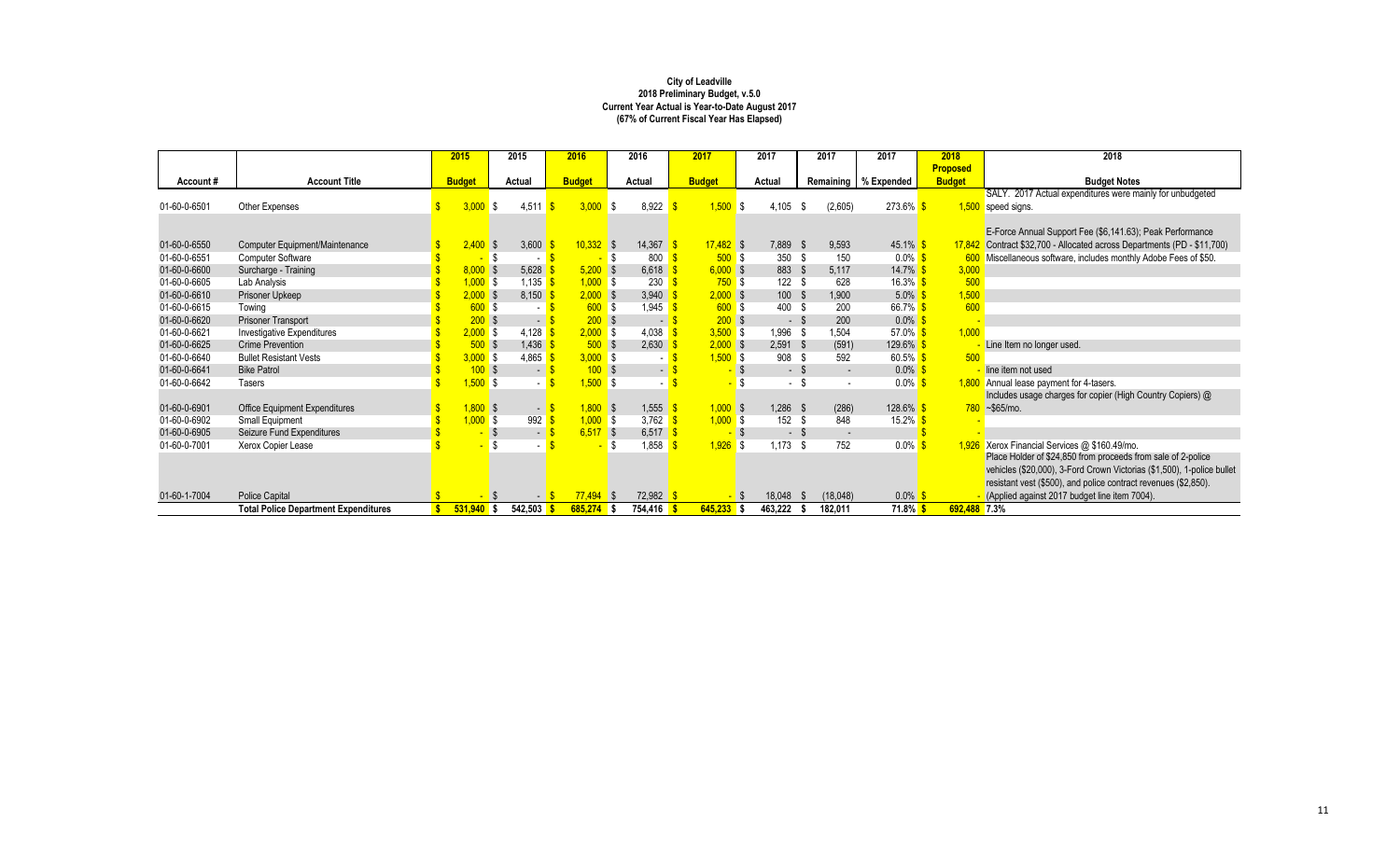|              |                                             | 2015          | 2015       |                          | 2016          |                         | 2016                              | 2017          |              |    | 2017       |           | 2017                     | 2017                   | 2018            | 2018                                                                    |
|--------------|---------------------------------------------|---------------|------------|--------------------------|---------------|-------------------------|-----------------------------------|---------------|--------------|----|------------|-----------|--------------------------|------------------------|-----------------|-------------------------------------------------------------------------|
|              |                                             |               |            |                          |               |                         |                                   |               |              |    |            |           |                          |                        | <b>Proposed</b> |                                                                         |
| Account#     | <b>Account Title</b>                        | <b>Budget</b> | Actual     |                          | <b>Budget</b> |                         | Actual                            | <b>Budget</b> |              |    | Actual     |           |                          | Remaining   % Expended | <b>Budget</b>   | <b>Budget Notes</b>                                                     |
|              |                                             |               |            |                          |               |                         |                                   |               |              |    |            |           |                          |                        |                 | SALY. 2017 Actual expenditures were mainly for unbudgeted               |
| 01-60-0-6501 | Other Expenses                              | 3.000         | l S        | 4,511                    | 3,000         | IS.                     | 8,922                             |               | 1,500        | -S | 4,105      | - \$      | (2,605)                  | $273.6\%$ \$           |                 | 1,500 speed signs.                                                      |
|              |                                             |               |            |                          |               |                         |                                   |               |              |    |            |           |                          |                        |                 |                                                                         |
|              |                                             |               |            |                          |               |                         |                                   |               |              |    |            |           |                          |                        |                 | E-Force Annual Support Fee (\$6,141.63); Peak Performance               |
| 01-60-0-6550 | Computer Equipment/Maintenance              | 2,400         | $\sqrt{3}$ | 3,600                    | $10,332$ \$   |                         | 14,367                            |               | $17.482$ \$  |    | 7,889 \$   |           | 9.593                    | 45.1% \$               |                 | 17,842 Contract \$32,700 - Allocated across Departments (PD - \$11,700) |
| 01-60-0-6551 | <b>Computer Software</b>                    |               |            | $\overline{\phantom{a}}$ |               | -S                      | 800                               |               | 500S         |    | 350 \$     |           | 150                      | $0.0\%$ \$             |                 | 600 Miscellaneous software, includes monthly Adobe Fees of \$50.        |
| 01-60-0-6600 | Surcharge - Training                        | $8,000$ \$    |            | 5,628                    | $5,200$ \$    |                         | 6,618                             |               | $6,000$ \$   |    | 883 \$     |           | 5.117                    | $14.7\%$ \$            | 3,000           |                                                                         |
| 01-60-0-6605 | Lab Analysis                                | $1,000$ \$    |            | 1,135                    | $1,000$ \$    |                         | 230                               |               | 750S         |    | 122S       |           | 628                      | $16.3\%$ \$            | 500             |                                                                         |
| 01-60-0-6610 | Prisoner Upkeep                             | $2,000$ \$    |            | 8,150                    | $2,000$ \$    |                         | 3,940                             |               | $2,000$ \$   |    | 100        | -\$       | 1,900                    | $5.0\%$                | 1,500           |                                                                         |
| 01-60-0-6615 | Towing                                      | 600S          |            | $\sim$                   |               | 600S                    | 1.945                             |               | 600S         |    | 400 \$     |           | 200                      | 66.7%                  | 600             |                                                                         |
| 01-60-0-6620 | <b>Prisoner Transport</b>                   | 200S          |            | $\blacksquare$           | 200           | $\overline{\mathbf{s}}$ | $\sim$                            |               | $200$ \$     |    |            | - \$      | 200                      | $0.0\%$                |                 |                                                                         |
| 01-60-0-6621 | Investigative Expenditures                  | $2,000$ \$    |            | 4.128                    | 2.000 S       |                         | 4,038                             |               | $3,500$ \$   |    | 1,996      | - \$      | 1.504                    | $57.0\%$               | 1.000           |                                                                         |
| 01-60-0-6625 | <b>Crime Prevention</b>                     | 500           | <b>S</b>   | 1,436                    | 500           | $\overline{\mathbf{s}}$ | 2,630                             |               | $2,000$ \$   |    | 2,591      | <b>S</b>  | (591)                    | 129.6% <sup>S</sup>    |                 | Line Item no longer used.                                               |
| 01-60-0-6640 | <b>Bullet Resistant Vests</b>               | $3,000$ \$    |            | 4,865                    | $3,000$ \$    |                         |                                   |               | $1,500$ \$   |    | 908        | - \$      | 592                      | $60.5\%$ \$            | 500             |                                                                         |
| 01-60-0-6641 | <b>Bike Patrol</b>                          | 100S          |            | $\blacksquare$           |               | 100S                    | - 1                               |               |              |    |            | $-$ \$    | $\overline{\phantom{a}}$ | $0.0\%$ \$             |                 | line item not used                                                      |
| 01-60-0-6642 | <b>Tasers</b>                               | $1,500$ \$    |            | $\sim$                   | $1,500$ \$    |                         |                                   |               |              |    |            | - \$      |                          | $0.0\%$ \$             |                 | 1,800 Annual lease payment for 4-tasers.                                |
|              |                                             |               |            |                          |               |                         |                                   |               |              |    |            |           |                          |                        |                 | Includes usage charges for copier (High Country Copiers) @              |
| 01-60-0-6901 | Office Equipment Expenditures               | $1,800$ \$    |            | - 3                      | $1,800$ \$    |                         | 1,555                             |               | $1,000$ \$   |    | $1,286$ \$ |           | (286)                    | $128.6\%$ \$           |                 | $780 - $65/mo.$                                                         |
| 01-60-0-6902 | Small Equipment                             | $1,000$ \$    |            | 992                      | $1,000$ \$    |                         | 3,762 $\frac{\text{S}}{\text{S}}$ |               | $1,000$ \$   |    | 152 \$     |           | 848                      | 15.2% $$$              |                 |                                                                         |
| 01-60-0-6905 | Seizure Fund Expenditures                   |               |            | $\sim$                   | $6,517$ \$    |                         | 6,517                             |               |              |    |            | - \$      | $\overline{\phantom{a}}$ |                        |                 |                                                                         |
| 01-60-0-7001 | Xerox Copier Lease                          |               |            |                          |               |                         | 1,858                             |               | $1,926$ \$   |    | $1,173$ \$ |           | 752                      | $0.0\%$                |                 | 1,926 Xerox Financial Services @ \$160.49/mo.                           |
|              |                                             |               |            |                          |               |                         |                                   |               |              |    |            |           |                          |                        |                 | Place Holder of \$24,850 from proceeds from sale of 2-police            |
|              |                                             |               |            |                          |               |                         |                                   |               |              |    |            |           |                          |                        |                 | vehicles (\$20,000), 3-Ford Crown Victorias (\$1,500), 1-police bullet  |
|              |                                             |               |            |                          |               |                         |                                   |               |              |    |            |           |                          |                        |                 | resistant vest (\$500), and police contract revenues (\$2,850).         |
| 01-60-1-7004 | <b>Police Capital</b>                       |               |            | $-$                      | $77,494$ \$   |                         | $72,982$ \$                       |               |              |    | 18,048     | <b>\$</b> | (18,048)                 | $0.0\%$ \$             |                 | (Applied against 2017 budget line item 7004).                           |
|              | <b>Total Police Department Expenditures</b> | $531,940$ \$  |            | 542,503                  | $685,274$ \$  |                         | 754,416 S                         |               | $645,233$ \$ |    | 463,222    |           | 182,011                  | $71.8\%$ \$            | 692.488 7.3%    |                                                                         |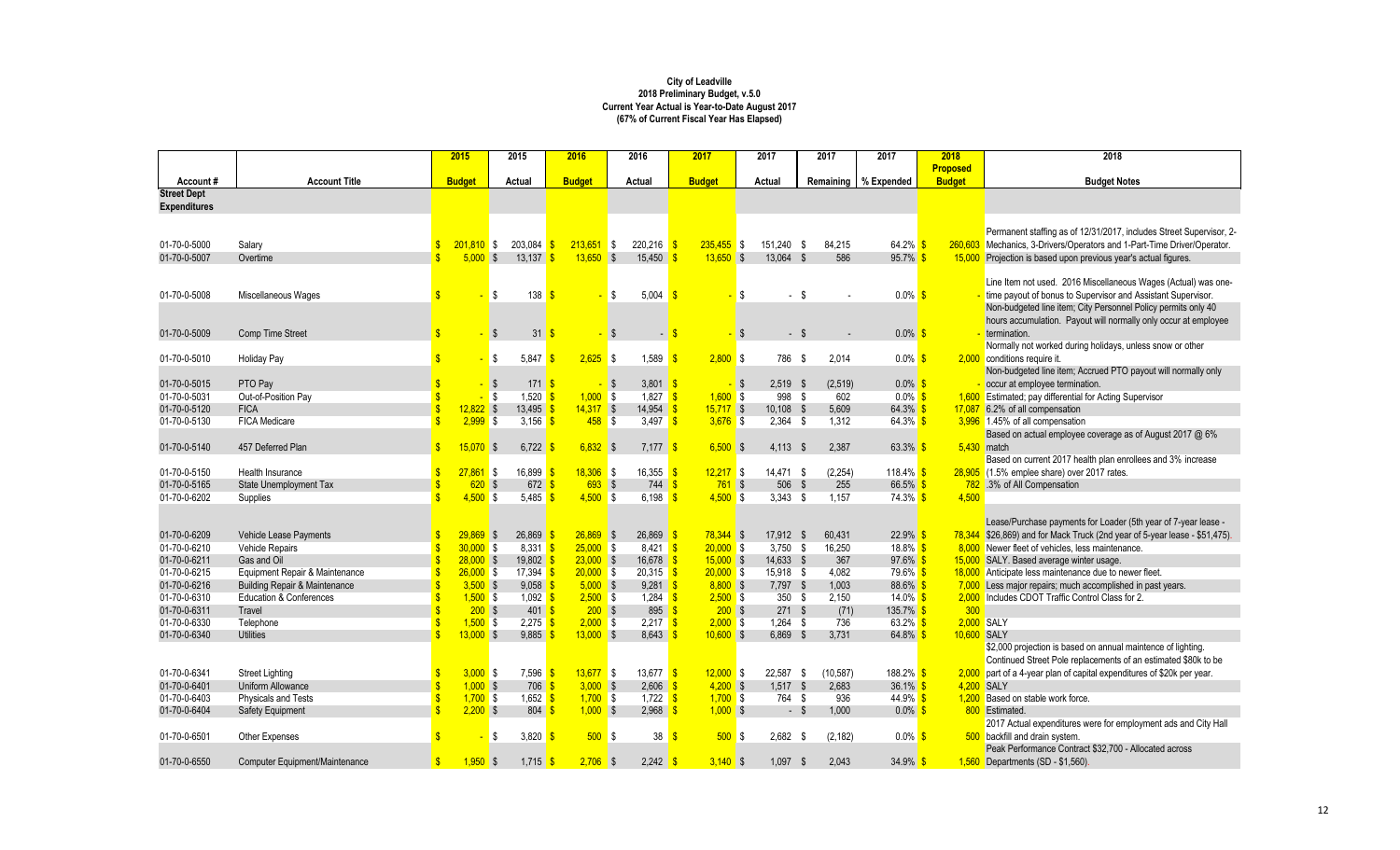|                                |                                             | 2015                              |                    | 2015    | 2016              | 2016     |                                   | 2017          |      | 2017        | 2017         | 2017                   | 2018          | 2018                                                                       |
|--------------------------------|---------------------------------------------|-----------------------------------|--------------------|---------|-------------------|----------|-----------------------------------|---------------|------|-------------|--------------|------------------------|---------------|----------------------------------------------------------------------------|
|                                |                                             |                                   |                    |         |                   |          |                                   |               |      |             |              |                        | Proposed      |                                                                            |
| Account#<br><b>Street Dept</b> | <b>Account Title</b>                        | <b>Budget</b>                     |                    | Actual  | <b>Budget</b>     | Actual   |                                   | <b>Budget</b> |      | Actual      |              | Remaining   % Expended | <b>Budget</b> | <b>Budget Notes</b>                                                        |
| <b>Expenditures</b>            |                                             |                                   |                    |         |                   |          |                                   |               |      |             |              |                        |               |                                                                            |
|                                |                                             |                                   |                    |         |                   |          |                                   |               |      |             |              |                        |               |                                                                            |
|                                |                                             |                                   |                    |         |                   |          |                                   |               |      |             |              |                        |               | Permanent staffing as of 12/31/2017, includes Street Supervisor, 2-        |
| 01-70-0-5000                   | Salary                                      | $201,810$ \$                      |                    | 203,084 | $213,651$ \$      |          | $220,216$ \$                      | $235,455$ \$  |      | 151,240 \$  | 84,215       | $64.2\%$               |               | 260,603 Mechanics, 3-Drivers/Operators and 1-Part-Time Driver/Operator.    |
| 01-70-0-5007                   | Overtime                                    | 5.000S                            |                    | 13,137  | $13.650$ \$       |          | $15,450$ \$                       | $13.650$ \$   |      | 13.064 \$   | 586          | $95.7\%$               |               | 15,000 Projection is based upon previous year's actual figures.            |
|                                |                                             |                                   |                    |         |                   |          |                                   |               |      |             |              |                        |               |                                                                            |
|                                |                                             |                                   |                    |         |                   |          |                                   |               |      |             |              |                        |               | Line Item not used. 2016 Miscellaneous Wages (Actual) was one-             |
| 01-70-0-5008                   | Miscellaneous Wages                         |                                   | \$                 | 138     |                   | l \$     | $5,004$ \$                        |               | l \$ | - \$        |              | $0.0\%$ \$             |               | time payout of bonus to Supervisor and Assistant Supervisor.               |
|                                |                                             |                                   |                    |         |                   |          |                                   |               |      |             |              |                        |               | Non-budgeted line item; City Personnel Policy permits only 40              |
|                                |                                             |                                   |                    |         |                   |          |                                   |               |      |             |              |                        |               | hours accumulation. Payout will normally only occur at employee            |
| 01-70-0-5009                   | Comp Time Street                            |                                   | $\mathbf{\hat{s}}$ | 31      |                   | <b>S</b> | $\blacksquare$                    |               | \$   | $-5$        |              | $0.0\%$ \$             |               | termination.                                                               |
|                                |                                             |                                   |                    |         |                   |          |                                   |               |      |             |              |                        |               | Normally not worked during holidays, unless snow or other                  |
| 01-70-0-5010                   | <b>Holiday Pay</b>                          |                                   | \$                 | 5.847   | $2,625$ \$        |          | 1,589                             | 2.800 S       |      | 786 \$      | 2.014        | $0.0\%$ \$             |               | 2,000 conditions require it.                                               |
|                                |                                             |                                   |                    |         |                   |          |                                   |               |      |             |              |                        |               | Non-budgeted line item; Accrued PTO payout will normally only              |
| 01-70-0-5015                   | PTO Pay                                     |                                   | \$                 | 171S    |                   |          | $3,801$ \$                        |               | Ŝ.   | $2,519$ \$  | (2,519)      | $0.0\%$ \$             |               | occur at employee termination.                                             |
| 01-70-0-5031                   | Out-of-Position Pay                         |                                   | S.                 | 1,520   | $1,000$ \$        |          | 1,827                             | 1,600         | l \$ | 998 \$      | 602          | $0.0\%$                |               | 1,600 Estimated; pay differential for Acting Supervisor                    |
| 01-70-0-5120                   | <b>FICA</b>                                 | $12,822$ \$                       |                    | 13,495  | $14,317$ \$       |          | $14,954$ \$                       | $15,717$ \$   |      | $10.108$ \$ | 5,609        | 64.3%                  |               | 17,087 6.2% of all compensation                                            |
| 01-70-0-5130                   | <b>FICA Medicare</b>                        | 2.999S                            |                    | 3,156   | $458$ \$          |          | 3,497 $\frac{1}{5}$               | $3,676$ \$    |      | $2,364$ \$  | 1,312        | $64.3\%$ \$            |               | 3,996 1.45% of all compensation                                            |
|                                |                                             |                                   |                    |         |                   |          |                                   |               |      |             |              |                        |               | Based on actual employee coverage as of August 2017 @ 6%                   |
| 01-70-0-5140                   | 457 Deferred Plan                           | 15.070                            | - \$               | 6,722   | $6,832$ \$        |          | $7,177$ \$                        | 6.500S        |      | $4,113$ \$  | 2,387        | 63.3%                  |               | $5,430$ match                                                              |
|                                |                                             |                                   |                    |         |                   |          |                                   |               |      |             |              |                        |               | Based on current 2017 health plan enrollees and 3% increase                |
| 01-70-0-5150                   | Health Insurance                            | $27,861$ \$                       |                    | 16,899  | $18,306$ \$       |          | 16,355                            | $12,217$ \$   |      | 14,471 \$   | (2, 254)     | 118.4% \$              |               | 28,905 (1.5% emplee share) over 2017 rates.                                |
| 01-70-0-5165                   | State Unemployment Tax                      |                                   | 620S               | 672     | 693S              |          | $744$ $\sqrt{\frac{6}{5}}$        | $761$ \$      |      | 506 \$      | 255          | 66.5% \$               |               | 782 .3% of All Compensation                                                |
| 01-70-0-6202                   | Supplies                                    | $4,500$ \$                        |                    | 5,485   | $4,500$ \$        |          | 6,198                             | $4,500$ \$    |      | $3,343$ \$  | 1.157        | $74.3\%$ \$            | 4,500         |                                                                            |
|                                |                                             |                                   |                    |         |                   |          |                                   |               |      |             |              |                        |               |                                                                            |
|                                |                                             |                                   |                    |         |                   |          |                                   |               |      |             |              |                        |               | Lease/Purchase payments for Loader (5th year of 7-year lease -             |
| 01-70-0-6209                   | Vehicle Lease Payments                      | $29.869$ \$                       |                    | 26.869  | $26,869$ \$       |          | $26.869$ \$                       | $78,344$ \$   |      | 17.912 \$   | 60,431       | $22.9\%$               |               | 78,344 \$26,869) and for Mack Truck (2nd year of 5-year lease - \$51,475). |
| 01-70-0-6210                   | Vehicle Repairs                             | $30,000$ \$<br>$\mathbf{\hat{s}}$ |                    | 8,331   | $25,000$ \$       |          | 8,421 <b>\$</b>                   | $20,000$ \$   |      | $3,750$ \$  | 16,250       | 18.8% \$               |               | 8,000 Newer fleet of vehicles, less maintenance.                           |
| 01-70-0-6211                   | Gas and Oil                                 | $\mathbf{\hat{s}}$<br>$28.000$ \$ |                    | 19.802  | $23,000$ \$       |          | $16.678$ \$                       | $15,000$ \$   |      | 14.633 \$   | 367          | $97.6\%$               |               | 15,000 SALY. Based average winter usage.                                   |
| 01-70-0-6215                   | Equipment Repair & Maintenance              | $\mathbf{\hat{s}}$<br>$26,000$ \$ |                    | 17,394  | $20,000$ \$       |          | $20,315$ \$                       | $20,000$ \$   |      | 15,918 \$   | 4.082        | 79.6% <sup>S</sup>     |               | 18,000 Anticipate less maintenance due to newer fleet.                     |
| 01-70-0-6216                   | <b>Building Repair &amp; Maintenance</b>    | $\mathbf{\hat{s}}$<br>$3,500$ \$  |                    | 9,058   | $5,000$ \$        |          | $9,281$ \$                        | 8.800S        |      | $7.797$ \$  | 1,003        | 88.6%                  |               | 7,000 Less major repairs; much accomplished in past years.                 |
| 01-70-0-6310                   | <b>Education &amp; Conferences</b>          | $1,500$ \$                        |                    | 1,092   | $2,500$ \$        |          | 1,284 $\frac{\text{S}}{\text{S}}$ | $2,500$ \$    |      | 350 \$      | 2,150        | 14.0% $$$              |               | 2,000 Includes CDOT Traffic Control Class for 2.                           |
| 01-70-0-6311                   | Travel                                      |                                   | 200S               | 401S    | 200S              |          | 895 \$                            | 200S          |      | 271S        | (71)         | $135.7\%$ \$           | 300           |                                                                            |
| 01-70-0-6330                   | Telephone                                   | $1,500$ \$                        |                    | 2,275   | $2,000$ \$        |          | $2,217$ \$                        | $2,000$ \$    |      | $1,264$ \$  | 736          | $63.2\%$ \$            |               | 2.000 SALY                                                                 |
| 01-70-0-6340                   | <b>Utilities</b>                            | $\hat{\mathbf{r}}$<br>$13,000$ \$ |                    | 9,885   | $13,000$ \$       |          | $8,643$ \$                        | $10,600$ \$   |      | 6,869 \$    | 3,731        | 64.8% \$               | 10,600 SALY   |                                                                            |
|                                |                                             |                                   |                    |         |                   |          |                                   |               |      |             |              |                        |               | \$2,000 projection is based on annual maintence of lighting.               |
|                                |                                             |                                   |                    |         |                   |          |                                   |               |      |             |              |                        |               | Continued Street Pole replacements of an estimated \$80k to be             |
| 01-70-0-6341                   | <b>Street Lighting</b><br>Uniform Allowance | 3.000S                            |                    | 7.596   | $13.677$ \$       |          | $13.677$ $\sqrt{\$}$              | 12.000 S      |      | 22.587 \$   | (10, 587)    | $188.2\%$ \$           |               | 2,000 part of a 4-year plan of capital expenditures of \$20k per year.     |
| 01-70-0-6401                   |                                             | $1,000$ \$                        |                    | 706     | 3.000 S           |          | 2,606                             | $4,200$ \$    |      | $1,517$ \$  | 2.683        | $36.1\%$               |               | 4.200 SALY                                                                 |
| 01-70-0-6403                   | Physicals and Tests                         | $\mathbf{s}$<br>$1,700$ \$        |                    | 1,652   | $1,700$ \$        |          | 1,722 $\frac{\text{S}}{\text{S}}$ | $1,700$ \$    |      | 764 \$      | 936          | 44.9% \$               |               | 1,200 Based on stable work force.                                          |
| 01-70-0-6404                   | Safety Equipment                            | $2,200$ \$                        |                    | 804     | $1,000$ \$        |          | $2,968$ \$                        | $1,000$ \$    |      | - \$        | 1,000        | $0.0\%$ \$             |               | 800 Estimated.                                                             |
|                                |                                             |                                   |                    |         |                   |          |                                   |               |      |             |              |                        |               | 2017 Actual expenditures were for employment ads and City Hall             |
| 01-70-0-6501                   | <b>Other Expenses</b>                       |                                   | \$                 | 3,820   | 500S              |          | 38                                | 500S          |      | $2,682$ \$  | (2, 182)     | $0.0\%$ \$             |               | 500 backfill and drain system.                                             |
|                                |                                             |                                   |                    |         |                   |          |                                   |               |      |             |              |                        |               | Peak Performance Contract \$32,700 - Allocated across                      |
| 01-70-0-6550                   | Computer Equipment/Maintenance              | 1.950                             | $\sqrt{3}$         | 1,715   | $2,706$ \$<br>-\$ |          | $2,242$ \$                        | $3,140$ \$    |      | 1,097       | -\$<br>2,043 | 34.9%                  |               | $1,560$ Departments (SD - \$1,560)                                         |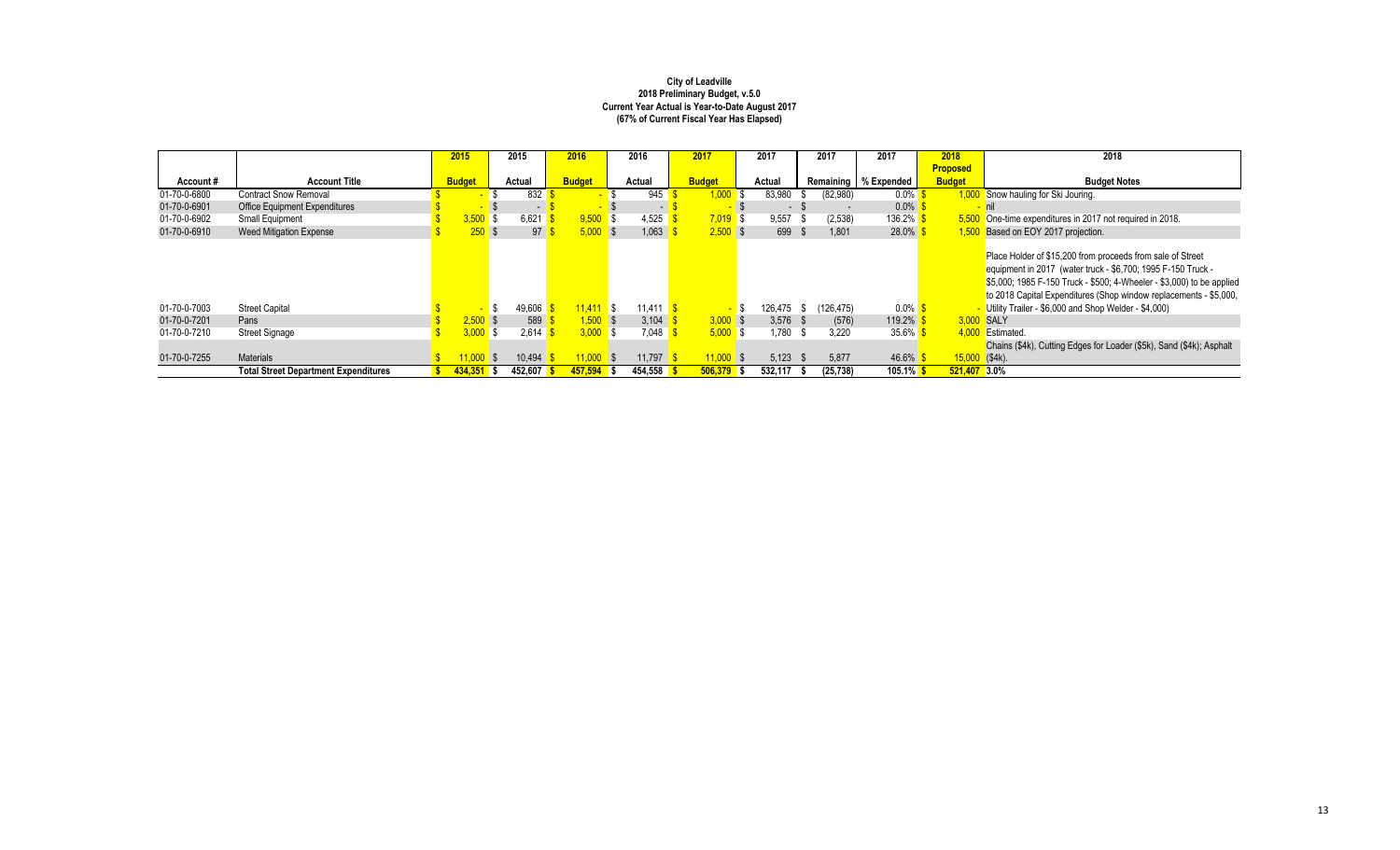|              |                                             | 2015               | 2015    | 2016           |     | 2016    | 2017          |       | 2017       |                         | 2017                     | 2017                   | 2018            | 2018                                                                                                                                                                                                                                                                     |
|--------------|---------------------------------------------|--------------------|---------|----------------|-----|---------|---------------|-------|------------|-------------------------|--------------------------|------------------------|-----------------|--------------------------------------------------------------------------------------------------------------------------------------------------------------------------------------------------------------------------------------------------------------------------|
|              |                                             |                    |         |                |     |         |               |       |            |                         |                          |                        | <b>Proposed</b> |                                                                                                                                                                                                                                                                          |
| Account#     | <b>Account Title</b>                        | <b>Budget</b>      | Actual  | <b>Budget</b>  |     | Actual  | <b>Budget</b> |       | Actual     |                         |                          | Remaining   % Expended | <b>Budget</b>   | <b>Budget Notes</b>                                                                                                                                                                                                                                                      |
| 01-70-0-6800 | <b>Contract Snow Removal</b>                | -                  | 832     |                |     | 945     | $0.000$ \$    |       | 83,980     |                         | (82,980)                 | $0.0\%$ \$             |                 | 1,000 Snow hauling for Ski Jouring.                                                                                                                                                                                                                                      |
| 01-70-0-6901 | <b>Office Equipment Expenditures</b>        | <b>START START</b> | $\sim$  | <b>Part 20</b> |     |         | . .           |       | $\sim$     |                         | $\overline{\phantom{a}}$ | $0.0\%$ \$             |                 |                                                                                                                                                                                                                                                                          |
| 01-70-0-6902 | Small Equipment                             | $3,500$ \$         | 6,621   | $9,500$ \$     |     | 4,525   | $7,019$ \$    |       | 9,557      | - 31                    | (2, 538)                 | $136.2\%$ \$           |                 | 5,500 One-time expenditures in 2017 not required in 2018.                                                                                                                                                                                                                |
| 01-70-0-6910 | Weed Mitigation Expense                     | 250S               | 97      | $5,000$ \$     |     | 1,063   | $2,500$ \$    |       | 699        | $\mathbf{\mathfrak{L}}$ | 1,801                    | $28.0\%$ \$            |                 | 1,500 Based on EOY 2017 projection.                                                                                                                                                                                                                                      |
|              |                                             |                    |         |                |     |         |               |       |            |                         |                          |                        |                 | Place Holder of \$15,200 from proceeds from sale of Street<br>equipment in 2017 (water truck - \$6,700; 1995 F-150 Truck -<br>\$5,000; 1985 F-150 Truck - \$500; 4-Wheeler - \$3,000) to be applied<br>to 2018 Capital Expenditures (Shop window replacements - \$5,000, |
| 01-70-0-7003 | <b>Street Capital</b>                       | $\sim$             | 49,606  | $11.411$ \$    |     | 11.411  |               | $-$ S | 126,475 \$ |                         | (126, 475)               | $0.0\%$ \$             |                 | - Utility Trailer - \$6,000 and Shop Welder - \$4,000)                                                                                                                                                                                                                   |
| 01-70-0-7201 | Pans                                        | 2.500S             | 589     | $1.500$ \$     |     | 3.104   | 3.000 S       |       | $3.576$ \$ |                         | (576)                    | $119.2\%$ \$           |                 | 3.000 SALY                                                                                                                                                                                                                                                               |
| 01-70-0-7210 | <b>Street Signage</b>                       | 3.000              | 2.614   | 3.000 S        |     | 7.048   | 5.000 S       |       | .780       | - \$                    | 3.220                    | $35.6\%$ \$            |                 | 4.000 Estimated.                                                                                                                                                                                                                                                         |
|              |                                             |                    |         |                |     |         |               |       |            |                         |                          |                        |                 | Chains (\$4k), Cutting Edges for Loader (\$5k), Sand (\$4k); Asphalt                                                                                                                                                                                                     |
| 01-70-0-7255 | <b>Materials</b>                            |                    | 10.494  | 1.000 S        |     | 11.797  | 11.000 S      |       | 5.123      | - \$                    | 5,877                    | $46.6\%$ \$            |                 | $15,000$ (\$4k).                                                                                                                                                                                                                                                         |
|              | <b>Total Street Department Expenditures</b> | 434.351            | 452.607 | 457.594        | l s | 454.558 | 506.379       |       | 532.117    |                         | (25.738)                 | $105.1\%$ \$           | 521.407 3.0%    |                                                                                                                                                                                                                                                                          |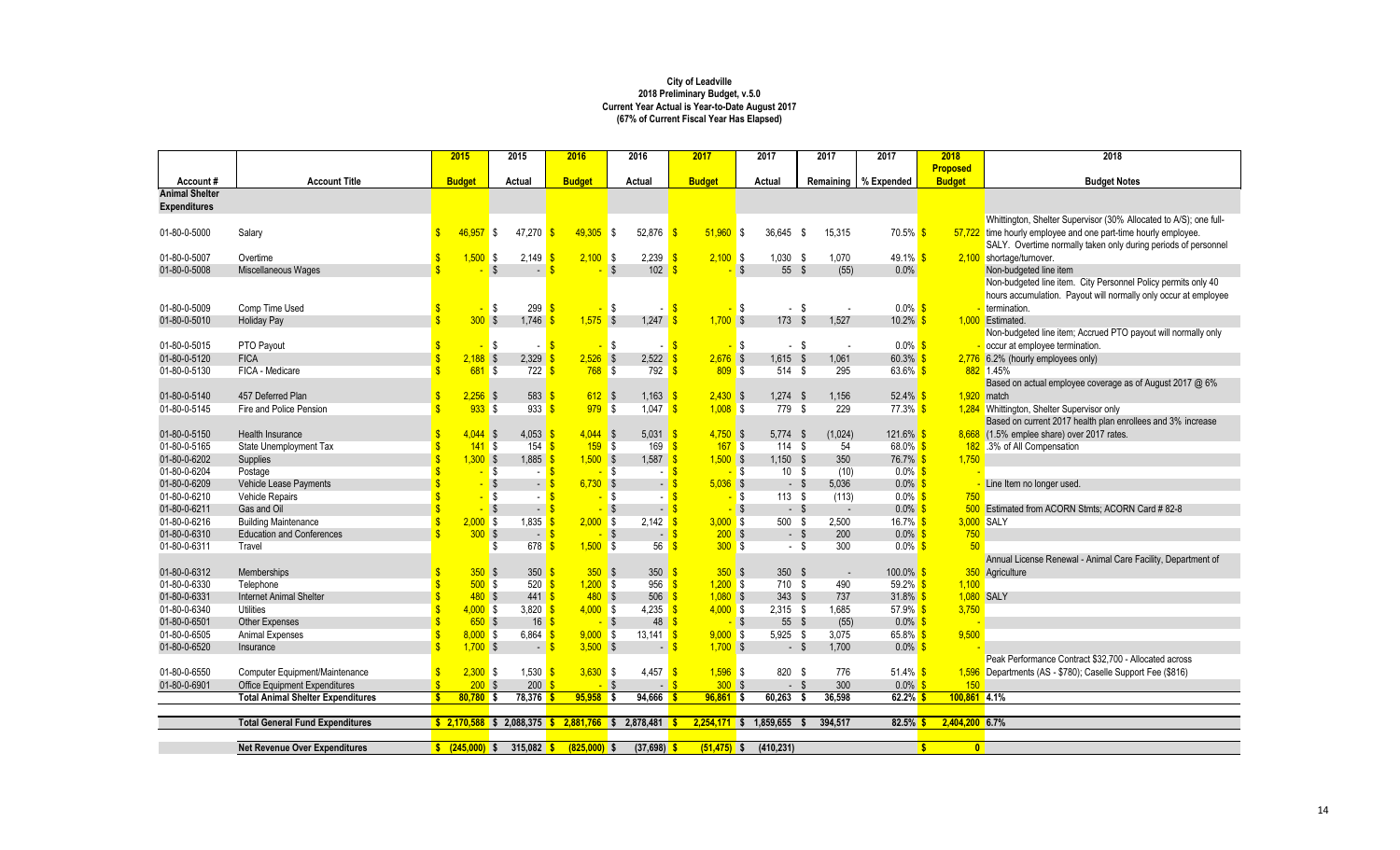|                       |                                          | 2015                                  |                        | 2015             | 2016                                      | 2016                 |                                         | 2017           | 2017                   | 2017          | 2017                              | 2018                         | 2018                                                              |
|-----------------------|------------------------------------------|---------------------------------------|------------------------|------------------|-------------------------------------------|----------------------|-----------------------------------------|----------------|------------------------|---------------|-----------------------------------|------------------------------|-------------------------------------------------------------------|
|                       |                                          |                                       |                        |                  |                                           |                      |                                         |                |                        |               |                                   | <b>Proposed</b>              |                                                                   |
| Account#              | <b>Account Title</b>                     | <b>Budget</b>                         |                        | Actual           | <b>Budget</b>                             | Actual               |                                         | <b>Budget</b>  | Actual                 | Remaining     | % Expended                        | <b>Budget</b>                | <b>Budget Notes</b>                                               |
| <b>Animal Shelter</b> |                                          |                                       |                        |                  |                                           |                      |                                         |                |                        |               |                                   |                              |                                                                   |
| <b>Expenditures</b>   |                                          |                                       |                        |                  |                                           |                      |                                         |                |                        |               |                                   |                              |                                                                   |
|                       |                                          |                                       |                        |                  |                                           |                      |                                         |                |                        |               |                                   |                              | Whittington, Shelter Supervisor (30% Allocated to A/S); one full- |
| 01-80-0-5000          | Salary                                   | $46.957$ \$                           |                        | 47.270           | 49.305                                    | l \$<br>52.876       | - S                                     | $51.960$ \$    | 36.645 \$              | 15.315        | 70.5% <mark>\$</mark>             |                              | 57,722 time hourly employee and one part-time hourly employee.    |
|                       |                                          |                                       |                        |                  |                                           |                      |                                         |                |                        |               |                                   |                              | SALY. Overtime normally taken only during periods of personnel    |
| 01-80-0-5007          | Overtime                                 | $1,500$ \$                            |                        | 2,149            | $2,100$ \$                                | 2,239                | <b>S</b>                                | 2.100S         | $1,030$ \$             | 1.070         | 49.1% $\frac{\text{S}}{\text{S}}$ |                              | 2,100 shortage/turnover.                                          |
| 01-80-0-5008          | Miscellaneous Wages                      |                                       | $\mathbf{\hat{s}}$     | $\overline{a}$   |                                           | $\mathbf{\hat{s}}$   | $102 \quad$ $\frac{\text{S}}{\text{S}}$ | <b>S</b>       | 55 \$                  | (55)          | 0.0%                              |                              | Non-budgeted line item                                            |
|                       |                                          |                                       |                        |                  |                                           |                      |                                         |                |                        |               |                                   |                              | Non-budgeted line item. City Personnel Policy permits only 40     |
|                       |                                          |                                       |                        |                  |                                           |                      |                                         |                |                        |               |                                   |                              | hours accumulation. Payout will normally only occur at employee   |
| 01-80-0-5009          | Comp Time Used                           |                                       | l \$<br>÷              | 299              | -\$                                       | S                    | $\mathbf{s}$                            | - \$           | $-$ \$                 |               | $0.0\%$ \$                        |                              | termination.                                                      |
| 01-80-0-5010          | <b>Holiday Pay</b>                       |                                       | 300S                   | 1.746            | 1.575S                                    | 1,247                |                                         | $1.700$ \$     | 173S                   | 1,527         | 10.2%                             |                              | 1.000 Estimated.                                                  |
|                       |                                          |                                       |                        |                  |                                           |                      |                                         |                |                        |               |                                   |                              | Non-budgeted line item; Accrued PTO payout will normally only     |
| 01-80-0-5015          | PTO Payout                               |                                       | l \$<br>$\blacksquare$ | ÷ I              |                                           | l \$                 | $\mathbf{s}$                            | $\blacksquare$ | \$<br>$-$ \$           | $\sim$        | $0.0\%$ \$                        |                              | occur at employee termination.                                    |
| 01-80-0-5120          | <b>FICA</b>                              | <sup>\$</sup><br>$2.188$ \$           |                        | 2,329            | $2,526$ \$                                |                      | $2,522$ \$                              | $2,676$ \$     | $1.615$ \$             | 1,061         | $60.3\%$ \$                       |                              | 2,776 6.2% (hourly employees only)                                |
| 01-80-0-5130          | FICA - Medicare                          |                                       | $681$ \$               | $722$ \$         | $768$ \$                                  | 792                  | $\mathbf{s}$                            | 809S           | 514 \$                 | 295           | $63.6\%$ \$                       |                              | 882 1.45%                                                         |
|                       |                                          |                                       |                        |                  |                                           |                      |                                         |                |                        |               |                                   |                              | Based on actual employee coverage as of August 2017 @ 6%          |
| 01-80-0-5140          | 457 Deferred Plan                        | $\mathbf{s}$                          | $2,256$ \$             | 583              | $612$ \$                                  | 1,163                |                                         | $2,430$ \$     | $1,274$ \$             | 1,156         | 52.4%                             |                              | $1,920$ match                                                     |
| 01-80-0-5145          | Fire and Police Pension                  |                                       | 933S                   | 933              | 979S                                      |                      | $1,047$ \$                              | $1,008$ \$     | 779 \$                 | 229           | $77.3\%$ \$                       |                              | 1,284 Whittington, Shelter Supervisor only                        |
|                       |                                          |                                       |                        |                  |                                           |                      |                                         |                |                        |               |                                   |                              | Based on current 2017 health plan enrollees and 3% increase       |
| 01-80-0-5150          | Health Insurance                         | \$                                    | $4.044$ \$             | $4,053$ \$       | $4.044$ \$                                |                      | $5,031$ \$                              | $4,750$ \$     | $5,774$ \$             | (1,024)       | $121.6\%$ \$                      |                              | 8,668 (1.5% emplee share) over 2017 rates.                        |
| 01-80-0-5165          | State Unemployment Tax                   | Ŝ                                     | 141S                   | 154              | 159S                                      |                      | 169<br><b>S</b>                         | 167S           | 114S                   | 54            | 68.0% \$                          |                              | 182 .3% of All Compensation                                       |
| 01-80-0-6202          | Supplies                                 | $\mathbf{s}$                          | 1.300S                 | 1,885            | $1.500$ \$                                |                      | $1,587$ \$                              | 1.500S         | $1.150$ \$             | 350           | $76.7\%$ \$                       | 1,750                        |                                                                   |
| 01-80-0-6204          | Postage                                  |                                       | l \$<br>÷              |                  |                                           | IS.                  |                                         | - \$           | 10S                    | (10)          | $0.0\%$ \$                        |                              |                                                                   |
| 01-80-0-6209          | Vehicle Lease Payments                   |                                       | $-$ \$                 | $\sim$ .         | $6.730$ \$                                |                      | <b>S</b><br>$\blacksquare$              | $5,036$ \$     | - \$                   | 5.036         | $0.0\%$ \$                        |                              | Line Item no longer used.                                         |
| 01-80-0-6210          | <b>Vehicle Repairs</b>                   |                                       | l \$                   | $\sim$ 1         |                                           | S                    |                                         | - \$           | 113S                   | (113)         | $0.0\%$ \$                        | 750                          |                                                                   |
| 01-80-0-6211          | Gas and Oil                              |                                       |                        | $\sim$           |                                           | <b>S</b>             | $\blacksquare$                          | - \$           | $-$ \$                 |               | $0.0\%$                           |                              | 500 Estimated from ACORN Stmts; ACORN Card #82-8                  |
| 01-80-0-6216          | <b>Building Maintenance</b>              |                                       | 2.000S                 | $1,835$ \$       | 2.000                                     | 2,142<br>l \$        |                                         | 3.000 S        | 500 \$                 | 2.500         | 16.7% $\frac{\text{S}}{\text{S}}$ |                              | 3,000 SALY                                                        |
| 01-80-0-6310          | <b>Education and Conferences</b>         |                                       | 300S                   | $-5$             |                                           | $\mathbf{\hat{s}}$   | $\blacksquare$                          | 200S           | $-5$                   | 200           | $0.0\%$ \$                        | 750                          |                                                                   |
| 01-80-0-6311          | Travel                                   |                                       | \$                     | 678              | $1,500$ \$                                |                      | 56                                      | 300S           | - \$                   | 300           | $0.0\%$ \$                        | 50 <sup>°</sup>              |                                                                   |
|                       |                                          |                                       |                        |                  |                                           |                      |                                         |                |                        |               |                                   |                              | Annual License Renewal - Animal Care Facility, Department of      |
| 01-80-0-6312          | <b>Memberships</b>                       |                                       | 350S                   | 350 <sup>o</sup> | 350                                       | l \$                 | 350                                     | 350S           | 350 <sup>5</sup>       | $\sim$        | $100.0\%$ \$                      |                              | 350 Agriculture                                                   |
| 01-80-0-6330          | Telephone                                |                                       | 500S                   | 520              | 1.200 S                                   | 956                  | ্ণ                                      | 1.200S         | 710 \$                 | 490           | 59.2% \$                          | 1.100                        |                                                                   |
| 01-80-0-6331          | <b>Internet Animal Shelter</b>           | $\mathbf{s}$                          | 480S                   | $441$ \$         | 480S                                      |                      | $506$ $\frac{\text{S}}{\text{S}}$       | $1,080$ \$     | 343 \$                 | 737           | $31.8\%$ \$                       |                              | 1,080 SALY                                                        |
| 01-80-0-6340          | <b>Utilities</b>                         | <sup>\$</sup>                         | 4.000S                 | 3,820 $\sqrt{s}$ | $4,000$ \$                                |                      | $4,235$ \$                              | $4,000$ \$     | $2,315$ \$             | 1,685         | $57.9\%$ \$                       | 3.750                        |                                                                   |
| 01-80-0-6501          | <b>Other Expenses</b>                    | $\overline{\mathbf{S}}$               | 650S                   | 16               |                                           | \$                   | $48 \overline{\text{S}}$                | $-$ \$         | 55 \$                  | (55)          | $0.0\%$ \$                        |                              |                                                                   |
| 01-80-0-6505          | Animal Expenses                          | <sup>\$</sup>                         | 8.000S                 | 6,864            | 9.000                                     | l \$<br>$13,141$ $S$ |                                         | 9.000 S        | $5.925$ \$             | 3.075         | 65.8% \$                          | 9.500                        |                                                                   |
| 01-80-0-6520          | Insurance                                | $\overline{\mathbf{S}}$<br>$1,700$ \$ |                        | $-$ \$           | $3,500$ \$                                |                      | $-$ \$                                  | $1,700$ \$     | $-$ \$                 | 1,700         | $0.0\%$ \$                        |                              |                                                                   |
|                       |                                          |                                       |                        |                  |                                           |                      |                                         |                |                        |               |                                   |                              | Peak Performance Contract \$32,700 - Allocated across             |
| 01-80-0-6550          | Computer Equipment/Maintenance           | $\mathbf{\hat{s}}$<br>2.300S          |                        | $1,530$ \$       | 3,630                                     | l \$                 | $4,457$ \$                              | $1,596$ \$     | 820 \$                 | 776           | 51.4% $$$                         |                              | 1,596 Departments (AS - \$780); Caselle Support Fee (\$816)       |
| 01-80-0-6901          | <b>Office Equipment Expenditures</b>     | 200<br>\$.                            |                        | 200              |                                           | - \$                 | -S                                      | 300S           | - \$                   | 300           | $0.0\%$ \$                        | 150                          |                                                                   |
|                       | <b>Total Animal Shelter Expenditures</b> | $80,780$ \$<br>$\mathbf{s}$           |                        | 78,376           | 95,958                                    | 94,666<br>l s        |                                         | 96,861<br>l s  | 60,263                 | 36,598<br>- 9 | 62.2%                             | $100,861$ 4.1%               |                                                                   |
|                       |                                          |                                       |                        |                  |                                           |                      |                                         |                |                        |               |                                   |                              |                                                                   |
|                       | <b>Total General Fund Expenditures</b>   |                                       |                        |                  | $$2,170,588$ \$ 2,088,375 \$ 2,881,766 \$ | $2,878,481$ \$       |                                         |                | 2,254,171 \$ 1,859,655 | 394.517       | $82.5\%$ \$                       | 2.404.200 6.7%               |                                                                   |
|                       |                                          |                                       |                        |                  |                                           |                      |                                         |                |                        |               |                                   |                              |                                                                   |
|                       | <b>Net Revenue Over Expenditures</b>     | $$ (245,000)$ \$                      |                        | $315,082$ \$     | $(825,000)$ \$                            | $(37,698)$ \$        |                                         | $(51, 475)$ \$ | (410, 231)             |               |                                   | $\mathbf{s}$<br>$\mathbf{0}$ |                                                                   |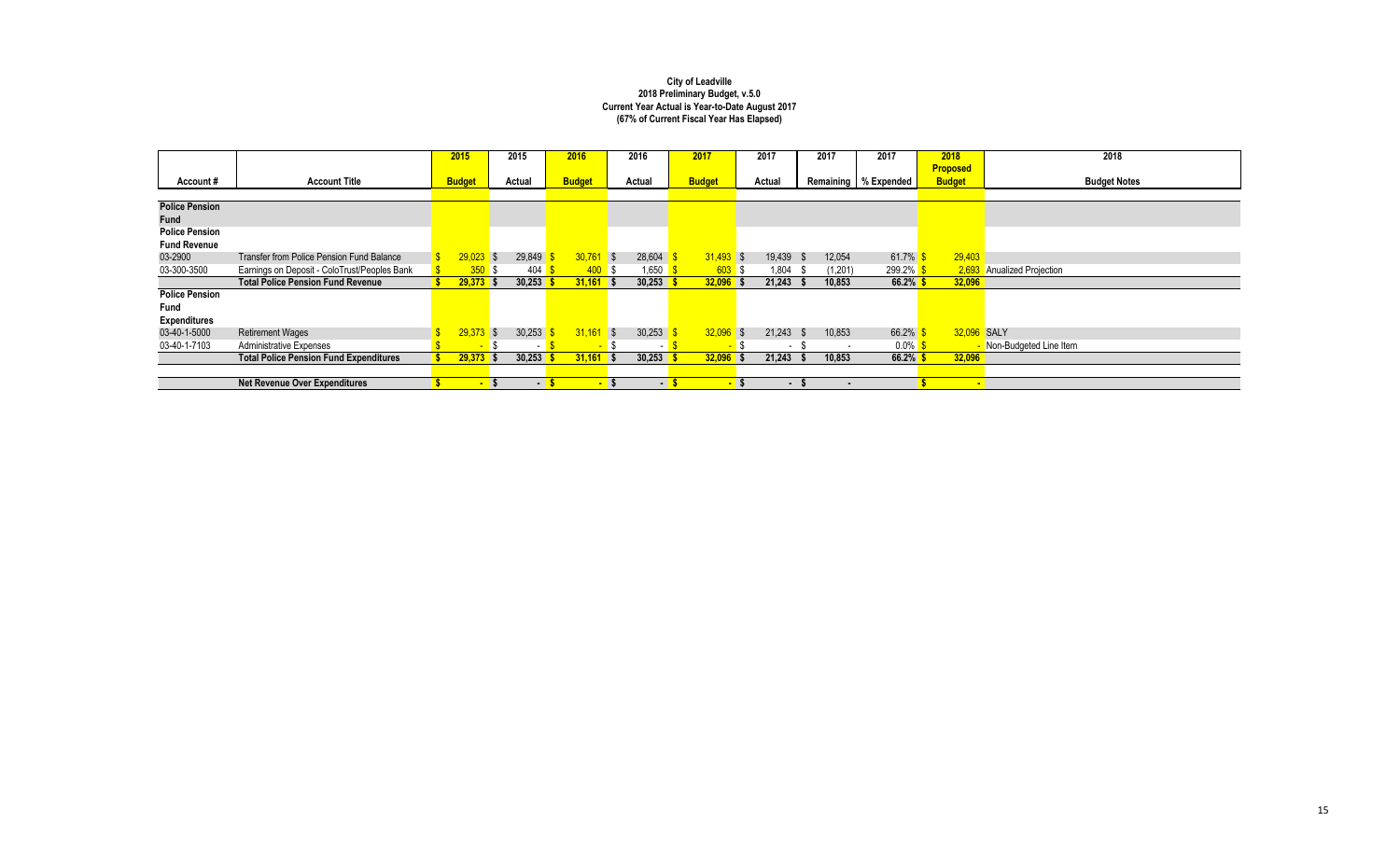|                       |                                               | 2015          | 2015   |                | 2016          |                          | 2016           | 2017          |                         | 2017                     |     | 2017                     | 2017                   | 2018            |        | 2018                       |
|-----------------------|-----------------------------------------------|---------------|--------|----------------|---------------|--------------------------|----------------|---------------|-------------------------|--------------------------|-----|--------------------------|------------------------|-----------------|--------|----------------------------|
|                       |                                               |               |        |                |               |                          |                |               |                         |                          |     |                          |                        | <b>Proposed</b> |        |                            |
| Account#              | <b>Account Title</b>                          | <b>Budget</b> | Actual |                | <b>Budget</b> |                          | Actual         | <b>Budget</b> |                         | Actual                   |     |                          | Remaining   % Expended | <b>Budget</b>   |        | <b>Budget Notes</b>        |
|                       |                                               |               |        |                |               |                          |                |               |                         |                          |     |                          |                        |                 |        |                            |
| <b>Police Pension</b> |                                               |               |        |                |               |                          |                |               |                         |                          |     |                          |                        |                 |        |                            |
| Fund                  |                                               |               |        |                |               |                          |                |               |                         |                          |     |                          |                        |                 |        |                            |
| <b>Police Pension</b> |                                               |               |        |                |               |                          |                |               |                         |                          |     |                          |                        |                 |        |                            |
| <b>Fund Revenue</b>   |                                               |               |        |                |               |                          |                |               |                         |                          |     |                          |                        |                 |        |                            |
| 03-2900               | Transfer from Police Pension Fund Balance     | $29.023$ \$   | 29,849 |                | 30,761        | $\overline{\phantom{a}}$ | 28,604         | $31.493$ \$   |                         | 19,439 \$                |     | 12,054                   | 61.7%                  |                 | 29,403 |                            |
| 03-300-3500           | Earnings on Deposit - ColoTrust/Peoples Bank  | 350S          | 404    |                | 400S          |                          | .650           | $603$ \$      |                         | 1,804                    | . ა | (1,201)                  | 299.2% \$              |                 |        | 2,693 Anualized Projection |
|                       | <b>Total Police Pension Fund Revenue</b>      | $29,373$ \$   | 30,253 |                | $31,161$ \$   |                          | 30,253         | $32,096$ \$   |                         | 21,243                   | - 5 | 10,853                   | 66.2% \$               |                 | 32,096 |                            |
| <b>Police Pension</b> |                                               |               |        |                |               |                          |                |               |                         |                          |     |                          |                        |                 |        |                            |
| Fund                  |                                               |               |        |                |               |                          |                |               |                         |                          |     |                          |                        |                 |        |                            |
| <b>Expenditures</b>   |                                               |               |        |                |               |                          |                |               |                         |                          |     |                          |                        |                 |        |                            |
| 03-40-1-5000          | <b>Retirement Wages</b>                       | 29,373        | 30,253 |                | 31,161        | $\overline{\phantom{a}}$ | 30,253         | 32,096        | $\overline{\mathbf{s}}$ | $21,243$ \$              |     | 10,853                   | 66.2%                  |                 |        | 32,096 SALY                |
| 03-40-1-7103          | <b>Administrative Expenses</b>                |               |        | $\sim$         | <b>FAX</b>    |                          |                | . .           |                         | $\overline{\phantom{a}}$ |     | $\overline{\phantom{a}}$ | $0.0\%$ \$             |                 |        | - Non-Budgeted Line Item   |
|                       | <b>Total Police Pension Fund Expenditures</b> | $29,373$ \$   | 30,253 |                | 31,161        | $\mathsf{S}$             | 30,253         | 32,096        | - 5                     | $21,243$ \$              |     | 10,853                   | $66.2\%$ \$            |                 | 32,096 |                            |
|                       |                                               |               |        |                |               |                          |                |               |                         |                          |     |                          |                        |                 |        |                            |
|                       | <b>Net Revenue Over Expenditures</b>          |               | $-5$   | $\blacksquare$ |               | - s                      | $\blacksquare$ |               |                         | $\blacksquare$           |     |                          |                        |                 |        |                            |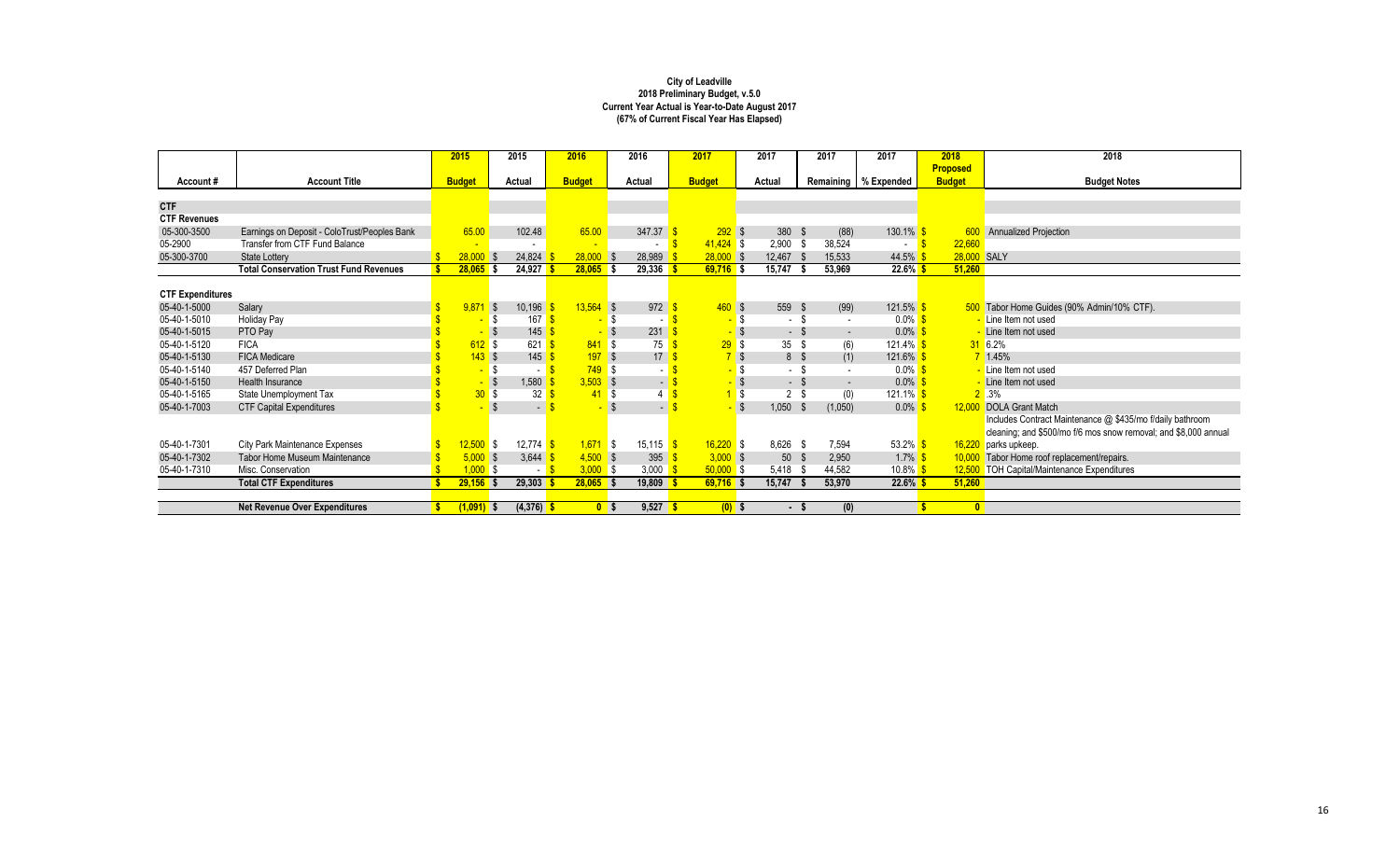|                         |                                               | 2015          |      | 2015                               | 2016          |                    | 2016                                 | 2017              |      | 2017           |      | 2017                     | 2017                     | 2018            |           | 2018                                                            |
|-------------------------|-----------------------------------------------|---------------|------|------------------------------------|---------------|--------------------|--------------------------------------|-------------------|------|----------------|------|--------------------------|--------------------------|-----------------|-----------|-----------------------------------------------------------------|
|                         |                                               |               |      |                                    |               |                    |                                      |                   |      |                |      |                          |                          | <b>Proposed</b> |           |                                                                 |
| Account#                | <b>Account Title</b>                          | <b>Budget</b> |      | Actual                             | <b>Budget</b> |                    | Actual                               | <b>Budget</b>     |      | Actual         |      |                          | Remaining   % Expended   | <b>Budget</b>   |           | <b>Budget Notes</b>                                             |
|                         |                                               |               |      |                                    |               |                    |                                      |                   |      |                |      |                          |                          |                 |           |                                                                 |
| <b>CTF</b>              |                                               |               |      |                                    |               |                    |                                      |                   |      |                |      |                          |                          |                 |           |                                                                 |
| <b>CTF Revenues</b>     |                                               |               |      |                                    |               |                    |                                      |                   |      |                |      |                          |                          |                 |           |                                                                 |
| 05-300-3500             | Earnings on Deposit - ColoTrust/Peoples Bank  | 65.00         |      | 102.48                             | 65.00         |                    | 347.37                               | $292$ \$          |      | 380 \$         |      | (88)                     | $130.1\%$ \$             |                 |           | Annualized Projection                                           |
| 05-2900                 | Transfer from CTF Fund Balance                |               |      |                                    |               |                    |                                      | $41,424$ \$       |      | $2,900$ \$     |      | 38,524                   | $\overline{\phantom{a}}$ |                 | 22,660    |                                                                 |
| 05-300-3700             | State Lottery                                 | 28,000        |      | 24,824                             | $28,000$ \$   |                    | 28,989                               | $28,000$ \$       |      | 12,467         |      | 15,533                   | 44.5%                    |                 |           | 28,000 SALY                                                     |
|                         | <b>Total Conservation Trust Fund Revenues</b> | $28,065$ \$   |      | 24,927                             | $28,065$ \$   |                    | 29,336                               | $69,716$ \$       |      | 15,747         |      | 53,969                   | $22.6\%$ \$              |                 | 51,260    |                                                                 |
|                         |                                               |               |      |                                    |               |                    |                                      |                   |      |                |      |                          |                          |                 |           |                                                                 |
| <b>CTF Expenditures</b> |                                               |               |      |                                    |               |                    |                                      |                   |      |                |      |                          |                          |                 |           |                                                                 |
| 05-40-1-5000            | Salary                                        | 9.87          | l S  | 10,196                             | $13,564$ \$   |                    | 972                                  | 460S              |      | 559            | - \$ | (99)                     | $121.5\%$ \$             |                 |           | 500 Tabor Home Guides (90% Admin/10% CTF).                      |
| 05-40-1-5010            | <b>Holiday Pay</b>                            |               |      | 167                                |               | Ŝ.                 |                                      | <mark>-</mark> \$ |      | $-$ \$         |      | $\overline{\phantom{a}}$ | $0.0\%$ \$               |                 |           | - Line Item not used                                            |
| 05-40-1-5015            | PTO Pay                                       |               |      | 145                                |               |                    | 231                                  |                   |      | - \$           |      | $\sim$                   | $0.0\%$                  |                 |           | - Line Item not used                                            |
| 05-40-1-5120            | <b>FICA</b>                                   | $612$ \$      |      | 621                                |               | $841$ \$           | 75                                   | 29S               |      | 35             | \$   | (6)                      | $121.4\%$ \$             |                 |           | 316.2%                                                          |
| 05-40-1-5130            | <b>FICA Medicare</b>                          | 143S          |      | 145                                |               | 197S               | 17                                   | $7$ \$            |      | 8 \$           |      | (1)                      | 121.6% \$                |                 |           | $7 \t1.45%$                                                     |
| 05-40-1-5140            | 457 Deferred Plan                             |               |      | $\sim$                             |               | $749$ \$           |                                      |                   | -\$  | $-$ \$         |      | $\sim$                   | $0.0\%$                  |                 |           | Line Item not used                                              |
| 05-40-1-5150            | Health Insurance                              |               |      | 1,580                              |               | $3,503$ \$         | $\blacksquare$                       |                   |      | $-$ \$         |      | $\sim$                   | $0.0\%$                  |                 |           | Line Item not used                                              |
| 05-40-1-5165            | State Unemployment Tax                        | 30S           |      | 32                                 |               | 41<br>$\mathsf{S}$ |                                      |                   | l \$ | 2 <sup>5</sup> |      | (0)                      | 121.1% \$                |                 |           | $2^{\degree}$ .3%                                               |
| 05-40-1-7003            | <b>CTF Capital Expenditures</b>               |               |      | $\blacksquare$                     |               | $\mathbf{\hat{s}}$ | $\sim$                               |                   |      | $1,050$ \$     |      | (1,050)                  | $0.0\%$                  |                 |           | 12,000 DOLA Grant Match                                         |
|                         |                                               |               |      |                                    |               |                    |                                      |                   |      |                |      |                          |                          |                 |           | Includes Contract Maintenance @ \$435/mo f/daily bathroom       |
|                         |                                               |               |      |                                    |               |                    |                                      |                   |      |                |      |                          |                          |                 |           | cleaning; and \$500/mo f/6 mos snow removal; and \$8,000 annual |
| 05-40-1-7301            | City Park Maintenance Expenses                | $12,500$ \$   |      | 12,774 $\frac{\text{S}}{\text{S}}$ |               | $1,671$ \$         | $15,115$ $\frac{\text{S}}{\text{S}}$ | $16,220$ \$       |      | 8,626 \$       |      | 7,594                    | 53.2% \$                 |                 |           | 16,220 parks upkeep.                                            |
| 05-40-1-7302            | <b>Tabor Home Museum Maintenance</b>          | 5,000         | l \$ | 3,644                              |               | $4,500$ \$         | 395                                  | $3,000$ \$        |      | 50             | - \$ | 2,950                    | $1.7\%$                  |                 |           | 10,000 Tabor Home roof replacement/repairs.                     |
| 05-40-1-7310            | Misc. Conservation                            | $1,000$ \$    |      | . <b>.</b>                         |               | $3,000$ \$         | 3,000 $\frac{1}{5}$                  | $50,000$ \$       |      | 5,418          |      | 44,582                   | $10.8\%$                 |                 |           | 12,500 TOH Capital/Maintenance Expenditures                     |
|                         | <b>Total CTF Expenditures</b>                 | $29,156$ \$   |      | 29,303                             | $28,065$ \$   |                    | 19,809                               | $69,716$ \$       |      | 15,747         |      | 53,970                   | $22.6\%$ \$              |                 | 51,260    |                                                                 |
|                         |                                               |               |      |                                    |               |                    |                                      |                   |      |                |      |                          |                          |                 |           |                                                                 |
|                         | <b>Net Revenue Over Expenditures</b>          | $(1,091)$ \$  |      | $(4,376)$ \$                       |               | 0 <sup>5</sup>     | $9,527$ \$                           | $(0)$ \$          |      |                | - \$ | (0)                      |                          |                 | $\bullet$ |                                                                 |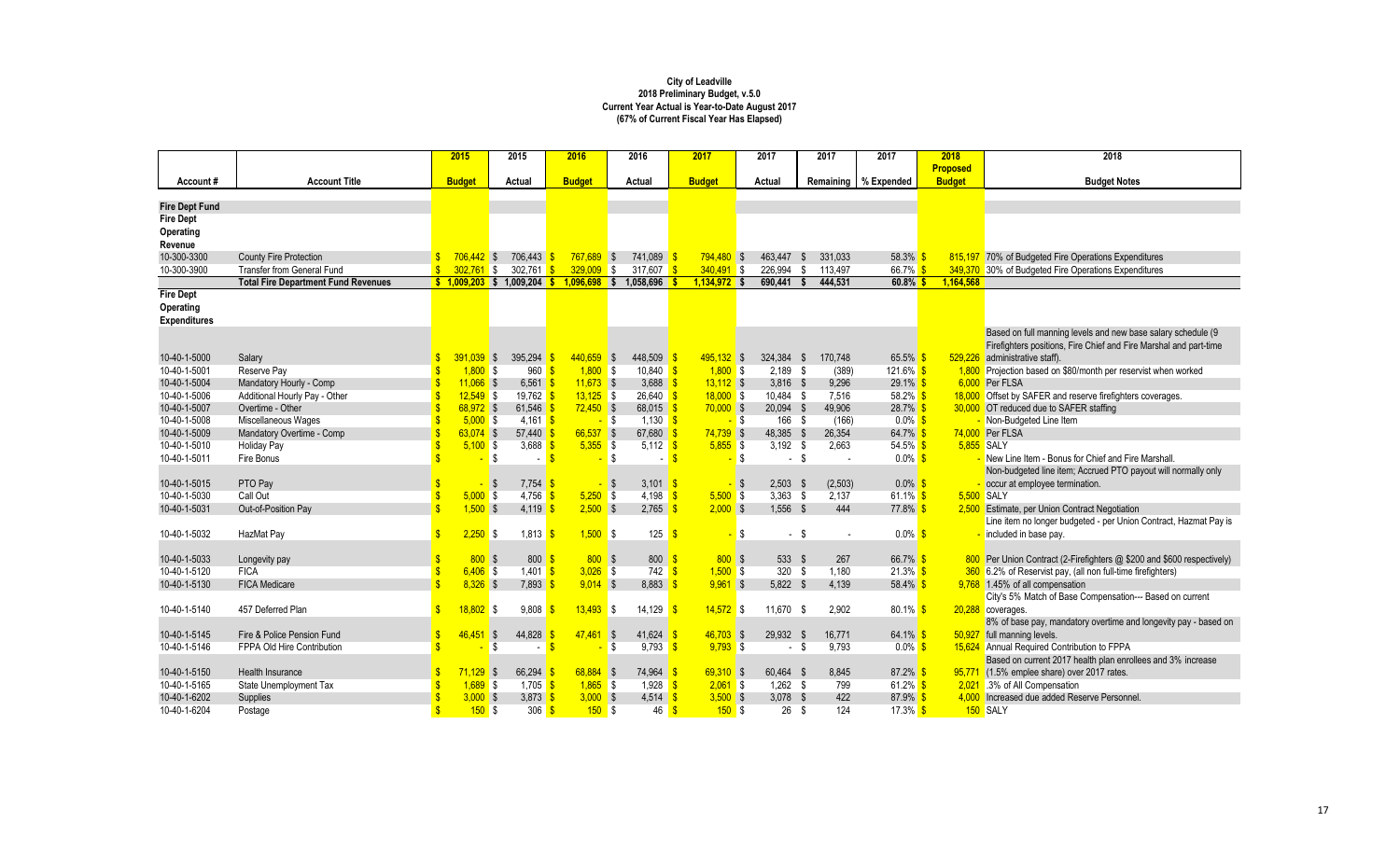|                       |                                            | 2015                         |              | 2015                         | 2016           |            | 2016                         | 2017                 |        | 2017       |      | 2017                     | 2017                   | 2018            | 2018                                                                   |
|-----------------------|--------------------------------------------|------------------------------|--------------|------------------------------|----------------|------------|------------------------------|----------------------|--------|------------|------|--------------------------|------------------------|-----------------|------------------------------------------------------------------------|
|                       |                                            |                              |              |                              |                |            |                              |                      |        |            |      |                          |                        | <b>Proposed</b> |                                                                        |
| Account#              | <b>Account Title</b>                       | <b>Budget</b>                |              | Actual                       | <b>Budget</b>  |            | Actual                       | <b>Budget</b>        |        | Actual     |      |                          | Remaining   % Expended | <b>Budget</b>   | <b>Budget Notes</b>                                                    |
| <b>Fire Dept Fund</b> |                                            |                              |              |                              |                |            |                              |                      |        |            |      |                          |                        |                 |                                                                        |
| <b>Fire Dept</b>      |                                            |                              |              |                              |                |            |                              |                      |        |            |      |                          |                        |                 |                                                                        |
| Operating             |                                            |                              |              |                              |                |            |                              |                      |        |            |      |                          |                        |                 |                                                                        |
| Revenue               |                                            |                              |              |                              |                |            |                              |                      |        |            |      |                          |                        |                 |                                                                        |
| 10-300-3300           | <b>County Fire Protection</b>              |                              | $706,442$ \$ | 706,443                      | $767,689$ \$   |            | 741,089 \$                   | $794,480$ \$         |        | 463,447 \$ |      | 331,033                  | $58.3\%$ \$            |                 | 815,197 70% of Budgeted Fire Operations Expenditures                   |
| 10-300-3900           | <b>Transfer from General Fund</b>          | $\mathbf{s}$<br>$302.761$ \$ |              | 302,761                      | 329,009        | \$         | 317.607                      | $340,491$ \$         |        | 226,994    | - \$ | 113,497                  | 66.7% S                |                 | 349,370 30% of Budgeted Fire Operations Expenditures                   |
|                       | <b>Total Fire Department Fund Revenues</b> |                              |              | $$1,009,203$ \$ 1,009,204 \$ | $1,096,698$ \$ |            | 1,058,696                    | $1,134,972$ \$       |        | 690,441    | - \$ | 444,531                  | $60.8\%$ \$            | 1,164,568       |                                                                        |
| <b>Fire Dept</b>      |                                            |                              |              |                              |                |            |                              |                      |        |            |      |                          |                        |                 |                                                                        |
| Operating             |                                            |                              |              |                              |                |            |                              |                      |        |            |      |                          |                        |                 |                                                                        |
| <b>Expenditures</b>   |                                            |                              |              |                              |                |            |                              |                      |        |            |      |                          |                        |                 |                                                                        |
|                       |                                            |                              |              |                              |                |            |                              |                      |        |            |      |                          |                        |                 | Based on full manning levels and new base salary schedule (9           |
|                       |                                            |                              |              |                              |                |            |                              |                      |        |            |      |                          |                        |                 | Firefighters positions, Fire Chief and Fire Marshal and part-time      |
| 10-40-1-5000          | Salary                                     |                              | $391,039$ \$ | 395,294                      | $440,659$ \$   |            | 448,509                      | $495,132$ \$         |        | 324,384 \$ |      | 170,748                  | $65.5\%$               | 529,226         | administrative staff).                                                 |
| 10-40-1-5001          | Reserve Pay                                | 1.800                        | l \$         | 960                          | 1.800          | IS.        | $10.840$ \$                  | 1.800S               |        | $2.189$ \$ |      | (389)                    | $121.6\%$ \$           |                 | 1,800 Projection based on \$80/month per reservist when worked         |
| 10-40-1-5004          | Mandatory Hourly - Comp                    |                              | $11.066$ \$  | 6,561                        | $11,673$ \$    |            | 3,688                        | $13,112$ \$          |        | $3,816$ \$ |      | 9,296                    | $29.1\%$ \$            |                 | 6,000 Per FLSA                                                         |
| 10-40-1-5006          | Additional Hourly Pay - Other              | $\mathbf{\hat{s}}$           | $12,549$ \$  | 19,762 <mark> </mark>        | $13,125$ \$    |            | $26,640$ \$                  | $18,000$ \$          |        | 10,484 \$  |      | 7,516                    | 58.2% \$               |                 | 18,000 Offset by SAFER and reserve firefighters coverages.             |
| 10-40-1-5007          | Overtime - Other                           | \$                           | $68.972$ \$  | 61.546                       | $72,450$ \$    |            | 68,015                       | $70,000$ \$          |        | 20,094 \$  |      | 49,906                   | 28.7% \$               |                 | 30,000 OT reduced due to SAFER staffing                                |
| 10-40-1-5008          | Miscellaneous Wages                        |                              | $5.000$ \$   | $4,161$ \$                   |                | $-$ \$     | $1.130$ \$                   |                      | $-$ \$ | 166 \$     |      | (166)                    | $0.0\%$ \$             |                 | - Non-Budgeted Line Item                                               |
| 10-40-1-5009          | Mandatory Overtime - Comp                  | \$                           | 63.074 \$    | 57.440                       | $66,537$ \$    |            | 67.680                       | $74,739$ \$          |        | 48.385 \$  |      | 26.354                   | 64.7% \$               |                 | 74.000 Per FLSA                                                        |
| 10-40-1-5010          | Holiday Pay                                |                              | $5,100$ \$   | 3,688                        | $5,355$ \$     |            | 5,112 $\sqrt{s}$             | $5,855$ \$           |        | $3,192$ \$ |      | 2.663                    | $54.5\%$ \$            | 5,855 SALY      |                                                                        |
| 10-40-1-5011          | Fire Bonus                                 | $\mathbf{\hat{S}}$           | \$           | $\sim$                       |                | \$         |                              | $\mathbf{\hat{s}}$   | \$     | ÷.         | - \$ | $\sim$                   | $0.0\%$ \$             |                 | - New Line Item - Bonus for Chief and Fire Marshall                    |
|                       |                                            |                              |              |                              |                |            |                              |                      |        |            |      |                          |                        |                 | Non-budgeted line item; Accrued PTO payout will normally only          |
| 10-40-1-5015          | PTO Pay                                    |                              | - \$         | $7,754$ \$                   |                | -\$        | 3.101 $\sqrt{s}$             |                      | - \$   | $2,503$ \$ |      | (2,503)                  | $0.0\%$ \$             |                 | occur at employee termination.                                         |
| 10-40-1-5030          | Call Out                                   | $\mathbf{\hat{s}}$<br>Ś      | $5,000$ \$   | 4,756                        | 5,250          | <b>S</b>   | 4,198                        | $5,500$ \$<br>-S     |        | $3.363$ \$ |      | 2,137                    | 61.1% $$$              | 5,500 SALY      |                                                                        |
| 10-40-1-5031          | Out-of-Position Pay                        |                              | $1,500$ \$   | 4,119                        | $2,500$ \$     |            | 2,765                        | $2,000$ \$           |        | $1,556$ \$ |      | 444                      | 77.8% \$               |                 | 2,500 Estimate, per Union Contract Negotiation                         |
|                       |                                            | $\hat{\mathbf{s}}$           | $2.250$ \$   | 1,813 <mark>\$</mark>        | $1.500$ \$     |            | 125                          |                      |        |            |      |                          | $0.0\%$ \$             |                 | Line item no longer budgeted - per Union Contract, Hazmat Pay is       |
| 10-40-1-5032          | HazMat Pay                                 |                              |              |                              |                |            |                              | £<br>$\blacksquare$  | \$     | - \$       |      | $\overline{\phantom{a}}$ |                        |                 | included in base pay.                                                  |
| 10-40-1-5033          | Longevity pay                              |                              | 800S         | 800                          | 800S           |            | 800                          | 800S                 |        | 533 \$     |      | 267                      | 66.7% \$               |                 | 800 Per Union Contract (2-Firefighters @ \$200 and \$600 respectively) |
| 10-40-1-5120          | <b>FICA</b>                                | $\mathbf{s}$                 | $6.406$ \$   | $1.401$ \$                   | $3,026$ \$     |            | 742                          | 1.500S<br>-S         |        | $320$ \$   |      | 1.180                    | $21.3\%$ \$            |                 | 360 6.2% of Reservist pay, (all non full-time firefighters)            |
| 10-40-1-5130          | <b>FICA Medicare</b>                       | ¢                            | $8.326$ \$   | 7,893                        | $9,014$ \$     |            | 8,883                        | $9,961$ \$           |        | $5,822$ \$ |      | 4,139                    | 58.4% \$               |                 | 9,768 1.45% of all compensation                                        |
|                       |                                            |                              |              |                              |                |            |                              |                      |        |            |      |                          |                        |                 | City's 5% Match of Base Compensation--- Based on current               |
| 10-40-1-5140          | 457 Deferred Plan                          | \$<br>18.802                 | l \$         | 9.808                        | 13.493         | \$         | 14,129                       | $14.572$ \$          |        | 11.670 \$  |      | 2.902                    | $80.1\%$ \$            |                 | 20,288 coverages.                                                      |
|                       |                                            |                              |              |                              |                |            |                              |                      |        |            |      |                          |                        |                 | 8% of base pay, mandatory overtime and longevity pay - based on        |
| 10-40-1-5145          | Fire & Police Pension Fund                 | $\mathbf{\hat{s}}$<br>46.451 | I\$          | 44,828                       | 47.461         | $\sqrt{s}$ | 41.624                       | $46.703$ \$          |        | 29.932     | - \$ | 16.771                   | $64.1\%$               |                 | 50,927 full manning levels.                                            |
| 10-40-1-5146          | FPPA Old Hire Contribution                 | \$.                          | \$           | $\sim$                       |                | \$         | 9.793                        | $9.793$ \$           |        | - \$       |      | 9.793                    | $0.0\%$ \$             |                 | 15,624 Annual Required Contribution to FPPA                            |
|                       |                                            |                              |              |                              |                |            |                              |                      |        |            |      |                          |                        |                 | Based on current 2017 health plan enrollees and 3% increase            |
| 10-40-1-5150          | Health Insurance                           | \$                           | $71.129$ \$  | 66.294                       | $68.884$ \$    |            | 74.964                       | 69.310 S             |        | 60.464 \$  |      | 8.845                    | $87.2\%$ \$            |                 | 95,771 (1.5% emplee share) over 2017 rates.                            |
| 10-40-1-5165          | State Unemployment Tax                     |                              | $1.689$ \$   | 1.705                        | $1.865$ \$     |            | $1.928$ $\sqrt{\frac{5}{5}}$ | $2,061$ \$           |        | $1.262$ \$ |      | 799                      | 61.2% \$               |                 | 2,021 .3% of All Compensation                                          |
| 10-40-1-6202          | Supplies                                   |                              | $3,000$ \$   | 3,873                        | $3,000$ \$     |            | 4,514                        | $3,500$ \$           |        | $3,078$ \$ |      | 422                      | 87.9% \$               |                 | 4.000 Increased due added Reserve Personnel.                           |
| 10-40-1-6204          | Postage                                    | \$                           | 150S         | 306                          | 150S           |            | 46                           | $\mathbf{s}$<br>150S |        | 26         | - \$ | 124                      | $17.3\%$ \$            |                 | 150 SALY                                                               |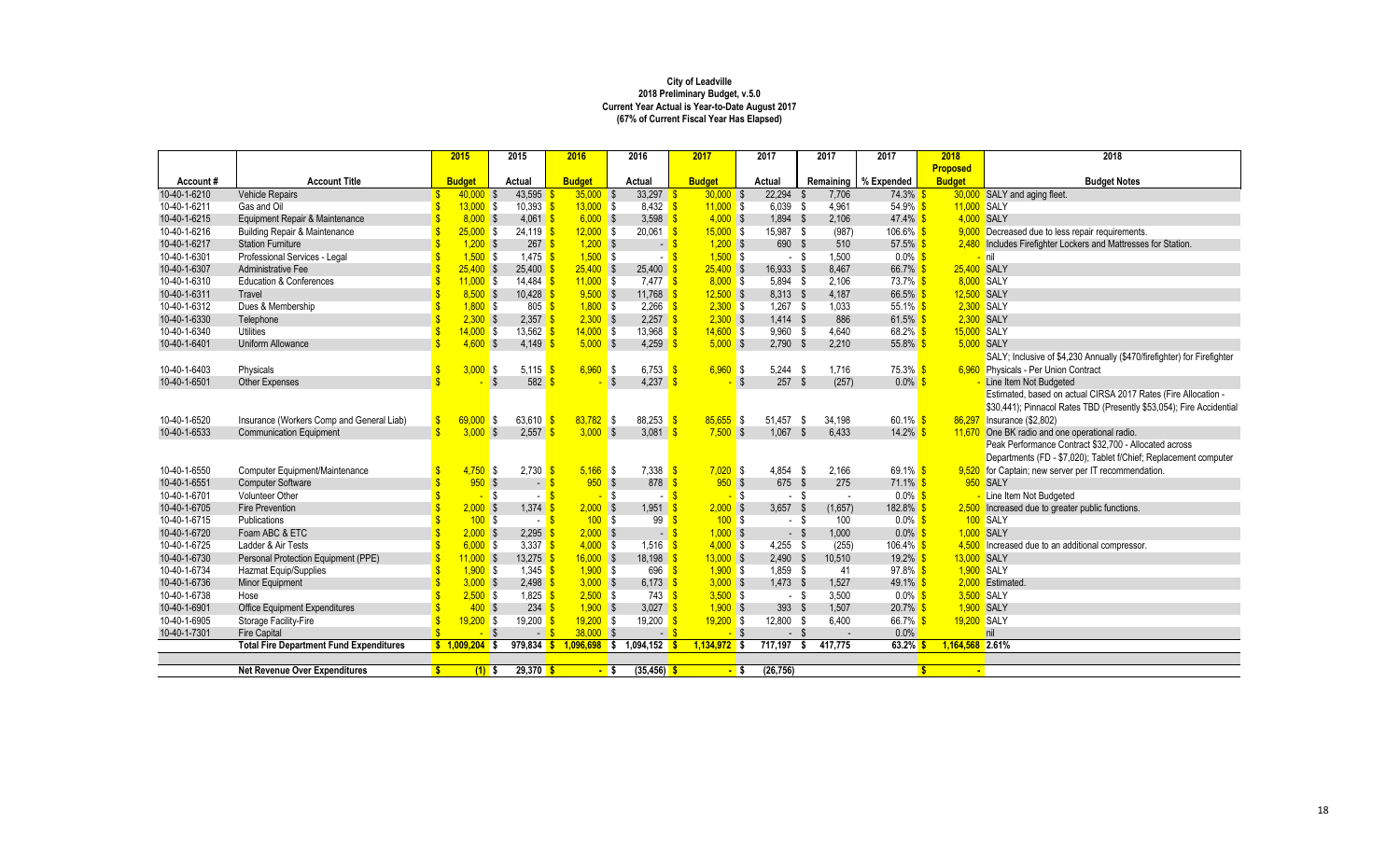|              |                                                | 2015                        | 2015                | 2016          | 2016                              | 2017              | 2017        | 2017                  | 2017                   | 2018                   | 2018                                                                    |
|--------------|------------------------------------------------|-----------------------------|---------------------|---------------|-----------------------------------|-------------------|-------------|-----------------------|------------------------|------------------------|-------------------------------------------------------------------------|
|              |                                                |                             |                     |               |                                   |                   |             |                       |                        | <b>Proposed</b>        |                                                                         |
| Account#     | <b>Account Title</b>                           | <b>Budget</b>               | Actual              | <b>Budget</b> | Actual                            | <b>Budget</b>     | Actual      |                       | Remaining   % Expended | <b>Budget</b>          | <b>Budget Notes</b>                                                     |
| 10-40-1-6210 | <b>Vehicle Repairs</b>                         | $40.000$ \$                 | 43,595              | 35.000 S      | $33,297$ \$                       | $30.000$ \$       | $22.294$ \$ | 7.706                 | 74.3% \$               |                        | 30,000 SALY and aging fleet.                                            |
| 10-40-1-6211 | Gas and Oil                                    | $13,000$ \$                 | 10,393              | $13,000$ \$   | $8,432$ \$                        | $11,000$ \$       | $6,039$ \$  | 4,961                 | 54.9% \$               | 11,000 SALY            |                                                                         |
| 10-40-1-6215 | Equipment Repair & Maintenance                 | $8,000$ \$                  | 4,061               | $6,000$ \$    | 3,598                             | $4,000$ \$        | 1,894 \$    | 2,106                 | $47.4\%$ \$            | 4,000 SALY             |                                                                         |
| 10-40-1-6216 | <b>Building Repair &amp; Maintenance</b>       | 25.000S                     | $24.119$ \$         | $12,000$ \$   | $20.061$ \$                       | 15.000 S          | 15.987 \$   | (987)                 | $106.6\%$ \$           |                        | 9,000 Decreased due to less repair requirements.                        |
| 10-40-1-6217 | <b>Station Furniture</b>                       | $1,200$ \$                  | $267$ \$            | $1,200$ \$    | $-$ \$                            | $1,200$ \$        | 690 \$      | 510                   | $57.5\%$ \$            |                        | 2,480 Includes Firefighter Lockers and Mattresses for Station.          |
| 10-40-1-6301 | Professional Services - Legal                  | $1,500$ \$                  | $1,475$ \$          | $1,500$ \$    |                                   | $1,500$ \$        | - \$        | 1,500                 | $0.0\%$ \$             |                        | <mark>- I</mark> nil                                                    |
| 10-40-1-6307 | <b>Administrative Fee</b>                      | $25.400$ \$                 | 25,400              | $25,400$ \$   | 25,400                            | $25,400$ \$       | 16,933 \$   | 8.467                 | 66.7%                  | 25.400 SALY            |                                                                         |
| 10-40-1-6310 | <b>Education &amp; Conferences</b>             | $11,000$ \$                 | 14,484 <b>\$</b>    | $11,000$ \$   | $7,477$ \$                        | 8,000S            | $5,894$ \$  | 2.106                 | $73.7\%$ \$            | 8.000 SALY             |                                                                         |
| 10-40-1-6311 | Travel                                         | $8,500$ \$                  | 10,428              | $9,500$ \$    | $11,768$ \$                       | $12,500$ \$       | 8,313 \$    | 4,187                 | 66.5% \$               | 12,500 SALY            |                                                                         |
| 10-40-1-6312 | Dues & Membership                              | $1,800$ \$                  | $805$ $\sqrt{\$}$   | $1,800$ \$    | $2,266$ \$                        | $2,300$ \$        | $1,267$ \$  | 1.033                 | $55.1\%$ \$            | 2,300 SALY             |                                                                         |
| 10-40-1-6330 | Telephone                                      | $2,300$ \$                  | 2,357               | $2,300$ \$    | $2,257$ \$                        | $2,300$ \$        | $1,414$ \$  | 886                   | $61.5\%$ \$            |                        | 2,300 SALY                                                              |
| 10-40-1-6340 | <b>Utilities</b>                               | 14.000S                     | 13.562 S            | $14,000$ \$   | $13.968$ \$                       | 14.600S           | $9.960$ \$  | 4.640                 | $68.2\%$ \$            | 15,000 SALY            |                                                                         |
| 10-40-1-6401 | <b>Uniform Allowance</b>                       | 4.600S                      | 4,149               | $5,000$ \$    | 4,259                             | $5,000$ \$        | $2,790$ \$  | 2,210                 | 55.8% \$               | 5,000 SALY             |                                                                         |
|              |                                                |                             |                     |               |                                   |                   |             |                       |                        |                        | SALY; Inclusive of \$4,230 Annually (\$470/firefighter) for Firefighter |
| 10-40-1-6403 | Physicals                                      | 3.000S                      | 5.115 $\frac{1}{3}$ | 6.960S        | 6,753 $\frac{1}{5}$               | 6.960S            | $5.244$ \$  | 1.716                 | 75.3% S                |                        | 6,960 Physicals - Per Union Contract                                    |
| 10-40-1-6501 | Other Expenses                                 |                             | 582                 |               | $4,237$ \$<br>Ŝ.                  | $-$ \$            | 257S        | (257)                 | $0.0\%$ \$             |                        | Line Item Not Budgeted                                                  |
|              |                                                |                             |                     |               |                                   |                   |             |                       |                        |                        | Estimated, based on actual CIRSA 2017 Rates (Fire Allocation -          |
|              |                                                |                             |                     |               |                                   |                   |             |                       |                        |                        | \$30,441); Pinnacol Rates TBD (Presently \$53,054); Fire Accidential    |
| 10-40-1-6520 | Insurance (Workers Comp and General Liab)      | 69,000                      | 63,610<br>l \$      | 83,782        | 88,253<br>IS.                     | $85,655$ \$       | 51.457      | - \$<br>34.198        | 60.1% \$               |                        | 86,297 Insurance (\$2,802)                                              |
| 10-40-1-6533 | <b>Communication Equipment</b>                 | 3.000S                      | 2,557               | 3.000         | 3,081<br><b>S</b>                 | 7.500S            | 1.067       | 6.433<br>$\mathbf{s}$ | $14.2\%$ \$            |                        | 11,670 One BK radio and one operational radio.                          |
|              |                                                |                             |                     |               |                                   |                   |             |                       |                        |                        | Peak Performance Contract \$32,700 - Allocated across                   |
|              |                                                |                             |                     |               |                                   |                   |             |                       |                        |                        | Departments (FD - \$7,020); Tablet f/Chief; Replacement computer        |
| 10-40-1-6550 | Computer Equipment/Maintenance                 | $4,750$ \$                  | $2,730$ \$          | $5.166$ \$    | $7,338$ $\frac{\ }{8}$            | $7,020$ \$        | $4.854$ \$  | 2,166                 | $69.1\%$ \$            |                        | 9,520 for Captain; new server per IT recommendation.                    |
| 10-40-1-6551 | <b>Computer Software</b>                       | 950S                        | $-8$                | 950S          | 878                               | 950S              | 675 \$      | 275                   | $71.1\%$ \$            |                        | <b>950 SALY</b>                                                         |
| 10-40-1-6701 | <b>Volunteer Other</b>                         |                             | l \$                |               | l \$<br>$-5$                      | <mark>-</mark> \$ | - \$        | $\sim$                | $0.0\%$ \$             |                        | Line Item Not Budgeted                                                  |
| 10-40-1-6705 | <b>Fire Prevention</b>                         | 2.000S                      | $1,374$ \$          | $2,000$ \$    | 1,951                             | 2.000 S           | $3,657$ \$  | (1,657)               | 182.8% \$              |                        | 2,500 Increased due to greater public functions.                        |
| 10-40-1-6715 | Publications                                   | 100S                        | $ \sqrt{3}$         | 100S          | 99                                | 100S              | - \$        | 100                   | $0.0\%$ \$             |                        | 100 SALY                                                                |
| 10-40-1-6720 | Foam ABC & ETC                                 | 2.000S                      | 2.295               | $2,000$ \$    | $\sim$                            | $1,000$ \$        | $-$ \$      | 1.000                 | $0.0\%$ \$             | 1.000 SALY             |                                                                         |
| 10-40-1-6725 | Ladder & Air Tests                             | $6,000$ \$<br><sup>\$</sup> | 3,337               | $4,000$ \$    | 1,516 $\frac{\text{S}}{\text{S}}$ | $4,000$ \$        | $4,255$ \$  | (255)                 | 106.4% \$              |                        | 4,500 Increased due to an additional compressor.                        |
| 10-40-1-6730 | Personal Protection Equipment (PPE)            | $11,000$ \$                 | 13,275              | $16,000$ \$   | 18,198                            | $13,000$ \$       | $2,490$ \$  | 10,510                | 19.2% \$               | 13,000 SALY            |                                                                         |
| 10-40-1-6734 | <b>Hazmat Equip/Supplies</b>                   | 1.900S                      | $1.345$ \$          | 1.900 S       | 696 S                             | 1.900S            | $1.859$ \$  | 41                    | $97.8\%$ \$            | 1.900 SALY             |                                                                         |
| 10-40-1-6736 | Minor Equipment                                | 3.000S                      | $2,498$ \$          | 3,000S        | 6,173 $\frac{1}{5}$               | $3,000$ \$        | $1.473$ \$  | 1,527                 | $49.1\%$ \$            |                        | 2.000 Estimated                                                         |
| 10-40-1-6738 | Hose                                           | $2,500$ \$                  | 1,825 $\frac{1}{3}$ | $2,500$ \$    | $743$ $\sqrt{\$}$                 | $3,500$ \$        | - \$        | 3,500                 | $0.0\%$ \$             | 3,500 SALY             |                                                                         |
| 10-40-1-6901 | Office Equipment Expenditures                  | 400S                        | 234                 | $1,900$ \$    | $3,027$ \$                        | $1,900$ \$        | 393 \$      | 1,507                 | $20.7\%$ \$            | 1,900 SALY             |                                                                         |
| 10-40-1-6905 | Storage Facility-Fire                          | 19.200S                     | $19,200$ \$         | $19,200$ \$   | $19,200$ \$                       | $19,200$ \$       | 12,800 \$   | 6.400                 | 66.7% \$               | 19,200 SALY            |                                                                         |
| 10-40-1-7301 | <b>Fire Capital</b>                            | $\sim$                      | $-$ \$              | $38,000$ \$   | $ \frac{1}{3}$                    | $-$ \$            | $-$ \$      |                       | 0.0%                   |                        | nil                                                                     |
|              | <b>Total Fire Department Fund Expenditures</b> | $5 1,009,204$ \$            | $979,834$ \$        |               | $1,096,698$ \$ 1,094,152          | $1,134,972$ \$    | 717.197     | 417.775<br>- \$       | 63.2%                  | 1,164,568 2.61%        |                                                                         |
|              |                                                |                             |                     |               |                                   |                   |             |                       |                        |                        |                                                                         |
|              | <b>Net Revenue Over Expenditures</b>           | -\$<br>$(1)$ \$             | $29,370$ \$         | - \$          | $(35, 456)$ \$                    | <mark>-</mark> \$ | (26, 756)   |                       |                        | $\mathbf{s}$<br>$\sim$ |                                                                         |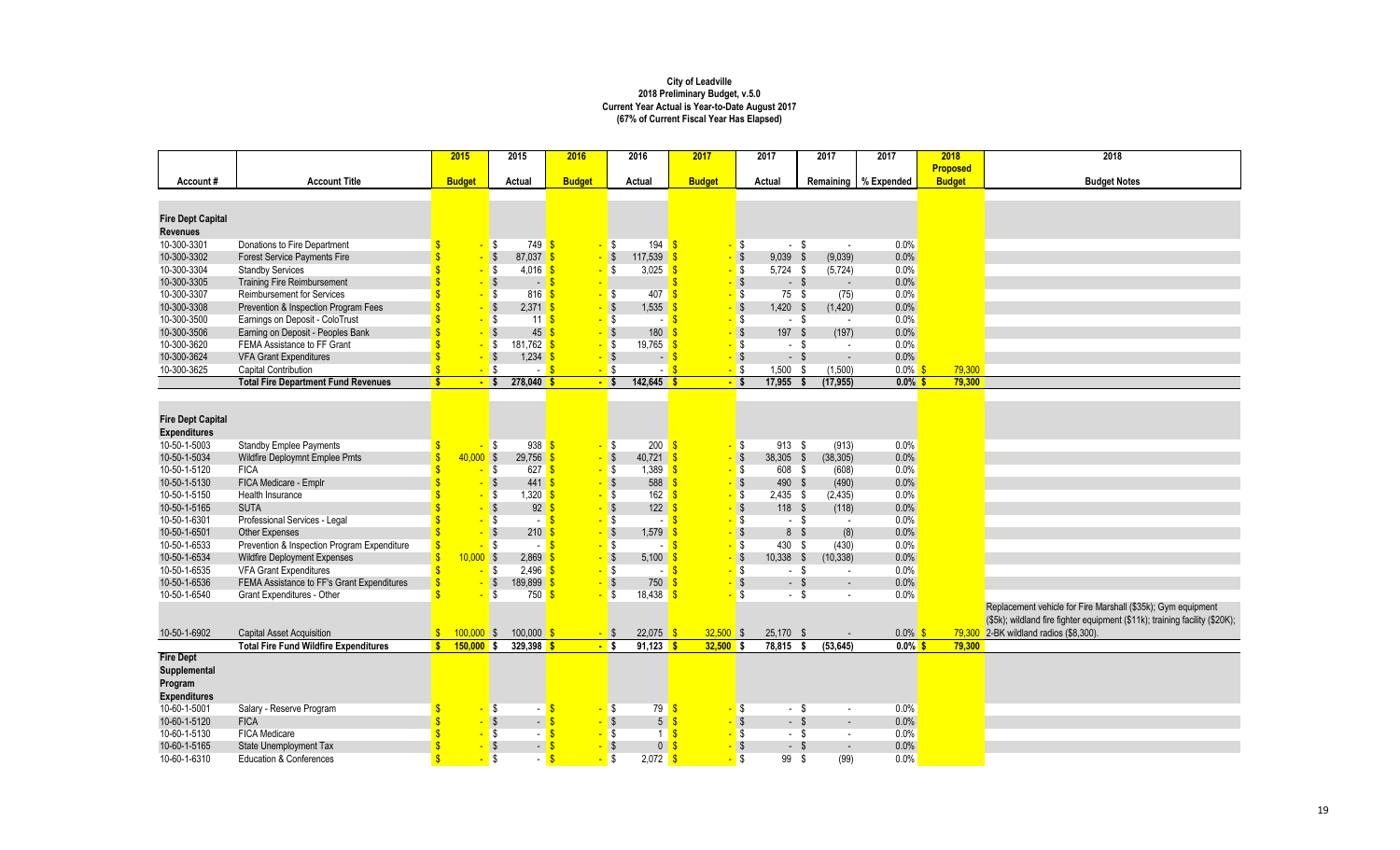|                                             |                                              | 2015                              |                     | 2015                       | 2016          |                         | 2016                              | 2017                     |        | 2017           | 2017              | 2017       | 2018            | 2018                                                                        |
|---------------------------------------------|----------------------------------------------|-----------------------------------|---------------------|----------------------------|---------------|-------------------------|-----------------------------------|--------------------------|--------|----------------|-------------------|------------|-----------------|-----------------------------------------------------------------------------|
|                                             |                                              |                                   |                     |                            |               |                         |                                   |                          |        |                |                   |            | <b>Proposed</b> |                                                                             |
| Account#                                    | <b>Account Title</b>                         | <b>Budget</b>                     |                     | Actual                     | <b>Budget</b> |                         | Actual                            | <b>Budget</b>            |        | Actual         | Remaining         | % Expended | <b>Budget</b>   | <b>Budget Notes</b>                                                         |
|                                             |                                              |                                   |                     |                            |               |                         |                                   |                          |        |                |                   |            |                 |                                                                             |
|                                             |                                              |                                   |                     |                            |               |                         |                                   |                          |        |                |                   |            |                 |                                                                             |
| <b>Fire Dept Capital</b><br><b>Revenues</b> |                                              |                                   |                     |                            |               |                         |                                   |                          |        |                |                   |            |                 |                                                                             |
| 10-300-3301                                 | Donations to Fire Department                 |                                   | - \$                | 749S                       | $\mathbf{u}$  | $\sqrt{3}$              | $194$ $\sqrt{\frac{5}{}}$         |                          | - \$   | $-$ \$         |                   | 0.0%       |                 |                                                                             |
| 10-300-3302                                 | <b>Forest Service Payments Fire</b>          |                                   | $-$ \$              | $87.037$ \$                |               | $-$ \$                  | 117,539                           | $\mathbf{\hat{s}}$       | $-$ \$ | $9,039$ \$     | $\sim$<br>(9,039) | 0.0%       |                 |                                                                             |
| 10-300-3304                                 | <b>Standby Services</b>                      |                                   | $-$ \$              | $4,016$ \$                 |               | l \$                    | 3,025                             | $\mathbf{s}$             | $-$ \$ | $5,724$ \$     | (5, 724)          | 0.0%       |                 |                                                                             |
| 10-300-3305                                 | <b>Training Fire Reimbursement</b>           |                                   | $-$ \$              | $-5$                       |               |                         |                                   |                          | $-$ \$ | $-$ \$         | $\sim$            | 0.0%       |                 |                                                                             |
| 10-300-3307                                 | <b>Reimbursement for Services</b>            |                                   | <mark>-</mark> \$   | $816$ $\sqrt{\frac{5}{}}$  |               | <b>S</b>                | 407                               |                          | $-$ \$ | 75S            | (75)              | 0.0%       |                 |                                                                             |
|                                             |                                              |                                   |                     |                            |               |                         |                                   |                          |        | $1,420$ \$     |                   | 0.0%       |                 |                                                                             |
| 10-300-3308<br>10-300-3500                  | Prevention & Inspection Program Fees         |                                   | - \$                | $2,371$ \$                 |               | $\sqrt{3}$              | 1,535                             |                          | $-$ \$ | $-$ \$         | (1, 420)          | 0.0%       |                 |                                                                             |
|                                             | Earnings on Deposit - ColoTrust              |                                   | - \$                | $11$ $\overline{\text{s}}$ |               | l \$                    | . <b>.</b>                        |                          | $-$ \$ |                | $\sim$            |            |                 |                                                                             |
| 10-300-3506                                 | Earning on Deposit - Peoples Bank            |                                   | $-$ \$              | 45                         | -\$           | $\sqrt{3}$              | 180                               |                          | $-$ \$ | 197 \$         | (197)             | 0.0%       |                 |                                                                             |
| 10-300-3620                                 | FEMA Assistance to FF Grant                  |                                   | <mark>-</mark> \$   | 181,762 \$                 |               | l \$                    | 19,765                            |                          | $-$ \$ | - \$           | $\sim$            | 0.0%       |                 |                                                                             |
| 10-300-3624                                 | <b>VFA Grant Expenditures</b>                |                                   | $-$ \$              | $1,234$ \$                 |               | <b>S</b>                | - S                               |                          | $-$ \$ | $-$ \$         | $\sim$            | 0.0%       |                 |                                                                             |
| 10-300-3625                                 | <b>Capital Contribution</b>                  |                                   | $-$ \$              | $-5$                       |               | $-$ \$                  | - S                               |                          | $-$ \$ | $1,500$ \$     | (1,500)           | $0.0\%$    | 79.300          |                                                                             |
|                                             | <b>Total Fire Department Fund Revenues</b>   | <b>S</b>                          | $-$ \$              | $278,040$ \$               |               | $-$ \$                  | $142,645$ \$                      |                          | $-$ \$ | $17,955$ \$    | (17, 955)         | $0.0\%$ \$ | 79,300          |                                                                             |
|                                             |                                              |                                   |                     |                            |               |                         |                                   |                          |        |                |                   |            |                 |                                                                             |
|                                             |                                              |                                   |                     |                            |               |                         |                                   |                          |        |                |                   |            |                 |                                                                             |
| <b>Fire Dept Capital</b>                    |                                              |                                   |                     |                            |               |                         |                                   |                          |        |                |                   |            |                 |                                                                             |
| <b>Expenditures</b>                         |                                              |                                   |                     |                            |               |                         |                                   |                          |        |                |                   |            |                 |                                                                             |
| 10-50-1-5003                                | <b>Standby Emplee Payments</b>               |                                   | I\$<br>$\mathbf{u}$ | $938$ $\frac{6}{5}$        |               | $-$ \$                  | $200$ $\sqrt{\frac{5}{}}$         |                          | - \$   | 913 \$         | (913)             | 0.0%       |                 |                                                                             |
| 10-50-1-5034                                | Wildfire Deploymnt Emplee Pmts               | $\hat{\mathbf{s}}$<br>$40.000$ \$ |                     | 29.756                     |               | $-$ \$                  | $40.721$ \$                       |                          | $-$ \$ | 38,305 \$      | (38, 305)         | 0.0%       |                 |                                                                             |
| 10-50-1-5120                                | <b>FICA</b>                                  |                                   | $-$ \$              | $627$ $\sqrt{\$}$          |               | I\$                     | $1,389$ \$                        |                          | $-$ \$ | 608 \$         | (608)             | 0.0%       |                 |                                                                             |
| 10-50-1-5130                                | FICA Medicare - Emplr                        |                                   |                     | 441                        | $\sqrt{3}$    | $\sqrt[6]{\frac{1}{2}}$ | $588$ $\frac{\text{S}}{\text{S}}$ |                          | $-$ \$ | 490 \$         | (490)             | 0.0%       |                 |                                                                             |
| 10-50-1-5150                                | <b>Health Insurance</b>                      |                                   | <mark>- \$</mark>   | $1,320$ \$                 |               | l \$                    | 162 <sup>°</sup>                  |                          | $-$ \$ | $2,435$ \$     | (2, 435)          | 0.0%       |                 |                                                                             |
| 10-50-1-5165                                | <b>SUTA</b>                                  |                                   |                     | $92 \frac{1}{5}$           |               | -S                      | 122                               |                          | $-$ \$ | 118 \$         | (118)             | 0.0%       |                 |                                                                             |
| 10-50-1-6301                                | Professional Services - Legal                |                                   | <mark>- \$</mark>   | $-5$                       |               | l \$                    |                                   |                          | $-$ \$ | $-$ \$         | $\sim$            | 0.0%       |                 |                                                                             |
| 10-50-1-6501                                | Other Expenses                               |                                   |                     | $210$ $\sqrt{\frac{6}{5}}$ |               | \$                      | 1,579                             |                          | $-$ \$ | 8 <sup>5</sup> | (8)               | 0.0%       |                 |                                                                             |
| 10-50-1-6533                                | Prevention & Inspection Program Expenditure  |                                   | <mark>- \$</mark>   | $-$ \$                     |               | l \$                    | $\sim$ 1                          |                          | $-$ \$ | 430 \$         | (430)             | 0.0%       |                 |                                                                             |
| 10-50-1-6534                                | <b>Wildfire Deployment Expenses</b>          | $\mathbf{\hat{s}}$<br>$10,000$ \$ |                     | $2.869$ \$                 |               | $\mathbf{\hat{s}}$      | 5,100                             |                          | - \$   | $10,338$ \$    | (10, 338)         | 0.0%       |                 |                                                                             |
| 10-50-1-6535                                | <b>VFA Grant Expenditures</b>                |                                   | - \$                | $2,496$ \$                 |               | l \$                    | $\sim$ 1                          |                          | $-$ \$ | - \$           | $\sim$            | 0.0%       |                 |                                                                             |
| 10-50-1-6536                                | FEMA Assistance to FF's Grant Expenditures   |                                   | $-$ \$              | 189,899 \$                 |               | \$                      | 750                               |                          | $-$ \$ | $-$ \$         | $\sim$            | 0.0%       |                 |                                                                             |
| 10-50-1-6540                                | Grant Expenditures - Other                   |                                   | <mark>-</mark> \$   | 750S                       |               | l \$                    | 18.438                            |                          | S.     | $-$ \$         | $\sim$            | 0.0%       |                 |                                                                             |
|                                             |                                              |                                   |                     |                            |               |                         |                                   |                          |        |                |                   |            |                 | Replacement vehicle for Fire Marshall (\$35k); Gym equipment                |
|                                             |                                              |                                   |                     |                            |               |                         |                                   |                          |        |                |                   |            |                 | (\$5k); wildland fire fighter equipment (\$11k); training facility (\$20K); |
| 10-50-1-6902                                | <b>Capital Asset Acquisition</b>             | $100,000$ \$<br>$\mathbf{s}$      |                     | $100,000$ \$               |               | $-$ \$                  | $22,075$ \$                       | $32,500$ \$              |        | 25,170 \$      |                   | $0.0\%$ \$ | 79,300          | 2-BK wildland radios (\$8,300).                                             |
|                                             | <b>Total Fire Fund Wildfire Expenditures</b> | S<br>$150,000$ \$                 |                     | $329,398$ \$               |               | $-$ s                   | 91,123                            | $32,500$ \$<br><u>is</u> |        | $78,815$ \$    | (53, 645)         | $0.0\%$ \$ | 79,300          |                                                                             |
| <b>Fire Dept</b>                            |                                              |                                   |                     |                            |               |                         |                                   |                          |        |                |                   |            |                 |                                                                             |
| Supplemental                                |                                              |                                   |                     |                            |               |                         |                                   |                          |        |                |                   |            |                 |                                                                             |
| Program                                     |                                              |                                   |                     |                            |               |                         |                                   |                          |        |                |                   |            |                 |                                                                             |
| <b>Expenditures</b>                         |                                              |                                   |                     |                            |               |                         |                                   |                          |        |                |                   |            |                 |                                                                             |
| 10-60-1-5001                                | Salary - Reserve Program                     |                                   | <mark>- \$</mark>   |                            |               | l \$                    | $79$ \$                           |                          | - \$   | $-$ \$         | $\sim$            | 0.0%       |                 |                                                                             |
| 10-60-1-5120                                | <b>FICA</b>                                  |                                   |                     | $-5$                       |               |                         | 5 <sup>1</sup>                    | S                        | - \$   | $-$ \$         | $\overline{a}$    | 0.0%       |                 |                                                                             |
| 10-60-1-5130                                | FICA Medicare                                |                                   | <mark>- \$</mark>   |                            |               | l \$                    | $1$ S                             |                          | - \$   | - \$           | $\sim$            | 0.0%       |                 |                                                                             |
| 10-60-1-5165                                | State Unemployment Tax                       |                                   |                     | $-$ \$                     |               | \$                      | $\overline{0}$                    | £.                       | $-$ \$ | $-$ \$         | $\sim$            | 0.0%       |                 |                                                                             |
| 10-60-1-6310                                | <b>Education &amp; Conferences</b>           |                                   | $-$ \$              | - 1                        | _¢            | $-$ \$                  | $2,072$ \$                        |                          | \$     | 99\$           | (99)              | 0.0%       |                 |                                                                             |